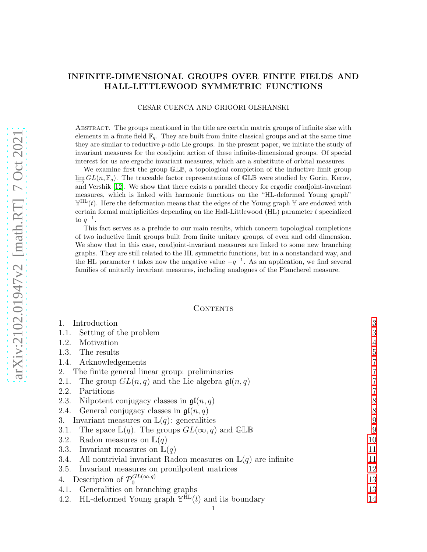## INFINITE-DIMENSIONAL GROUPS OVER FINITE FIELDS AND HALL-LITTLEWOOD SYMMETRIC FUNCTIONS

### CESAR CUENCA AND GRIGORI OLSHANSKI

Abstract. The groups mentioned in the title are certain matrix groups of infinite size with elements in a finite field  $\mathbb{F}_q$ . They are built from finite classical groups and at the same time they are similar to reductive p-adic Lie groups. In the present paper, we initiate the study of invariant measures for the coadjoint action of these infinite-dimensional groups. Of special interest for us are ergodic invariant measures, which are a substitute of orbital measures.

We examine first the group GLB, a topological completion of the inductive limit group  $\varliminf G L(n, \mathbb{F}_q)$ . The traceable factor representations of GLB were studied by Gorin, Kerov, →<br>and Vershik [\[12\]](#page-45-0). We show that there exists a parallel theory for ergodic coadjoint-invariant measures, which is linked with harmonic functions on the "HL-deformed Young graph"  $\mathbb{Y}^{HL}(t)$ . Here the deformation means that the edges of the Young graph Y are endowed with certain formal multiplicities depending on the Hall-Littlewood (HL) parameter t specialized to  $q^{-1}$ .

This fact serves as a prelude to our main results, which concern topological completions of two inductive limit groups built from finite unitary groups, of even and odd dimension. We show that in this case, coadjoint-invariant measures are linked to some new branching graphs. They are still related to the HL symmetric functions, but in a nonstandard way, and the HL parameter t takes now the negative value  $-q^{-1}$ . As an application, we find several families of unitarily invariant measures, including analogues of the Plancherel measure.

### CONTENTS

| Introduction                                                                    | 3              |  |  |  |  |  |
|---------------------------------------------------------------------------------|----------------|--|--|--|--|--|
| Setting of the problem<br>1.1.                                                  | 3              |  |  |  |  |  |
| Motivation<br>1.2.                                                              | 4              |  |  |  |  |  |
| The results<br>1.3.                                                             | 5              |  |  |  |  |  |
| Acknowledgements<br>1.4.                                                        | $\overline{7}$ |  |  |  |  |  |
| 2. The finite general linear group: preliminaries                               | 7              |  |  |  |  |  |
| The group $GL(n,q)$ and the Lie algebra $\mathfrak{gl}(n,q)$<br>2.1.            | 7              |  |  |  |  |  |
| Partitions<br>2.2.                                                              | $\overline{7}$ |  |  |  |  |  |
| Nilpotent conjugacy classes in $\mathfrak{gl}(n,q)$<br>2.3.                     | 8              |  |  |  |  |  |
| General conjugacy classes in $\mathfrak{gl}(n,q)$<br>2.4.                       | $8\,$          |  |  |  |  |  |
| Invariant measures on $\mathbb{L}(q)$ : generalities<br>3.                      |                |  |  |  |  |  |
| The space $\mathbb{L}(q)$ . The groups $GL(\infty, q)$ and GLB<br>3.1.          | 9              |  |  |  |  |  |
| Radon measures on $\mathbb{L}(q)$<br>3.2.                                       | 10             |  |  |  |  |  |
| Invariant measures on $\mathbb{L}(q)$<br>3.3.                                   | 11             |  |  |  |  |  |
| All nontrivial invariant Radon measures on $\mathbb{L}(q)$ are infinite<br>3.4. | 11             |  |  |  |  |  |
| Invariant measures on pronilpotent matrices<br>3.5.                             | 12             |  |  |  |  |  |
| Description of $\mathcal{P}_0^{GL(\infty,q)}$<br>4.                             |                |  |  |  |  |  |
| Generalities on branching graphs<br>4.1.                                        | 13             |  |  |  |  |  |
| 4.2. HL-deformed Young graph $\mathbb{Y}^{\text{HL}}(t)$ and its boundary       | 14             |  |  |  |  |  |
|                                                                                 |                |  |  |  |  |  |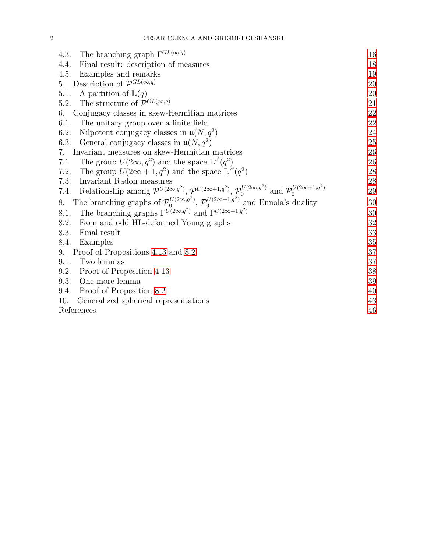| 4.3. The branching graph $\Gamma^{GL(\infty,q)}$                                                                                                                    | 16 |  |  |  |  |  |
|---------------------------------------------------------------------------------------------------------------------------------------------------------------------|----|--|--|--|--|--|
| Final result: description of measures<br>4.4.                                                                                                                       | 18 |  |  |  |  |  |
| 4.5.<br>Examples and remarks                                                                                                                                        | 19 |  |  |  |  |  |
| 5. Description of $\mathcal{P}^{GL(\infty,q)}$                                                                                                                      |    |  |  |  |  |  |
| A partition of $\mathbb{L}(q)$<br>5.1.                                                                                                                              | 20 |  |  |  |  |  |
| The structure of $\mathcal{P}^{GL(\infty,q)}$<br>5.2.                                                                                                               | 21 |  |  |  |  |  |
| Conjugacy classes in skew-Hermitian matrices<br>6.                                                                                                                  | 22 |  |  |  |  |  |
| 6.1.<br>The unitary group over a finite field                                                                                                                       | 22 |  |  |  |  |  |
| Nilpotent conjugacy classes in $\mathfrak{u}(N, q^2)$<br>6.2.                                                                                                       | 24 |  |  |  |  |  |
| 6.3.<br>General conjugacy classes in $\mathfrak{u}(N, q^2)$                                                                                                         | 25 |  |  |  |  |  |
| Invariant measures on skew-Hermitian matrices<br>7.                                                                                                                 | 26 |  |  |  |  |  |
| The group $U(2\infty, q^2)$ and the space $\mathbb{L}^{\mathscr{E}}(q^2)$<br>7.1.                                                                                   | 26 |  |  |  |  |  |
| The group $U(2\infty + 1, q^2)$ and the space $\mathbb{L}^{\mathscr{O}}(q^2)$<br>7.2.                                                                               | 28 |  |  |  |  |  |
| Invariant Radon measures<br>7.3.                                                                                                                                    | 28 |  |  |  |  |  |
| 7.4. Relationship among $\mathcal{P}^{U(2\infty,q^2)}$ , $\mathcal{P}^{U(2\infty+1,q^2)}$ , $\mathcal{P}_0^{U(2\infty,q^2)}$ and $\mathcal{P}_0^{U(2\infty+1,q^2)}$ | 29 |  |  |  |  |  |
| The branching graphs of $\mathcal{P}_0^{U(2\infty,q^2)}$ , $\mathcal{P}_0^{U(2\infty+1,q^2)}$ and Ennola's duality<br>8.                                            |    |  |  |  |  |  |
| The branching graphs $\Gamma^{U(2\infty,q^2)}$ and $\Gamma^{U(2\infty+1,q^2)}$<br>8.1.                                                                              | 30 |  |  |  |  |  |
| 8.2.<br>Even and odd HL-deformed Young graphs                                                                                                                       | 32 |  |  |  |  |  |
| 8.3.<br>Final result                                                                                                                                                | 33 |  |  |  |  |  |
| 8.4.<br>Examples                                                                                                                                                    | 35 |  |  |  |  |  |
| Proof of Propositions 4.13 and 8.2<br>9.                                                                                                                            | 37 |  |  |  |  |  |
| 9.1.<br>Two lemmas                                                                                                                                                  | 37 |  |  |  |  |  |
| 9.2.<br>Proof of Proposition 4.13                                                                                                                                   | 38 |  |  |  |  |  |
| 9.3.<br>One more lemma                                                                                                                                              | 39 |  |  |  |  |  |
| 9.4. Proof of Proposition 8.2                                                                                                                                       | 40 |  |  |  |  |  |
| 10.<br>Generalized spherical representations                                                                                                                        | 43 |  |  |  |  |  |
| References                                                                                                                                                          |    |  |  |  |  |  |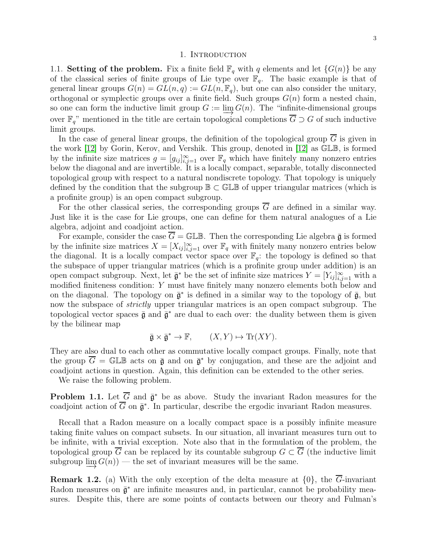### 1. INTRODUCTION

<span id="page-2-1"></span><span id="page-2-0"></span>1.1. Setting of the problem. Fix a finite field  $\mathbb{F}_q$  with q elements and let  $\{G(n)\}$  be any of the classical series of finite groups of Lie type over  $\mathbb{F}_q$ . The basic example is that of general linear groups  $G(n) = GL(n, q) := GL(n, \mathbb{F}_q)$ , but one can also consider the unitary, orthogonal or symplectic groups over a finite field. Such groups  $G(n)$  form a nested chain, so one can form the inductive limit group  $G := \varinjlim G(n)$ . The "infinite-dimensional groups over  $\mathbb{F}_q$ " mentioned in the title are certain topological completions  $\overline{G} \supset G$  of such inductive limit groups.

In the case of general linear groups, the definition of the topological group  $G$  is given in the work [\[12\]](#page-45-0) by Gorin, Kerov, and Vershik. This group, denoted in [\[12\]](#page-45-0) as GLB, is formed by the infinite size matrices  $g = [g_{ij}]_{i,j=1}^{\infty}$  over  $\mathbb{F}_q$  which have finitely many nonzero entries below the diagonal and are invertible. It is a locally compact, separable, totally disconnected topological group with respect to a natural nondiscrete topology. That topology is uniquely defined by the condition that the subgroup  $\mathbb{B} \subset \mathbb{GL}\mathbb{B}$  of upper triangular matrices (which is a profinite group) is an open compact subgroup.

For the other classical series, the corresponding groups  $\overline{G}$  are defined in a similar way. Just like it is the case for Lie groups, one can define for them natural analogues of a Lie algebra, adjoint and coadjoint action.

For example, consider the case  $\overline{G} = \mathbb{GLB}$ . Then the corresponding Lie algebra  $\overline{\mathfrak{g}}$  is formed by the infinite size matrices  $X = [X_{ij}]_{i,j=1}^{\infty}$  over  $\mathbb{F}_q$  with finitely many nonzero entries below the diagonal. It is a locally compact vector space over  $\mathbb{F}_q$ : the topology is defined so that the subspace of upper triangular matrices (which is a profinite group under addition) is an open compact subgroup. Next, let  $\bar{\mathfrak{g}}^*$  be the set of infinite size matrices  $Y = [Y_{ij}]_{i,j=1}^{\infty}$  with a modified finiteness condition: Y must have finitely many nonzero elements both below and on the diagonal. The topology on  $\bar{\mathfrak{g}}^*$  is defined in a similar way to the topology of  $\bar{\mathfrak{g}}$ , but now the subspace of *strictly* upper triangular matrices is an open compact subgroup. The topological vector spaces  $\bar{\mathfrak{g}}$  and  $\bar{\mathfrak{g}}^*$  are dual to each over: the duality between them is given by the bilinear map

$$
\bar{\mathfrak{g}} \times \bar{\mathfrak{g}}^* \to \mathbb{F}, \qquad (X, Y) \mapsto \text{Tr}(XY).
$$

They are also dual to each other as commutative locally compact groups. Finally, note that the group  $\overline{G} = \mathbb{GLB}$  acts on  $\overline{\mathfrak{g}}$  and on  $\overline{\mathfrak{g}}^*$  by conjugation, and these are the adjoint and coadjoint actions in question. Again, this definition can be extended to the other series.

We raise the following problem.

<span id="page-2-2"></span>**Problem 1.1.** Let  $\overline{G}$  and  $\overline{\mathfrak{g}}^*$  be as above. Study the invariant Radon measures for the coadjoint action of  $\overline{G}$  on  $\overline{\mathfrak{g}}^*$ . In particular, describe the ergodic invariant Radon measures.

Recall that a Radon measure on a locally compact space is a possibly infinite measure taking finite values on compact subsets. In our situation, all invariant measures turn out to be infinite, with a trivial exception. Note also that in the formulation of the problem, the topological group G can be replaced by its countable subgroup  $G \subset G$  (the inductive limit subgroup  $\varinjlim G(n)$  — the set of invariant measures will be the same.

**Remark 1.2.** (a) With the only exception of the delta measure at  $\{0\}$ , the  $\overline{G}$ -invariant Radon measures on  $\bar{\mathfrak{g}}^*$  are infinite measures and, in particular, cannot be probability measures. Despite this, there are some points of contacts between our theory and Fulman's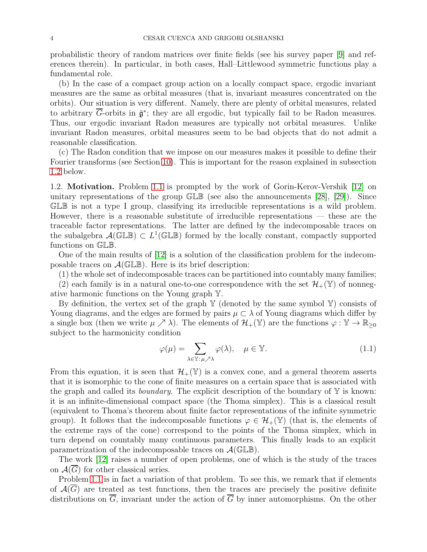probabilistic theory of random matrices over finite fields (see his survey paper [\[9\]](#page-45-2) and references therein). In particular, in both cases, Hall–Littlewood symmetric functions play a fundamental role.

(b) In the case of a compact group action on a locally compact space, ergodic invariant measures are the same as orbital measures (that is, invariant measures concentrated on the orbits). Our situation is very different. Namely, there are plenty of orbital measures, related to arbitrary G-orbits in  $\bar{\mathfrak{g}}^*$ ; they are all ergodic, but typically fail to be Radon measures. Thus, our ergodic invariant Radon measures are typically not orbital measures. Unlike invariant Radon measures, orbital measures seem to be bad objects that do not admit a reasonable classification.

(c) The Radon condition that we impose on our measures makes it possible to define their Fourier transforms (see Section [10\)](#page-42-0). This is important for the reason explained in subsection [1.2](#page-3-0) below.

<span id="page-3-0"></span>1.2. Motivation. Problem [1.1](#page-2-2) is prompted by the work of Gorin-Kerov-Vershik [\[12\]](#page-45-0) on unitary representations of the group  $GLB$  (see also the announcements [\[28\]](#page-46-0), [\[29\]](#page-46-1)). Since GLB is not a type I group, classifying its irreducible representations is a wild problem. However, there is a reasonable substitute of irreducible representations — these are the traceable factor representations. The latter are defined by the indecomposable traces on the subalgebra  $\mathcal{A}(\mathbb{GL}\mathbb{B}) \subset L^1(\mathbb{GL}\mathbb{B})$  formed by the locally constant, compactly supported functions on GLB.

One of the main results of [\[12\]](#page-45-0) is a solution of the classification problem for the indecomposable traces on  $\mathcal{A}(\mathbb{G} \mathbb{L} \mathbb{B})$ . Here is its brief description:

(1) the whole set of indecomposable traces can be partitioned into countably many families;

(2) each family is in a natural one-to-one correspondence with the set  $\mathcal{H}_+(\mathbb{Y})$  of nonnegative harmonic functions on the Young graph Y.

By definition, the vertex set of the graph  $\mathbb {Y}$  (denoted by the same symbol  $\mathbb {Y}$ ) consists of Young diagrams, and the edges are formed by pairs  $\mu \subset \lambda$  of Young diagrams which differ by a single box (then we write  $\mu \nearrow \lambda$ ). The elements of  $\mathcal{H}_+(\mathbb{Y})$  are the functions  $\varphi : \mathbb{Y} \to \mathbb{R}_{\geq 0}$ subject to the harmonicity condition

<span id="page-3-1"></span>
$$
\varphi(\mu) = \sum_{\lambda \in \mathbb{Y} : \mu \nearrow \lambda} \varphi(\lambda), \quad \mu \in \mathbb{Y}.\tag{1.1}
$$

From this equation, it is seen that  $\mathcal{H}_+(\mathbb{Y})$  is a convex cone, and a general theorem asserts that it is isomorphic to the cone of finite measures on a certain space that is associated with the graph and called its *boundary*. The explicit description of the boundary of  $\mathbb{Y}$  is known: it is an infinite-dimensional compact space (the Thoma simplex). This is a classical result (equivalent to Thoma's theorem about finite factor representations of the infinite symmetric group). It follows that the indecomposable functions  $\varphi \in \mathcal{H}_+(\mathbb{Y})$  (that is, the elements of the extreme rays of the cone) correspond to the points of the Thoma simplex, which in turn depend on countably many continuous parameters. This finally leads to an explicit parametrization of the indecomposable traces on  $\mathcal{A}(\mathbb{GL}\mathbb{B})$ .

The work [\[12\]](#page-45-0) raises a number of open problems, one of which is the study of the traces on  $\mathcal{A}(G)$  for other classical series.

Problem [1.1](#page-2-2) is in fact a variation of that problem. To see this, we remark that if elements of  $\mathcal{A}(G)$  are treated as test functions, then the traces are precisely the positive definite distributions on  $\overline{G}$ , invariant under the action of  $\overline{G}$  by inner automorphisms. On the other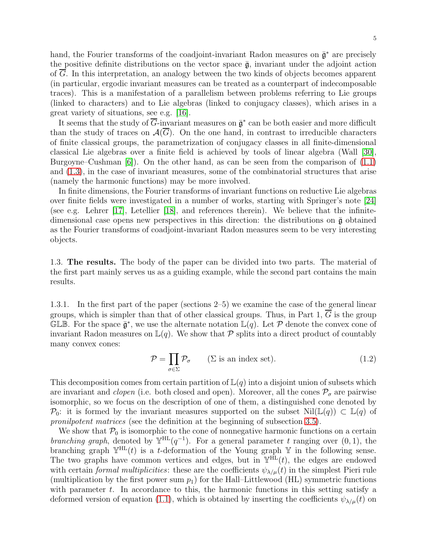hand, the Fourier transforms of the coadjoint-invariant Radon measures on  $\bar{\mathfrak{g}}^*$  are precisely the positive definite distributions on the vector space  $\bar{g}$ , invariant under the adjoint action of G. In this interpretation, an analogy between the two kinds of objects becomes apparent (in particular, ergodic invariant measures can be treated as a counterpart of indecomposable traces). This is a manifestation of a parallelism between problems referring to Lie groups (linked to characters) and to Lie algebras (linked to conjugacy classes), which arises in a great variety of situations, see e.g. [\[16\]](#page-45-3).

It seems that the study of  $\overline{G}$ -invariant measures on  $\overline{\mathfrak{g}}^*$  can be both easier and more difficult than the study of traces on  $\mathcal{A}(\overline{G})$ . On the one hand, in contrast to irreducible characters of finite classical groups, the parametrization of conjugacy classes in all finite-dimensional classical Lie algebras over a finite field is achieved by tools of linear algebra (Wall [\[30\]](#page-46-2), Burgoyne–Cushman  $[6]$ ). On the other hand, as can be seen from the comparison of  $(1.1)$ and [\(1.3\)](#page-5-0), in the case of invariant measures, some of the combinatorial structures that arise (namely the harmonic functions) may be more involved.

In finite dimensions, the Fourier transforms of invariant functions on reductive Lie algebras over finite fields were investigated in a number of works, starting with Springer's note [\[24\]](#page-45-5) (see e.g. Lehrer [\[17\]](#page-45-6), Letellier [\[18\]](#page-45-7), and references therein). We believe that the infinitedimensional case opens new perspectives in this direction: the distributions on  $\bar{g}$  obtained as the Fourier transforms of coadjoint-invariant Radon measures seem to be very interesting objects.

<span id="page-4-0"></span>1.3. The results. The body of the paper can be divided into two parts. The material of the first part mainly serves us as a guiding example, while the second part contains the main results.

1.3.1. In the first part of the paper (sections 2–5) we examine the case of the general linear groups, which is simpler than that of other classical groups. Thus, in Part 1,  $\overline{G}$  is the group GLB. For the space  $\bar{\mathfrak{g}}^*$ , we use the alternate notation  $\mathbb{L}(q)$ . Let P denote the convex cone of invariant Radon measures on  $\mathbb{L}(q)$ . We show that P splits into a direct product of countably many convex cones:

<span id="page-4-1"></span>
$$
\mathcal{P} = \prod_{\sigma \in \Sigma} \mathcal{P}_{\sigma} \qquad (\Sigma \text{ is an index set}). \tag{1.2}
$$

This decomposition comes from certain partition of  $\mathbb{L}(q)$  into a disjoint union of subsets which are invariant and *clopen* (i.e. both closed and open). Moreover, all the cones  $P_{\sigma}$  are pairwise isomorphic, so we focus on the description of one of them, a distinguished cone denoted by  $\mathcal{P}_0$ : it is formed by the invariant measures supported on the subset Nil( $\mathbb{L}(q)$ ) ⊂  $\mathbb{L}(q)$  of pronilpotent matrices (see the definition at the beginning of subsection [3.5\)](#page-11-0).

We show that  $P_0$  is isomorphic to the cone of nonnegative harmonic functions on a certain branching graph, denoted by  $\mathbb{Y}^{\text{HL}}(q^{-1})$ . For a general parameter t ranging over  $(0,1)$ , the branching graph  $\mathbb{Y}^{\text{HL}}(t)$  is a t-deformation of the Young graph Y in the following sense. The two graphs have common vertices and edges, but in  $\mathbb{Y}^{HL}(t)$ , the edges are endowed with certain formal multiplicities: these are the coefficients  $\psi_{\lambda/\mu}(t)$  in the simplest Pieri rule (multiplication by the first power sum  $p_1$ ) for the Hall–Littlewood (HL) symmetric functions with parameter  $t$ . In accordance to this, the harmonic functions in this setting satisfy a deformed version of equation [\(1.1\)](#page-3-1), which is obtained by inserting the coefficients  $\psi_{\lambda/\mu}(t)$  on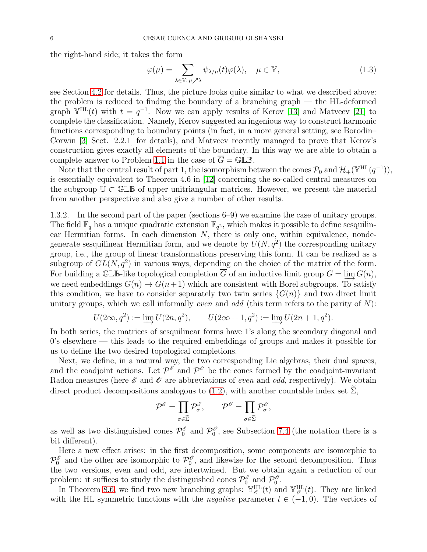the right-hand side; it takes the form

<span id="page-5-0"></span>
$$
\varphi(\mu) = \sum_{\lambda \in \mathbb{Y} : \mu \nearrow \lambda} \psi_{\lambda/\mu}(t) \varphi(\lambda), \quad \mu \in \mathbb{Y}, \tag{1.3}
$$

see Section [4.2](#page-13-0) for details. Thus, the picture looks quite similar to what we described above: the problem is reduced to finding the boundary of a branching graph — the HL-deformed graph  $\mathbb{Y}^{\text{HL}}(t)$  with  $t = q^{-1}$ . Now we can apply results of Kerov [\[13\]](#page-45-8) and Matveev [\[21\]](#page-45-9) to complete the classification. Namely, Kerov suggested an ingenious way to construct harmonic functions corresponding to boundary points (in fact, in a more general setting; see Borodin– Corwin [\[3,](#page-45-10) Sect. 2.2.1] for details), and Matveev recently managed to prove that Kerov's construction gives exactly all elements of the boundary. In this way we are able to obtain a complete answer to Problem [1.1](#page-2-2) in the case of  $\overline{G} = \mathbb{GLB}$ .

Note that the central result of part 1, the isomorphism between the cones  $\mathcal{P}_0$  and  $\mathcal{H}_+(\mathbb{Y}^{HL}(q^{-1}))$ , is essentially equivalent to Theorem 4.6 in [\[12\]](#page-45-0) concerning the so-called central measures on the subgroup  $\mathbb{U} \subset \mathbb{GL}\mathbb{B}$  of upper unitriangular matrices. However, we present the material from another perspective and also give a number of other results.

1.3.2. In the second part of the paper (sections 6–9) we examine the case of unitary groups. The field  $\mathbb{F}_q$  has a unique quadratic extension  $\mathbb{F}_{q^2}$ , which makes it possible to define sesquilinear Hermitian forms. In each dimension  $N$ , there is only one, within equivalence, nondegenerate sesquilinear Hermitian form, and we denote by  $U(N, q^2)$  the corresponding unitary group, i.e., the group of linear transformations preserving this form. It can be realized as a subgroup of  $GL(N, q^2)$  in various ways, depending on the choice of the matrix of the form. For building a GLB-like topological completion  $\overline{G}$  of an inductive limit group  $G = \lim G(n)$ , we need embeddings  $G(n) \to G(n+1)$  which are consistent with Borel subgroups. To satisfy this condition, we have to consider separately two twin series  $\{G(n)\}\$ and two direct limit unitary groups, which we call informally *even* and *odd* (this term refers to the parity of  $N$ ):

$$
U(2\infty, q^2) := \varinjlim U(2n, q^2), \qquad U(2\infty + 1, q^2) := \varinjlim U(2n + 1, q^2).
$$

In both series, the matrices of sesquilinear forms have 1's along the secondary diagonal and 0's elsewhere — this leads to the required embeddings of groups and makes it possible for us to define the two desired topological completions.

Next, we define, in a natural way, the two corresponding Lie algebras, their dual spaces, and the coadjoint actions. Let  $\mathcal{P}^{\mathscr{E}}$  and  $\mathcal{P}^{\mathscr{O}}$  be the cones formed by the coadjoint-invariant Radon measures (here  $\mathscr E$  and  $\mathscr O$  are abbreviations of *even* and *odd*, respectively). We obtain direct product decompositions analogous to [\(1.2\)](#page-4-1), with another countable index set  $\Sigma$ ,

$$
\mathcal{P}^{\mathscr{E}} = \prod_{\sigma \in \widetilde{\Sigma}} \mathcal{P}^{\mathscr{E}}_{\sigma}, \qquad \mathcal{P}^{\mathscr{O}} = \prod_{\sigma \in \widetilde{\Sigma}} \mathcal{P}^{\mathscr{O}}_{\sigma}
$$

,

as well as two distinguished cones  $\mathcal{P}_0^{\delta}$  $\int_0^\mathscr{E}$  and  $\mathcal{P}_0^{\mathscr{O}}$  $\binom{0}{0}$ , see Subsection [7.4](#page-28-0) (the notation there is a bit different).

Here a new effect arises: in the first decomposition, some components are isomorphic to  $\mathcal{P}_0^{\mathscr{E}}$  $\int_0^{\mathscr{E}}$  and the other are isomorphic to  $\mathcal{P}_0^{\mathscr{E}}$  $\binom{0}{0}$ , and likewise for the second decomposition. Thus the two versions, even and odd, are intertwined. But we obtain again a reduction of our problem: it suffices to study the distinguished cones  $\mathcal{P}_0^{\mathscr{E}}$  and  $\mathcal{P}_0^{\mathscr{E}}$  $\mathcal{O} \cdot$ 

In Theorem [8.6,](#page-31-1) we find two new branching graphs:  $\mathbb{Y}_{\mathscr{E}}^{\text{HL}}(t)$  and  $\mathbb{Y}_{\mathscr{O}}^{\text{HL}}(t)$ . They are linked with the HL symmetric functions with the *negative* parameter  $t \in (-1,0)$ . The vertices of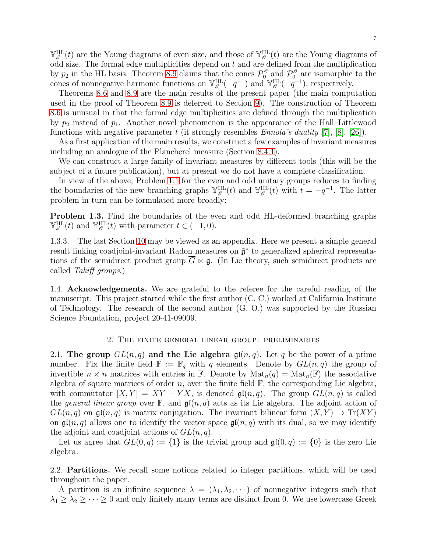$\mathbb{Y}_{\mathscr{E}}^{\text{HL}}(t)$  are the Young diagrams of even size, and those of  $\mathbb{Y}_{\mathscr{O}}^{\text{HL}}(t)$  are the Young diagrams of odd size. The formal edge multiplicities depend on  $t$  and are defined from the multiplication by  $p_2$  in the HL basis. Theorem [8.9](#page-32-1) claims that the cones  $\mathcal{P}_0^{\phi}$  $\int_0^\mathscr{E}$  and  $\mathcal{P}_0^\mathscr{O}$  $\int_0^b$  are isomorphic to the cones of nonnegative harmonic functions on  $\mathbb{Y}_{\mathscr{E}}^{\text{HL}}(-q^{-1})$  and  $\mathbb{Y}_{\mathscr{E}}^{\text{HL}}(-q^{-1})$ , respectively.

Theorems [8.6](#page-31-1) and [8.9](#page-32-1) are the main results of the present paper (the main computation used in the proof of Theorem [8.9](#page-32-1) is deferred to Section [9\)](#page-36-0). The construction of Theorem [8.6](#page-31-1) is unusual in that the formal edge multiplicities are defined through the multiplication by  $p_2$  instead of  $p_1$ . Another novel phenomenon is the appearance of the Hall–Littlewood functions with negative parameter t (it strongly resembles  $Ennola's duality [7], [8], [26]$  $Ennola's duality [7], [8], [26]$  $Ennola's duality [7], [8], [26]$  $Ennola's duality [7], [8], [26]$  $Ennola's duality [7], [8], [26]$  $Ennola's duality [7], [8], [26]$ ).

As a first application of the main results, we construct a few examples of invariant measures including an analogue of the Plancherel measure (Section [8.4.1\)](#page-34-1).

We can construct a large family of invariant measures by different tools (this will be the subject of a future publication), but at present we do not have a complete classification.

In view of the above, Problem [1.1](#page-2-2) for the even and odd unitary groups reduces to finding the boundaries of the new branching graphs  $\mathbb{Y}_{\mathscr{E}}^{\text{HL}}(t)$  and  $\mathbb{Y}_{\mathscr{O}}^{\text{HL}}(t)$  with  $t = -q^{-1}$ . The latter problem in turn can be formulated more broadly:

<span id="page-6-4"></span>Problem 1.3. Find the boundaries of the even and odd HL-deformed branching graphs  $\mathbb{Y}_{\mathscr{E}}^{\text{HL}}(t)$  and  $\mathbb{Y}_{\mathscr{O}}^{\text{HL}}(t)$  with parameter  $t \in (-1,0)$ .

1.3.3. The last Section [10](#page-42-0) may be viewed as an appendix. Here we present a simple general result linking coadjoint-invariant Radon measures on  $\bar{\mathfrak{g}}^*$  to generalized spherical representations of the semidirect product group  $\overline{G} \ltimes \overline{\mathfrak{g}}$ . (In Lie theory, such semidirect products are called Takiff groups.)

<span id="page-6-0"></span>1.4. Acknowledgements. We are grateful to the referee for the careful reading of the manuscript. This project started while the first author (C. C.) worked at California Institute of Technology. The research of the second author (G. O.) was supported by the Russian Science Foundation, project 20-41-09009.

#### 2. The finite general linear group: preliminaries

<span id="page-6-2"></span><span id="page-6-1"></span>2.1. The group  $GL(n,q)$  and the Lie algebra  $\mathfrak{gl}(n,q)$ . Let q be the power of a prime number. Fix the finite field  $\mathbb{F} := \mathbb{F}_q$  with q elements. Denote by  $GL(n, q)$  the group of invertible  $n \times n$  matrices with entries in F. Denote by  $\text{Mat}_n(q) = \text{Mat}_n(\mathbb{F})$  the associative algebra of square matrices of order n, over the finite field  $\mathbb{F}$ ; the corresponding Lie algebra, with commutator  $[X, Y] = XY - YX$ , is denoted  $\mathfrak{gl}(n, q)$ . The group  $GL(n, q)$  is called the general linear group over  $\mathbb{F}$ , and  $\mathfrak{gl}(n,q)$  acts as its Lie algebra. The adjoint action of  $GL(n, q)$  on  $\mathfrak{gl}(n, q)$  is matrix conjugation. The invariant bilinear form  $(X, Y) \rightarrow Tr(XY)$ on  $\mathfrak{gl}(n,q)$  allows one to identify the vector space  $\mathfrak{gl}(n,q)$  with its dual, so we may identify the adjoint and coadjoint actions of  $GL(n, q)$ .

Let us agree that  $GL(0,q) := \{1\}$  is the trivial group and  $\mathfrak{gl}(0,q) := \{0\}$  is the zero Lie algebra.

<span id="page-6-3"></span>2.2. Partitions. We recall some notions related to integer partitions, which will be used throughout the paper.

A partition is an infinite sequence  $\lambda = (\lambda_1, \lambda_2, \cdots)$  of nonnegative integers such that  $\lambda_1 \geq \lambda_2 \geq \cdots \geq 0$  and only finitely many terms are distinct from 0. We use lowercase Greek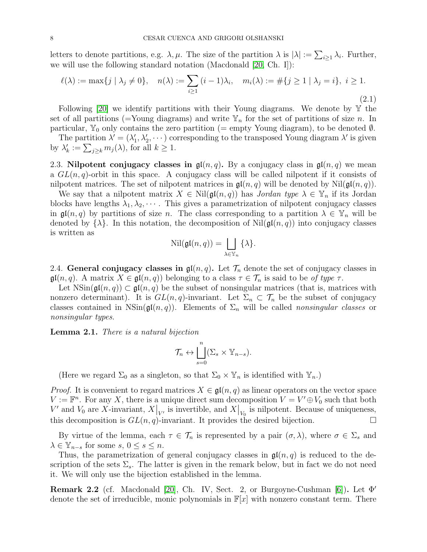letters to denote partitions, e.g.  $\lambda, \mu$ . The size of the partition  $\lambda$  is  $|\lambda| := \sum_{i \geq 1} \lambda_i$ . Further, we will use the following standard notation (Macdonald [\[20,](#page-45-14) Ch. I]):

<span id="page-7-2"></span>
$$
\ell(\lambda) := \max\{j \mid \lambda_j \neq 0\}, \quad n(\lambda) := \sum_{i \ge 1} (i - 1)\lambda_i, \quad m_i(\lambda) := \#\{j \ge 1 \mid \lambda_j = i\}, \ i \ge 1.
$$
\n(2.1)

Following  $[20]$  we identify partitions with their Young diagrams. We denote by Y the set of all partitions (=Young diagrams) and write  $\mathbb{Y}_n$  for the set of partitions of size n. In particular,  $\mathbb{Y}_0$  only contains the zero partition (= empty Young diagram), to be denoted  $\emptyset$ .

The partition  $\lambda' = (\lambda'_1, \lambda'_2, \dots)$  corresponding to the transposed Young diagram  $\lambda'$  is given by  $\lambda'_k := \sum_{j \geq k} m_j(\lambda)$ , for all  $k \geq 1$ .

<span id="page-7-0"></span>2.3. Nilpotent conjugacy classes in  $\mathfrak{gl}(n,q)$ . By a conjugacy class in  $\mathfrak{gl}(n,q)$  we mean a  $GL(n, q)$ -orbit in this space. A conjugacy class will be called nilpotent if it consists of nilpotent matrices. The set of nilpotent matrices in  $\mathfrak{gl}(n,q)$  will be denoted by  $\text{Nil}(\mathfrak{gl}(n,q))$ .

We say that a nilpotent matrix  $X \in Nil(\mathfrak{gl}(n,q))$  has Jordan type  $\lambda \in \mathbb{Y}_n$  if its Jordan blocks have lengths  $\lambda_1, \lambda_2, \cdots$ . This gives a parametrization of nilpotent conjugacy classes in  $\mathfrak{gl}(n,q)$  by partitions of size n. The class corresponding to a partition  $\lambda \in \mathbb{Y}_n$  will be denoted by  $\{\lambda\}$ . In this notation, the decomposition of Nil( $\mathfrak{gl}(n,q)$ ) into conjugacy classes is written as

$$
\mathrm{Nil}(\mathfrak{gl}(n,q))=\bigsqcup_{\lambda\in\mathbb{Y}_n}\{\lambda\}.
$$

<span id="page-7-1"></span>2.4. General conjugacy classes in  $\mathfrak{gl}(n,q)$ . Let  $\mathcal{T}_n$  denote the set of conjugacy classes in  $\mathfrak{gl}(n,q)$ . A matrix  $X \in \mathfrak{gl}(n,q)$  belonging to a class  $\tau \in \mathcal{T}_n$  is said to be of type  $\tau$ .

Let  $\text{NSin}(\mathfrak{gl}(n,q)) \subset \mathfrak{gl}(n,q)$  be the subset of nonsingular matrices (that is, matrices with nonzero determinant). It is  $GL(n, q)$ -invariant. Let  $\Sigma_n \subset \mathcal{T}_n$  be the subset of conjugacy classes contained in NSin( $\mathfrak{gl}(n,q)$ ). Elements of  $\Sigma_n$  will be called *nonsingular classes* or nonsingular types.

<span id="page-7-3"></span>Lemma 2.1. There is a natural bijection

$$
\mathcal{T}_n \leftrightarrow \bigsqcup_{s=0}^n (\Sigma_s \times \mathbb{Y}_{n-s}).
$$

(Here we regard  $\Sigma_0$  as a singleton, so that  $\Sigma_0 \times \mathbb{Y}_n$  is identified with  $\mathbb{Y}_n$ .)

*Proof.* It is convenient to regard matrices  $X \in \mathfrak{gl}(n,q)$  as linear operators on the vector space  $V := \mathbb{F}^n$ . For any X, there is a unique direct sum decomposition  $V = V' \oplus V_0$  such that both V' and  $V_0$  are X-invariant,  $X|_{V}$  is invertible, and  $X|_{V_0}$  is nilpotent. Because of uniqueness, this decomposition is  $GL(n, q)$ -invariant. It provides the desired bijection.

By virtue of the lemma, each  $\tau \in \mathcal{T}_n$  is represented by a pair  $(\sigma, \lambda)$ , where  $\sigma \in \Sigma_s$  and  $\lambda \in \mathbb{Y}_{n-s}$  for some  $s, 0 \leq s \leq n$ .

Thus, the parametrization of general conjugacy classes in  $\mathfrak{gl}(n,q)$  is reduced to the description of the sets  $\Sigma_s$ . The latter is given in the remark below, but in fact we do not need it. We will only use the bijection established in the lemma.

<span id="page-7-4"></span>**Remark 2.2** (cf. Macdonald [\[20\]](#page-45-14), Ch. IV, Sect. 2, or Burgoyne-Cushman [\[6\]](#page-45-4)). Let  $\Phi'$ denote the set of irreducible, monic polynomials in  $\mathbb{F}[x]$  with nonzero constant term. There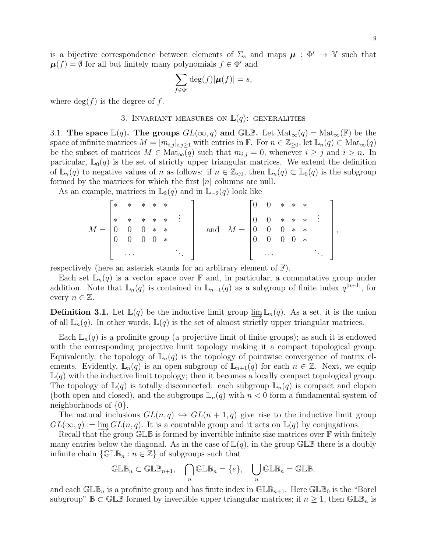is a bijective correspondence between elements of  $\Sigma_s$  and maps  $\mu : \Phi' \to \mathbb{Y}$  such that  $\boldsymbol{\mu}(f) = \emptyset$  for all but finitely many polynomials  $f \in \Phi'$  and

$$
\sum_{f \in \Phi'} \deg(f) |\boldsymbol{\mu}(f)| = s,
$$

<span id="page-8-0"></span>where  $\deg(f)$  is the degree of f.

### 3. INVARIANT MEASURES ON  $\mathbb{L}(q)$ : GENERALITIES

<span id="page-8-1"></span>3.1. The space  $\mathbb{L}(q)$ . The groups  $GL(\infty, q)$  and GLB. Let  $\text{Mat}_{\infty}(q) = \text{Mat}_{\infty}(\mathbb{F})$  be the space of infinite matrices  $M = [m_{i,j}]_{i,j\geq 1}$  with entries in  $\mathbb{F}$ . For  $n \in \mathbb{Z}_{\geq 0}$ , let  $\mathbb{L}_n(q) \subset \text{Mat}_{\infty}(q)$ be the subset of matrices  $M \in Mat_{\infty}(q)$  such that  $m_{i,j} = 0$ , whenever  $i \geq j$  and  $i > n$ . In particular,  $\mathbb{L}_0(q)$  is the set of strictly upper triangular matrices. We extend the definition of  $\mathbb{L}_n(q)$  to negative values of n as follows: if  $n \in \mathbb{Z}_{\leq 0}$ , then  $\mathbb{L}_n(q) \subset \mathbb{L}_0(q)$  is the subgroup formed by the matrices for which the first  $|n|$  columns are null.

As an example, matrices in  $\mathbb{L}_2(q)$  and in  $\mathbb{L}_{-2}(q)$  look like

|           | ≭ | * * * *                                                                                         |                |             |     |  |                                                                                         | $0 * * * *$ |            |     |  |
|-----------|---|-------------------------------------------------------------------------------------------------|----------------|-------------|-----|--|-----------------------------------------------------------------------------------------|-------------|------------|-----|--|
|           |   | $\begin{array}{ ccccccccccccccc }\n* & * & * & * & * & : & \n0 & 0 & 0 & * & * & \n\end{array}$ |                |             |     |  | and $M = \begin{bmatrix} 0 & 0 & * & * & * & \vdots \\ 0 & 0 & 0 & * & * \end{bmatrix}$ |             |            |     |  |
| $M =  0 $ |   |                                                                                                 |                |             |     |  |                                                                                         |             |            |     |  |
|           |   | $\overline{0}$                                                                                  | $\overline{0}$ | $\degree$ 0 | $*$ |  |                                                                                         | $\theta$    | $0\quad 0$ | $*$ |  |
|           |   | $\cdots$                                                                                        |                |             |     |  |                                                                                         | $\cdots$    |            |     |  |

respectively (here an asterisk stands for an arbitrary element of F).

Each set  $\mathbb{L}_n(q)$  is a vector space over  $\mathbb F$  and, in particular, a commutative group under addition. Note that  $\mathbb{L}_n(q)$  is contained in  $\mathbb{L}_{n+1}(q)$  as a subgroup of finite index  $q^{n+1}$ , for every  $n \in \mathbb{Z}$ .

**Definition 3.1.** Let  $\mathbb{L}(q)$  be the inductive limit group  $\varinjlim \mathbb{L}_n(q)$ . As a set, it is the union of all  $\mathbb{L}(\alpha)$ . In other words  $\mathbb{L}(\alpha)$  is the set of almost strictly upper triangular matrices of all  $\mathbb{L}_n(q)$ . In other words,  $\mathbb{L}(q)$  is the set of almost strictly upper triangular matrices.

Each  $\mathbb{L}_n(q)$  is a profinite group (a projective limit of finite groups); as such it is endowed with the corresponding projective limit topology making it a compact topological group. Equivalently, the topology of  $\mathbb{L}_n(q)$  is the topology of pointwise convergence of matrix elements. Evidently,  $\mathbb{L}_n(q)$  is an open subgroup of  $\mathbb{L}_{n+1}(q)$  for each  $n \in \mathbb{Z}$ . Next, we equip  $\mathbb{L}(q)$  with the inductive limit topology; then it becomes a locally compact topological group. The topology of  $\mathbb{L}(q)$  is totally disconnected: each subgroup  $\mathbb{L}_n(q)$  is compact and clopen (both open and closed), and the subgroups  $\mathbb{L}_n(q)$  with  $n < 0$  form a fundamental system of neighborhoods of {0}.

The natural inclusions  $GL(n, q) \hookrightarrow GL(n + 1, q)$  give rise to the inductive limit group  $GL(\infty, q) := \lim GL(n, q)$ . It is a countable group and it acts on  $\mathbb{L}(q)$  by conjugations.

Recall that the group  $\mathbb{GL}\mathbb{B}$  is formed by invertible infinite size matrices over  $\mathbb F$  with finitely many entries below the diagonal. As in the case of  $\mathbb{L}(q)$ , in the group GLB there is a doubly infinite chain  $\{\mathbb{GLB}_n : n \in \mathbb{Z}\}\$  of subgroups such that

$$
\mathbb{GLB}_n\subset\mathbb{GLB}_{n+1},\quad \bigcap_n\mathbb{GLB}_n=\{e\},\quad \bigcup_n\mathbb{GLB}_n=\mathbb{GLB},
$$

and each  $\mathbb{GLE}_n$  is a profinite group and has finite index in  $\mathbb{GLB}_{n+1}$ . Here  $\mathbb{GLB}_0$  is the "Borel subgroup"  $\mathbb{B} \subset \mathbb{GL}\mathbb{B}$  formed by invertible upper triangular matrices; if  $n \geq 1$ , then  $\mathbb{GL}\mathbb{B}_n$  is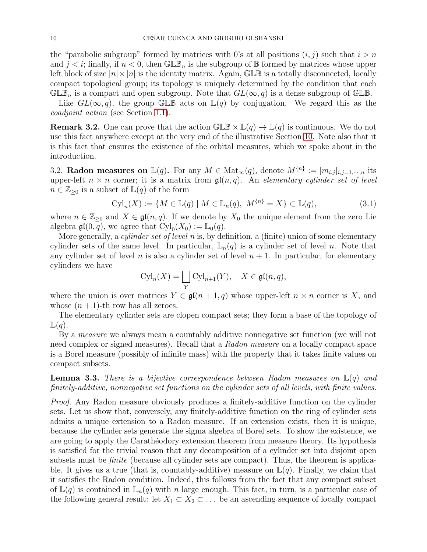the "parabolic subgroup" formed by matrices with 0's at all positions  $(i, j)$  such that  $i > n$ and  $j < i$ ; finally, if  $n < 0$ , then GLB<sub>n</sub> is the subgroup of B formed by matrices whose upper left block of size  $|n| \times |n|$  is the identity matrix. Again, GLB is a totally disconnected, locally compact topological group; its topology is uniquely determined by the condition that each  $\mathbb{GLE}_n$  is a compact and open subgroup. Note that  $GL(\infty, q)$  is a dense subgroup of  $\mathbb{GLE}$ .

Like  $GL(\infty, q)$ , the group GLB acts on  $\mathbb{L}(q)$  by conjugation. We regard this as the coadjoint action (see Section [1.1\)](#page-2-1).

**Remark 3.2.** One can prove that the action  $\mathbb{GLE} \times \mathbb{L}(q) \to \mathbb{L}(q)$  is continuous. We do not use this fact anywhere except at the very end of the illustrative Section [10.](#page-42-0) Note also that it is this fact that ensures the existence of the orbital measures, which we spoke about in the introduction.

<span id="page-9-0"></span>3.2. Radon measures on  $\mathbb{L}(q)$ . For any  $M \in \text{Mat}_{\infty}(q)$ , denote  $M^{\{n\}} := [m_{i,j}]_{i,j=1,\cdots,n}$  its upper-left  $n \times n$  corner; it is a matrix from  $\mathfrak{gl}(n,q)$ . An elementary cylinder set of level  $n \in \mathbb{Z}_{\geq 0}$  is a subset of  $\mathbb{L}(q)$  of the form

$$
Cyl_n(X) := \{ M \in \mathbb{L}(q) \mid M \in \mathbb{L}_n(q), \ M^{\{n\}} = X \} \subset \mathbb{L}(q),
$$
\n(3.1)

where  $n \in \mathbb{Z}_{\geq 0}$  and  $X \in \mathfrak{gl}(n,q)$ . If we denote by  $X_0$  the unique element from the zero Lie algebra  $\mathfrak{gl}(0,\overline{q})$ , we agree that  $Cyl_0(X_0) := \mathbb{L}_0(q)$ .

More generally, a *cylinder set of level n* is, by definition, a (finite) union of some elementary cylinder sets of the same level. In particular,  $\mathbb{L}_n(q)$  is a cylinder set of level n. Note that any cylinder set of level n is also a cylinder set of level  $n + 1$ . In particular, for elementary cylinders we have

$$
\mathrm{Cyl}_n(X) = \bigsqcup_Y \mathrm{Cyl}_{n+1}(Y), \quad X \in \mathfrak{gl}(n, q),
$$

where the union is over matrices  $Y \in \mathfrak{gl}(n+1,q)$  whose upper-left  $n \times n$  corner is X, and whose  $(n + 1)$ -th row has all zeroes.

The elementary cylinder sets are clopen compact sets; they form a base of the topology of  $\mathbb{L}(q)$ .

By a measure we always mean a countably additive nonnegative set function (we will not need complex or signed measures). Recall that a Radon measure on a locally compact space is a Borel measure (possibly of infinite mass) with the property that it takes finite values on compact subsets.

<span id="page-9-1"></span>**Lemma 3.3.** There is a bijective correspondence between Radon measures on  $\mathbb{L}(q)$  and finitely-additive, nonnegative set functions on the cylinder sets of all levels, with finite values.

Proof. Any Radon measure obviously produces a finitely-additive function on the cylinder sets. Let us show that, conversely, any finitely-additive function on the ring of cylinder sets admits a unique extension to a Radon measure. If an extension exists, then it is unique, because the cylinder sets generate the sigma algebra of Borel sets. To show the existence, we are going to apply the Caratheodory extension theorem from measure theory. Its hypothesis is satisfied for the trivial reason that any decomposition of a cylinder set into disjoint open subsets must be *finite* (because all cylinder sets are compact). Thus, the theorem is applicable. It gives us a true (that is, countably-additive) measure on  $\mathbb{L}(q)$ . Finally, we claim that it satisfies the Radon condition. Indeed, this follows from the fact that any compact subset of  $\mathbb{L}(q)$  is contained in  $\mathbb{L}_n(q)$  with n large enough. This fact, in turn, is a particular case of the following general result: let  $X_1 \subset X_2 \subset \ldots$  be an ascending sequence of locally compact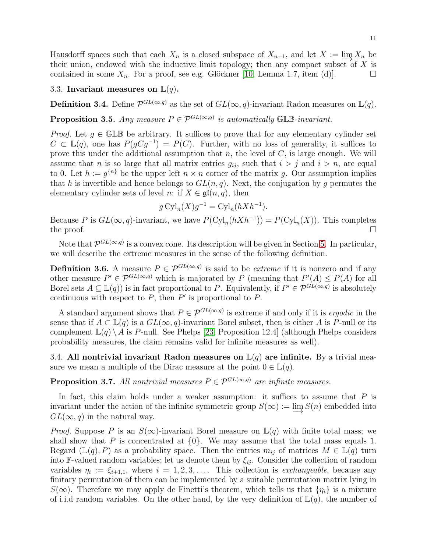### <span id="page-10-0"></span>3.3. Invariant measures on  $\mathbb{L}(q)$ .

**Definition 3.4.** Define  $\mathcal{P}^{GL(\infty,q)}$  as the set of  $GL(\infty,q)$ -invariant Radon measures on  $\mathbb{L}(q)$ .

<span id="page-10-2"></span>**Proposition 3.5.** Any measure  $P \in \mathcal{P}^{GL(\infty,q)}$  is automatically GLB-invariant.

*Proof.* Let  $g \in \mathbb{GLB}$  be arbitrary. It suffices to prove that for any elementary cylinder set  $C \subset \mathbb{L}(q)$ , one has  $P(gCg^{-1}) = P(C)$ . Further, with no loss of generality, it suffices to prove this under the additional assumption that n, the level of  $C$ , is large enough. We will assume that n is so large that all matrix entries  $g_{ij}$ , such that  $i > j$  and  $i > n$ , are equal to 0. Let  $h := g^{\{n\}}$  be the upper left  $n \times n$  corner of the matrix g. Our assumption implies that h is invertible and hence belongs to  $GL(n, q)$ . Next, the conjugation by g permutes the elementary cylinder sets of level n: if  $X \in \mathfrak{gl}(n,q)$ , then

$$
g\operatorname{Cyl}_n(X)g^{-1} = \operatorname{Cyl}_n(hXh^{-1}).
$$

Because P is  $GL(\infty, q)$ -invariant, we have  $P(\mathrm{Cyl}_n(hXh^{-1})) = P(\mathrm{Cyl}_n(X))$ . This completes the proof.  $\Box$ 

Note that  $\mathcal{P}^{GL(\infty,q)}$  is a convex cone. Its description will be given in Section [5.](#page-19-0) In particular, we will describe the extreme measures in the sense of the following definition.

**Definition 3.6.** A measure  $P \in \mathcal{P}^{GL(\infty,q)}$  is said to be *extreme* if it is nonzero and if any other measure  $P' \in \mathcal{P}^{GL(\infty,q)}$  which is majorated by P (meaning that  $P'(A) \leq P(A)$  for all Borel sets  $A \subseteq \mathbb{L}(q)$  is in fact proportional to P. Equivalently, if  $P' \in \mathcal{P}^{GL(\infty,q)}$  is absolutely continuous with respect to  $P$ , then  $P'$  is proportional to  $P$ .

A standard argument shows that  $P \in \mathcal{P}^{GL(\infty,q)}$  is extreme if and only if it is ergodic in the sense that if  $A \subset \mathbb{L}(q)$  is a  $GL(\infty, q)$ -invariant Borel subset, then is either A is P-null or its complement  $\mathbb{L}(q) \setminus A$  is P-null. See Phelps [\[23,](#page-45-16) Proposition 12.4] (although Phelps considers probability measures, the claim remains valid for infinite measures as well).

<span id="page-10-1"></span>3.4. All nontrivial invariant Radon measures on  $\mathbb{L}(q)$  are infinite. By a trivial measure we mean a multiple of the Dirac measure at the point  $0 \in \mathbb{L}(q)$ .

**Proposition 3.7.** All nontrivial measures  $P \in \mathcal{P}^{GL(\infty,q)}$  are infinite measures.

In fact, this claim holds under a weaker assumption: it suffices to assume that  $P$  is invariant under the action of the infinite symmetric group  $S(\infty) := \varinjlim S(n)$  embedded into  $GL(\infty, a)$  in the natural way  $GL(\infty, q)$  in the natural way.

*Proof.* Suppose P is an  $S(\infty)$ -invariant Borel measure on  $\mathbb{L}(q)$  with finite total mass; we shall show that P is concentrated at  $\{0\}$ . We may assume that the total mass equals 1. Regard ( $\mathbb{L}(q), P$ ) as a probability space. Then the entries  $m_{ij}$  of matrices  $M \in \mathbb{L}(q)$  turn into F-valued random variables; let us denote them by  $\xi_{ij}$ . Consider the collection of random variables  $\eta_i := \xi_{i+1,1}$ , where  $i = 1, 2, 3, \ldots$  This collection is *exchangeable*, because any finitary permutation of them can be implemented by a suitable permutation matrix lying in  $S(\infty)$ . Therefore we may apply de Finetti's theorem, which tells us that  $\{\eta_i\}$  is a mixture of i.i.d random variables. On the other hand, by the very definition of  $\mathbb{L}(q)$ , the number of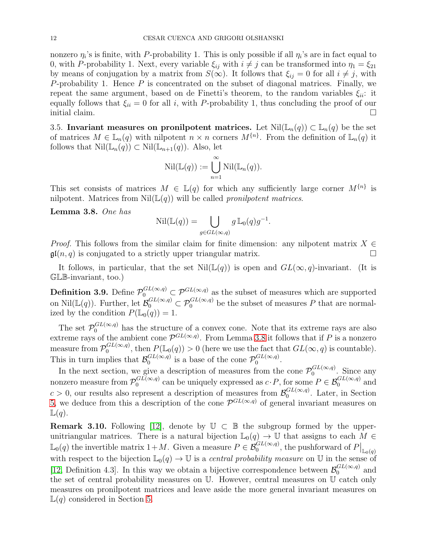nonzero  $\eta_i$ 's is finite, with P-probability 1. This is only possible if all  $\eta_i$ 's are in fact equal to 0, with P-probability 1. Next, every variable  $\xi_{ij}$  with  $i \neq j$  can be transformed into  $\eta_1 = \xi_{21}$ by means of conjugation by a matrix from  $S(\infty)$ . It follows that  $\xi_{ij} = 0$  for all  $i \neq j$ , with P-probability 1. Hence  $P$  is concentrated on the subset of diagonal matrices. Finally, we repeat the same argument, based on de Finetti's theorem, to the random variables  $\xi_{ii}$ : it equally follows that  $\xi_{ii} = 0$  for all i, with P-probability 1, thus concluding the proof of our initial claim.

<span id="page-11-0"></span>3.5. Invariant measures on pronilpotent matrices. Let  $Nil(\mathbb{L}_n(q)) \subset \mathbb{L}_n(q)$  be the set of matrices  $M \in \mathbb{L}_n(q)$  with nilpotent  $n \times n$  corners  $M^{\{n\}}$ . From the definition of  $\mathbb{L}_n(q)$  it follows that  $\text{Nil}(\mathbb{L}_n(q)) \subset \text{Nil}(\mathbb{L}_{n+1}(q))$ . Also, let

$$
\mathrm{Nil}(\mathbb{L}(q)) := \bigcup_{n=1}^{\infty} \mathrm{Nil}(\mathbb{L}_n(q)).
$$

This set consists of matrices  $M \in \mathbb{L}(q)$  for which any sufficiently large corner  $M^{\{n\}}$  is nilpotent. Matrices from  $Nil(\mathbb{L}(q))$  will be called pronilpotent matrices.

<span id="page-11-1"></span>Lemma 3.8. One has

$$
\operatorname{Nil}(\mathbb{L}(q)) = \bigcup_{g \in GL(\infty, q)} g \, \mathbb{L}_0(q) g^{-1}.
$$

*Proof.* This follows from the similar claim for finite dimension: any nilpotent matrix  $X \in \mathfrak{gl}(n, a)$  is conjugated to a strictly upper triangular matrix.  $\mathfrak{gl}(n, q)$  is conjugated to a strictly upper triangular matrix.

It follows, in particular, that the set  $Nil(\mathbb{L}(q))$  is open and  $GL(\infty,q)$ -invariant. (It is GLB-invariant, too.)

**Definition 3.9.** Define  $\mathcal{P}_0^{GL(\infty,q)} \subset \mathcal{P}^{GL(\infty,q)}$  as the subset of measures which are supported on  $\text{Nil}(\mathbb{L}(q))$ . Further, let  $\mathcal{B}_0^{GL(\infty,q)} \subset \mathcal{P}_0^{GL(\infty,q)}$  be the subset of measures P that are normalized by the condition  $P(\mathbb{L}_0(q)) = 1$ .

The set  $\mathcal{P}_0^{GL(\infty,q)}$  has the structure of a convex cone. Note that its extreme rays are also extreme rays of the ambient cone  $\mathcal{P}^{GL(\infty,q)}$ . From Lemma [3.8](#page-11-1) it follows that if P is a nonzero measure from  $\mathcal{P}_0^{GL(\infty,q)}$ , then  $P(\mathbb{L}_0(q)) > 0$  (here we use the fact that  $GL(\infty,q)$  is countable). This in turn implies that  $\mathcal{B}_0^{GL(\infty,q)}$  is a base of the cone  $\mathcal{P}_0^{GL(\infty,q)}$ .

In the next section, we give a description of measures from the cone  $\mathcal{P}_0^{GL(\infty,q)}$ . Since any nonzero measure from  $\mathcal{P}_0^{GL(\infty,q)}$  can be uniquely expressed as  $c \cdot P$ , for some  $P \in \mathcal{B}_0^{GL(\infty,q)}$  and  $c > 0$ , our results also represent a description of measures from  $\mathcal{B}_0^{GL(\infty,q)}$ . Later, in Section [5,](#page-19-0) we deduce from this a description of the cone  $\mathcal{P}^{GL(\infty,q)}$  of general invariant measures on  $\mathbb{L}(q)$ .

<span id="page-11-2"></span>**Remark 3.10.** Following [\[12\]](#page-45-0), denote by  $\mathbb{U} \subset \mathbb{B}$  the subgroup formed by the upperunitriangular matrices. There is a natural bijection  $\mathbb{L}_0(q) \to \mathbb{U}$  that assigns to each  $M \in$  $\mathbb{L}_0(q)$  the invertible matrix  $1+M$ . Given a measure  $P \in \mathcal{B}_0^{GL(\infty,q)}$ , the pushforward of  $P\big|_{\mathbb{L}_0(q)}$ with respect to the bijection  $\mathbb{L}_0(q) \to \mathbb{U}$  is a *central probability measure* on  $\mathbb{U}$  in the sense of [\[12,](#page-45-0) Definition 4.3]. In this way we obtain a bijective correspondence between  $\mathcal{B}_0^{GL(\infty,q)}$  and the set of central probability measures on U. However, central measures on U catch only measures on pronilpotent matrices and leave aside the more general invariant measures on  $\mathbb{L}(q)$  considered in Section [5.](#page-19-0)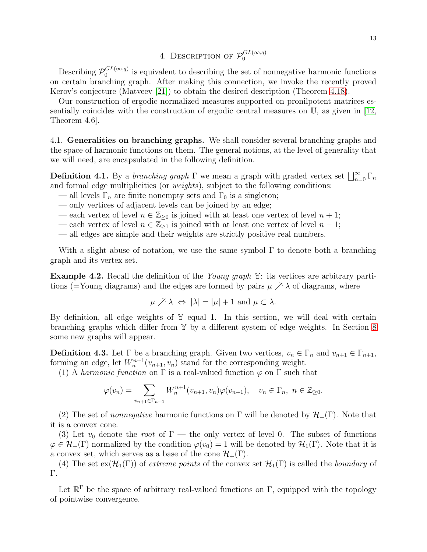4. DESCRIPTION OF  $\mathcal{P}_0^{GL(\infty,q)}$ 

<span id="page-12-0"></span>Describing  $\mathcal{P}_0^{GL(\infty,q)}$  is equivalent to describing the set of nonnegative harmonic functions on certain branching graph. After making this connection, we invoke the recently proved Kerov's conjecture (Matveev [\[21\]](#page-45-9)) to obtain the desired description (Theorem [4.18\)](#page-17-1).

Our construction of ergodic normalized measures supported on pronilpotent matrices essentially coincides with the construction of ergodic central measures on U, as given in [\[12,](#page-45-0) Theorem 4.6].

<span id="page-12-1"></span>4.1. Generalities on branching graphs. We shall consider several branching graphs and the space of harmonic functions on them. The general notions, at the level of generality that we will need, are encapsulated in the following definition.

<span id="page-12-2"></span>**Definition 4.1.** By a *branching graph*  $\Gamma$  we mean a graph with graded vertex set  $\bigsqcup_{n=0}^{\infty} \Gamma_n$ and formal edge multiplicities (or weights), subject to the following conditions:

- all levels  $\Gamma_n$  are finite nonempty sets and  $\Gamma_0$  is a singleton;
- only vertices of adjacent levels can be joined by an edge;
- each vertex of level  $n \in \mathbb{Z}_{\geq 0}$  is joined with at least one vertex of level  $n + 1$ ;
- each vertex of level  $n \in \mathbb{Z}_{\geq 1}$  is joined with at least one vertex of level  $n-1$ ;
- all edges are simple and their weights are strictly positive real numbers.

With a slight abuse of notation, we use the same symbol  $\Gamma$  to denote both a branching graph and its vertex set.

**Example 4.2.** Recall the definition of the *Young graph*  $Y$ : its vertices are arbitrary partitions (=Young diagrams) and the edges are formed by pairs  $\mu \nearrow \lambda$  of diagrams, where

$$
\mu \nearrow \lambda \iff |\lambda| = |\mu| + 1 \text{ and } \mu \subset \lambda.
$$

By definition, all edge weights of  $Y$  equal 1. In this section, we will deal with certain branching graphs which differ from Y by a different system of edge weights. In Section [8](#page-29-0) some new graphs will appear.

**Definition 4.3.** Let  $\Gamma$  be a branching graph. Given two vertices,  $v_n \in \Gamma_n$  and  $v_{n+1} \in \Gamma_{n+1}$ , forming an edge, let  $W_n^{n+1}(v_{n+1}, v_n)$  stand for the corresponding weight.

(1) A harmonic function on  $\Gamma$  is a real-valued function  $\varphi$  on  $\Gamma$  such that

$$
\varphi(v_n) = \sum_{v_{n+1} \in \Gamma_{n+1}} W_n^{n+1}(v_{n+1}, v_n) \varphi(v_{n+1}), \quad v_n \in \Gamma_n, \ n \in \mathbb{Z}_{\geq 0}.
$$

(2) The set of *nonnegative* harmonic functions on  $\Gamma$  will be denoted by  $\mathcal{H}_+(\Gamma)$ . Note that it is a convex cone.

(3) Let  $v_0$  denote the root of  $\Gamma$  — the only vertex of level 0. The subset of functions  $\varphi \in \mathcal{H}_+(\Gamma)$  normalized by the condition  $\varphi(v_0) = 1$  will be denoted by  $\mathcal{H}_1(\Gamma)$ . Note that it is a convex set, which serves as a base of the cone  $\mathcal{H}_+(\Gamma)$ .

(4) The set  $ex(\mathcal{H}_1(\Gamma))$  of extreme points of the convex set  $\mathcal{H}_1(\Gamma)$  is called the boundary of Γ.

Let  $\mathbb{R}^{\Gamma}$  be the space of arbitrary real-valued functions on  $\Gamma$ , equipped with the topology of pointwise convergence.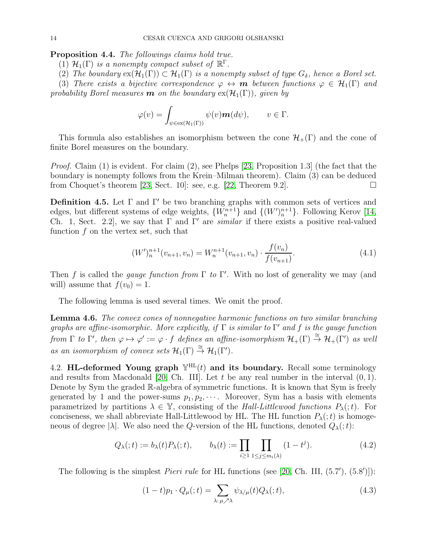<span id="page-13-2"></span>Proposition 4.4. The followings claims hold true.

- (1)  $\mathcal{H}_1(\Gamma)$  is a nonempty compact subset of  $\mathbb{R}^{\Gamma}$ .
- (2) The boundary  $ex(\mathcal{H}_1(\Gamma)) \subset \mathcal{H}_1(\Gamma)$  is a nonempty subset of type  $G_\delta$ , hence a Borel set.

(3) There exists a bijective correspondence  $\varphi \leftrightarrow m$  between functions  $\varphi \in \mathcal{H}_1(\Gamma)$  and probability Borel measures **m** on the boundary  $ex(\mathcal{H}_1(\Gamma))$ , given by

$$
\varphi(v) = \int_{\psi \in \text{ex}(\mathcal{H}_1(\Gamma))} \psi(v) \mathbf{m}(d\psi), \qquad v \in \Gamma.
$$

This formula also establishes an isomorphism between the cone  $\mathcal{H}_+(\Gamma)$  and the cone of finite Borel measures on the boundary.

*Proof.* Claim  $(1)$  is evident. For claim  $(2)$ , see Phelps [\[23,](#page-45-16) Proposition 1.3] (the fact that the boundary is nonempty follows from the Krein–Milman theorem). Claim (3) can be deduced from Choquet's theorem [\[23,](#page-45-16) Sect. 10]: see, e.g. [\[22,](#page-45-17) Theorem 9.2].

<span id="page-13-3"></span>Definition 4.5. Let  $\Gamma$  and  $\Gamma'$  be two branching graphs with common sets of vertices and edges, but different systems of edge weights,  $\{W_n^{n+1}\}\$  and  $\{(W')_n^{n+1}\}\$ . Following Kerov [\[14,](#page-45-18) Ch. 1, Sect. 2.2, we say that  $\Gamma$  and  $\Gamma'$  are *similar* if there exists a positive real-valued function  $f$  on the vertex set, such that

$$
(W')_{n}^{n+1}(v_{n+1}, v_n) = W_n^{n+1}(v_{n+1}, v_n) \cdot \frac{f(v_n)}{f(v_{n+1})}.
$$
\n(4.1)

Then f is called the *gauge function from*  $\Gamma$  to  $\Gamma'$ . With no lost of generality we may (and will) assume that  $f(v_0) = 1$ .

The following lemma is used several times. We omit the proof.

<span id="page-13-4"></span>Lemma 4.6. The convex cones of nonnegative harmonic functions on two similar branching graphs are affine-isomorphic. More explicitly, if  $\Gamma$  is similar to  $\Gamma'$  and  $f$  is the gauge function from  $\Gamma$  to  $\Gamma'$ , then  $\varphi \mapsto \varphi' := \varphi \cdot f$  defines an affine-isomorphism  $\mathcal{H}_+(\Gamma) \stackrel{\cong}{\to} \mathcal{H}_+(\Gamma')$  as well as an isomorphism of convex sets  $\mathcal{H}_1(\Gamma) \stackrel{\cong}{\to} \mathcal{H}_1(\Gamma').$ 

<span id="page-13-0"></span>4.2. HL-deformed Young graph  $\mathbb{Y}^{\text{HL}}(t)$  and its boundary. Recall some terminology and results from Macdonald [\[20,](#page-45-14) Ch. III]. Let  $t$  be any real number in the interval  $(0, 1)$ . Denote by Sym the graded R-algebra of symmetric functions. It is known that Sym is freely generated by 1 and the power-sums  $p_1, p_2, \cdots$ . Moreover, Sym has a basis with elements parametrized by partitions  $\lambda \in \mathbb{Y}$ , consisting of the Hall-Littlewood functions  $P_{\lambda}(t)$ . For conciseness, we shall abbreviate Hall-Littlewood by HL. The HL function  $P_{\lambda}(t)$  is homogeneous of degree  $|\lambda|$ . We also need the Q-version of the HL functions, denoted  $Q_{\lambda}(t)$ :

<span id="page-13-5"></span>
$$
Q_{\lambda}(t) := b_{\lambda}(t)P_{\lambda}(t), \qquad b_{\lambda}(t) := \prod_{i \geq 1} \prod_{1 \leq j \leq m_i(\lambda)} (1 - t^j). \tag{4.2}
$$

The following is the simplest *Pieri rule* for HL functions (see [\[20,](#page-45-14) Ch. III,  $(5.7')$ ,  $(5.8')$ ]):

<span id="page-13-1"></span>
$$
(1-t)p_1 \cdot Q_{\mu}(t) = \sum_{\lambda:\,\mu \nearrow \lambda} \psi_{\lambda/\mu}(t) Q_{\lambda}(t), \tag{4.3}
$$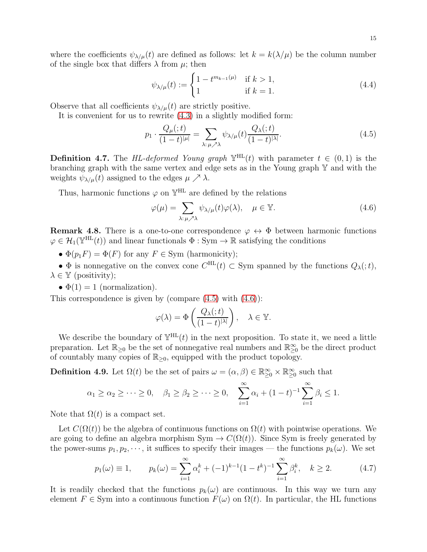where the coefficients  $\psi_{\lambda/\mu}(t)$  are defined as follows: let  $k = k(\lambda/\mu)$  be the column number of the single box that differs  $\lambda$  from  $\mu$ ; then

<span id="page-14-3"></span>
$$
\psi_{\lambda/\mu}(t) := \begin{cases} 1 - t^{m_{k-1}(\mu)} & \text{if } k > 1, \\ 1 & \text{if } k = 1. \end{cases}
$$
 (4.4)

Observe that all coefficients  $\psi_{\lambda/\mu}(t)$  are strictly positive.

It is convenient for us to rewrite [\(4.3\)](#page-13-1) in a slightly modified form:

<span id="page-14-0"></span>
$$
p_1 \cdot \frac{Q_\mu(t)}{(1-t)^{|\mu|}} = \sum_{\lambda:\,\mu \nearrow \lambda} \psi_{\lambda/\mu}(t) \frac{Q_\lambda(t)}{(1-t)^{|\lambda|}}.
$$
\n(4.5)

<span id="page-14-5"></span>**Definition 4.7.** The HL-deformed Young graph  $\mathbb{Y}^{\text{HL}}(t)$  with parameter  $t \in (0,1)$  is the branching graph with the same vertex and edge sets as in the Young graph Y and with the weights  $\psi_{\lambda/\mu}(t)$  assigned to the edges  $\mu \nearrow \lambda$ .

Thus, harmonic functions  $\varphi$  on  $\mathbb{Y}^{\text{HL}}$  are defined by the relations

<span id="page-14-1"></span>
$$
\varphi(\mu) = \sum_{\lambda:\,\mu \nearrow \lambda} \psi_{\lambda/\mu}(t)\varphi(\lambda), \quad \mu \in \mathbb{Y}.\tag{4.6}
$$

<span id="page-14-6"></span>**Remark 4.8.** There is a one-to-one correspondence  $\varphi \leftrightarrow \Phi$  between harmonic functions  $\varphi \in \mathcal{H}_1(\mathbb{Y}^{\text{HL}}(t))$  and linear functionals  $\Phi : \text{Sym} \to \mathbb{R}$  satisfying the conditions

•  $\Phi(p_1F) = \Phi(F)$  for any  $F \in \text{Sym}$  (harmonicity);

•  $\Phi$  is nonnegative on the convex cone  $C^{HL}(t) \subset$  Sym spanned by the functions  $Q_{\lambda}(t)$ ,  $\lambda \in \mathbb{Y}$  (positivity);

•  $\Phi(1) = 1$  (normalization).

This correspondence is given by (compare  $(4.5)$  with  $(4.6)$ ):

$$
\varphi(\lambda) = \Phi\left(\frac{Q_{\lambda}(t)}{(1-t)^{|\lambda|}}\right), \quad \lambda \in \mathbb{Y}.
$$

We describe the boundary of  $\mathbb{Y}^{\text{HL}}(t)$  in the next proposition. To state it, we need a little preparation. Let  $\mathbb{R}_{\geq 0}$  be the set of nonnegative real numbers and  $\mathbb{R}_{\geq 0}^{\infty}$  be the direct product of countably many copies of  $\mathbb{R}_{\geq 0}$ , equipped with the product topology.

<span id="page-14-4"></span>**Definition 4.9.** Let  $\Omega(t)$  be the set of pairs  $\omega = (\alpha, \beta) \in \mathbb{R}^{\infty}_{\geq 0} \times \mathbb{R}^{\infty}_{\geq 0}$  such that

$$
\alpha_1 \geq \alpha_2 \geq \cdots \geq 0
$$
,  $\beta_1 \geq \beta_2 \geq \cdots \geq 0$ ,  $\sum_{i=1}^{\infty} \alpha_i + (1-t)^{-1} \sum_{i=1}^{\infty} \beta_i \leq 1$ .

Note that  $\Omega(t)$  is a compact set.

Let  $C(\Omega(t))$  be the algebra of continuous functions on  $\Omega(t)$  with pointwise operations. We are going to define an algebra morphism  $Sym \to C(\Omega(t))$ . Since Sym is freely generated by the power-sums  $p_1, p_2, \dots$ , it suffices to specify their images — the functions  $p_k(\omega)$ . We set

<span id="page-14-2"></span>
$$
p_1(\omega) \equiv 1, \qquad p_k(\omega) = \sum_{i=1}^{\infty} \alpha_i^k + (-1)^{k-1} (1 - t^k)^{-1} \sum_{i=1}^{\infty} \beta_i^k, \quad k \ge 2. \tag{4.7}
$$

It is readily checked that the functions  $p_k(\omega)$  are continuous. In this way we turn any element  $F \in \text{Sym}$  into a continuous function  $F(\omega)$  on  $\Omega(t)$ . In particular, the HL functions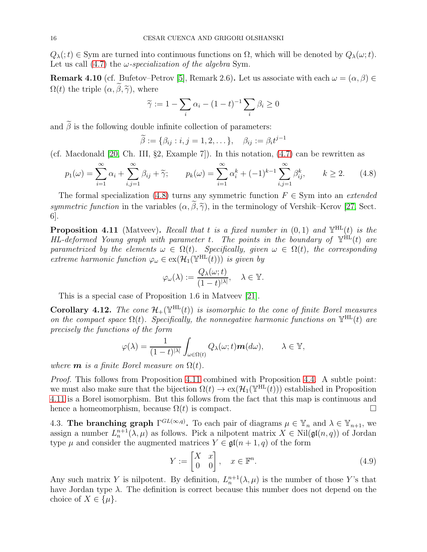$Q_{\lambda}(t) \in \text{Sym}$  are turned into continuous functions on  $\Omega$ , which will be denoted by  $Q_{\lambda}(\omega; t)$ . Let us call [\(4.7\)](#page-14-2) the  $\omega$ -specialization of the algebra Sym.

<span id="page-15-5"></span>**Remark 4.10** (cf. Bufetov–Petrov [\[5\]](#page-45-19), Remark 2.6). Let us associate with each  $\omega = (\alpha, \beta) \in$  $\Omega(t)$  the triple  $(\alpha, \tilde{\beta}, \tilde{\gamma})$ , where

$$
\widetilde{\gamma} := 1 - \sum_i \alpha_i - (1 - t)^{-1} \sum_i \beta_i \ge 0
$$

and  $\tilde{\beta}$  is the following double infinite collection of parameters:

$$
\widetilde{\beta} := \{ \beta_{ij} : i, j = 1, 2, \dots \}, \quad \beta_{ij} := \beta_i t^{j-1}
$$

(cf. Macdonald [\[20,](#page-45-14) Ch. III, §2, Example 7]). In this notation, [\(4.7\)](#page-14-2) can be rewritten as

<span id="page-15-1"></span>
$$
p_1(\omega) = \sum_{i=1}^{\infty} \alpha_i + \sum_{i,j=1}^{\infty} \beta_{ij} + \tilde{\gamma}; \qquad p_k(\omega) = \sum_{i=1}^{\infty} \alpha_i^k + (-1)^{k-1} \sum_{i,j=1}^{\infty} \beta_{ij}^k, \qquad k \ge 2. \tag{4.8}
$$

The formal specialization [\(4.8\)](#page-15-1) turns any symmetric function  $F \in \text{Sym}$  into an *extended* symmetric function in the variables  $(\alpha, \tilde{\beta}, \tilde{\gamma})$ , in the terminology of Vershik–Kerov [\[27,](#page-46-3) Sect. 6].

<span id="page-15-2"></span>**Proposition 4.11** (Matveev). Recall that t is a fixed number in  $(0,1)$  and  $\mathbb{Y}^{\text{HL}}(t)$  is the HL-deformed Young graph with parameter t. The points in the boundary of  $\mathbb{Y}^{\text{HL}}(t)$  are parametrized by the elements  $\omega \in \Omega(t)$ . Specifically, given  $\omega \in \Omega(t)$ , the corresponding extreme harmonic function  $\varphi_{\omega} \in \text{ex}(\mathcal{H}_1(\mathbb{Y}^{\text{HL}}(t)))$  is given by

$$
\varphi_{\omega}(\lambda) := \frac{Q_{\lambda}(\omega; t)}{(1-t)^{|\lambda|}}, \quad \lambda \in \mathbb{Y}.
$$

This is a special case of Proposition 1.6 in Matveev [\[21\]](#page-45-9).

<span id="page-15-4"></span>**Corollary 4.12.** The cone  $\mathcal{H}_+(\mathbb{Y}^{\text{HL}}(t))$  is isomorphic to the cone of finite Borel measures on the compact space  $\Omega(t)$ . Specifically, the nonnegative harmonic functions on  $\mathbb{Y}^{\text{HL}}(t)$  are precisely the functions of the form

$$
\varphi(\lambda) = \frac{1}{(1-t)^{|\lambda|}} \int_{\omega \in \Omega(t)} Q_{\lambda}(\omega; t) \mathbf{m}(d\omega), \qquad \lambda \in \mathbb{Y},
$$

where **m** is a finite Borel measure on  $\Omega(t)$ .

Proof. This follows from Proposition [4.11](#page-15-2) combined with Proposition [4.4.](#page-13-2) A subtle point: we must also make sure that the bijection  $\Omega(t) \to \text{ex}(\mathcal{H}_1(\mathbb{Y}^{\text{HL}}(t)))$  established in Proposition [4.11](#page-15-2) is a Borel isomorphism. But this follows from the fact that this map is continuous and hence a homeomorphism, because  $\Omega(t)$  is compact.  $\square$ 

<span id="page-15-0"></span>4.3. The branching graph  $\Gamma^{GL(\infty,q)}$ . To each pair of diagrams  $\mu \in \mathbb{Y}_n$  and  $\lambda \in \mathbb{Y}_{n+1}$ , we assign a number  $L_n^{n+1}(\lambda, \mu)$  as follows. Pick a nilpotent matrix  $X \in Nil(\mathfrak{gl}(n,q))$  of Jordan type  $\mu$  and consider the augmented matrices  $Y \in \mathfrak{gl}(n+1, q)$  of the form

<span id="page-15-3"></span>
$$
Y := \begin{bmatrix} X & x \\ 0 & 0 \end{bmatrix}, \quad x \in \mathbb{F}^n.
$$
 (4.9)

Any such matrix Y is nilpotent. By definition,  $L_n^{n+1}(\lambda, \mu)$  is the number of those Y's that have Jordan type  $\lambda$ . The definition is correct because this number does not depend on the choice of  $X \in {\{\mu\}}$ .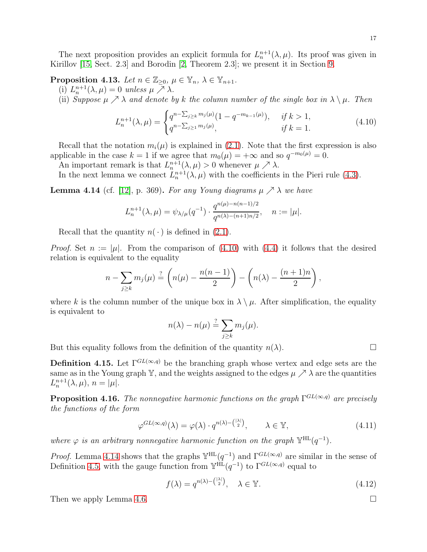<span id="page-16-0"></span>**Proposition 4.13.** Let  $n \in \mathbb{Z}_{\geq 0}$ ,  $\mu \in \mathbb{Y}_n$ ,  $\lambda \in \mathbb{Y}_{n+1}$ .

(i)  $L_n^{n+1}(\lambda, \mu) = 0$  unless  $\mu \nearrow \lambda$ .

(ii) Suppose  $\mu \nearrow \lambda$  and denote by k the column number of the single box in  $\lambda \setminus \mu$ . Then

<span id="page-16-1"></span>
$$
L_n^{n+1}(\lambda, \mu) = \begin{cases} q^{n - \sum_{j \ge k} m_j(\mu)} (1 - q^{-m_{k-1}(\mu)}), & \text{if } k > 1, \\ q^{n - \sum_{j \ge 1} m_j(\mu)}, & \text{if } k = 1. \end{cases} \tag{4.10}
$$

Recall that the notation  $m_i(\mu)$  is explained in [\(2.1\)](#page-7-2). Note that the first expression is also applicable in the case  $k = 1$  if we agree that  $m_0(\mu) = +\infty$  and so  $q^{-m_0(\mu)} = 0$ .

An important remark is that  $L_n^{n+1}(\lambda, \mu) > 0$  whenever  $\mu \nearrow \lambda$ .

In the next lemma we connect  $L_n^{n+1}(\lambda, \mu)$  with the coefficients in the Pieri rule [\(4.3\)](#page-13-1).

<span id="page-16-2"></span>**Lemma 4.14** (cf. [\[12\]](#page-45-0), p. 369). For any Young diagrams  $\mu \nearrow \lambda$  we have

$$
L_n^{n+1}(\lambda, \mu) = \psi_{\lambda/\mu}(q^{-1}) \cdot \frac{q^{n(\mu)-n(n-1)/2}}{q^{n(\lambda)-(n+1)n/2}}, \quad n := |\mu|.
$$

Recall that the quantity  $n(\cdot)$  is defined in [\(2.1\)](#page-7-2).

*Proof.* Set  $n := |\mu|$ . From the comparison of [\(4.10\)](#page-16-1) with [\(4.4\)](#page-14-3) it follows that the desired relation is equivalent to the equality

$$
n - \sum_{j \geq k} m_j(\mu) \stackrel{?}{=} \left( n(\mu) - \frac{n(n-1)}{2} \right) - \left( n(\lambda) - \frac{(n+1)n}{2} \right),
$$

where k is the column number of the unique box in  $\lambda \setminus \mu$ . After simplification, the equality is equivalent to

$$
n(\lambda) - n(\mu) \stackrel{?}{=} \sum_{j \geq k} m_j(\mu).
$$

But this equality follows from the definition of the quantity  $n(\lambda)$ .

**Definition 4.15.** Let  $\Gamma^{GL(\infty,q)}$  be the branching graph whose vertex and edge sets are the same as in the Young graph Y, and the weights assigned to the edges  $\mu \nearrow \lambda$  are the quantities  $L_n^{n+1}(\lambda, \mu), n = |\mu|.$ 

<span id="page-16-3"></span>**Proposition 4.16.** The nonnegative harmonic functions on the graph  $\Gamma^{GL(\infty,q)}$  are precisely the functions of the form

$$
\varphi^{GL(\infty,q)}(\lambda) = \varphi(\lambda) \cdot q^{n(\lambda) - \binom{|\lambda|}{2}}, \qquad \lambda \in \mathbb{Y}, \tag{4.11}
$$

where  $\varphi$  is an arbitrary nonnegative harmonic function on the graph  $\mathbb{Y}^{\text{HL}}(q^{-1})$ .

*Proof.* Lemma [4.14](#page-16-2) shows that the graphs  $\mathbb{Y}^{HL}(q^{-1})$  and  $\Gamma^{GL(\infty,q)}$  are similar in the sense of Definition [4.5,](#page-13-3) with the gauge function from  $\mathbb{Y}^{HL}(q^{-1})$  to  $\Gamma^{GL(\infty,q)}$  equal to

<span id="page-16-4"></span>
$$
f(\lambda) = q^{n(\lambda) - \binom{|\lambda|}{2}}, \quad \lambda \in \mathbb{Y}.\tag{4.12}
$$

Then we apply Lemma [4.6.](#page-13-4)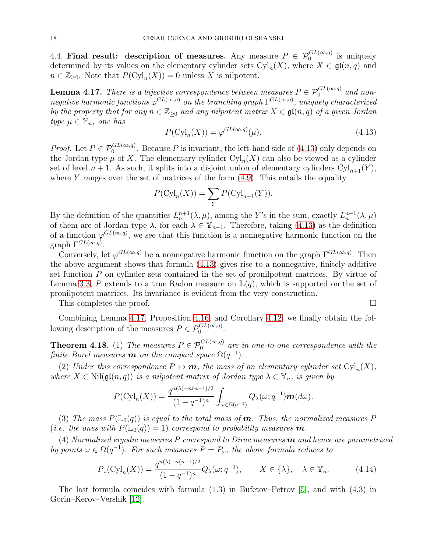<span id="page-17-0"></span>4.4. Final result: description of measures. Any measure  $P \in \mathcal{P}_0^{GL(\infty,q)}$  is uniquely determined by its values on the elementary cylinder sets  $Cyl_n(X)$ , where  $X \in \mathfrak{gl}(n,q)$  and  $n \in \mathbb{Z}_{\geq 0}$ . Note that  $P(\mathrm{Cyl}_n(X)) = 0$  unless X is nilpotent.

<span id="page-17-3"></span>**Lemma 4.17.** There is a bijective correspondence between measures  $P \in \mathcal{P}_0^{GL(\infty,q)}$  and nonnegative harmonic functions  $\varphi^{GL(\infty,q)}$  on the branching graph  $\Gamma^{GL(\infty,q)}$ , uniquely characterized by the property that for any  $n \in \mathbb{Z}_{\geq 0}$  and any nilpotent matrix  $X \in \mathfrak{gl}(n,q)$  of a given Jordan type  $\mu \in \mathbb{Y}_n$ , one has

<span id="page-17-2"></span>
$$
P(\mathrm{Cyl}_n(X)) = \varphi^{GL(\infty, q)}(\mu). \tag{4.13}
$$

*Proof.* Let  $P \in \mathcal{P}_0^{GL(\infty,q)}$ . Because P is invariant, the left-hand side of [\(4.13\)](#page-17-2) only depends on the Jordan type  $\mu$  of X. The elementary cylinder  $\mathrm{Cyl}_n(X)$  can also be viewed as a cylinder set of level  $n + 1$ . As such, it splits into a disjoint union of elementary cylinders  $Cyl_{n+1}(Y)$ , where Y ranges over the set of matrices of the form  $(4.9)$ . This entails the equality

$$
P(\mathrm{Cyl}_n(X)) = \sum_{Y} P(\mathrm{Cyl}_{n+1}(Y)).
$$

By the definition of the quantities  $L_n^{n+1}(\lambda,\mu)$ , among the Y's in the sum, exactly  $L_n^{n+1}(\lambda,\mu)$ of them are of Jordan type  $\lambda$ , for each  $\lambda \in \mathbb{Y}_{n+1}$ . Therefore, taking [\(4.13\)](#page-17-2) as the definition of a function  $\varphi^{GL(\infty,q)}$ , we see that this function is a nonnegative harmonic function on the graph  $\Gamma^{GL(\infty,q)}$ .

Conversely, let  $\varphi^{GL(\infty,q)}$  be a nonnegative harmonic function on the graph  $\Gamma^{GL(\infty,q)}$ . Then the above argument shows that formula [\(4.13\)](#page-17-2) gives rise to a nonnegative, finitely-additive set function P on cylinder sets contained in the set of pronilpotent matrices. By virtue of Lemma [3.3,](#page-9-1) P extends to a true Radon measure on  $\mathbb{L}(q)$ , which is supported on the set of pronilpotent matrices. Its invariance is evident from the very construction.

This completes the proof.  $\Box$ 

Combining Lemma [4.17,](#page-17-3) Proposition [4.16,](#page-16-3) and Corollary [4.12,](#page-15-4) we finally obtain the following description of the measures  $P \in \mathcal{P}_0^{GL(\infty,q)}$ .

<span id="page-17-1"></span>**Theorem 4.18.** (1) The measures  $P \in \mathcal{P}_0^{GL(\infty,q)}$  are in one-to-one correspondence with the finite Borel measures **m** on the compact space  $\Omega(q^{-1})$ .

(2) Under this correspondence  $P \leftrightarrow m$ , the mass of an elementary cylinder set  $\text{Cyl}_n(X)$ , where  $X \in Nil(\mathfrak{gl}(n,q))$  is a nilpotent matrix of Jordan type  $\lambda \in \mathbb{Y}_n$ , is given by

$$
P(\mathrm{Cyl}_n(X)) = \frac{q^{n(\lambda)-n(n-1)/2}}{(1-q^{-1})^n} \int_{\omega \in \Omega(q^{-1})} Q_\lambda(\omega; q^{-1}) \mathbf{m}(d\omega).
$$

(3) The mass  $P(\mathbb{L}_0(q))$  is equal to the total mass of **m**. Thus, the normalized measures P (*i.e. the ones with*  $P(\mathbb{L}_0(q)) = 1$ ) correspond to probability measures **m**.

(4) Normalized ergodic measures P correspond to Dirac measures  $\boldsymbol{m}$  and hence are parametrized by points  $\omega \in \Omega(q^{-1})$ . For such measures  $P = P_{\omega}$ , the above formula reduces to

<span id="page-17-4"></span>
$$
P_{\omega}(\mathrm{Cyl}_n(X)) = \frac{q^{n(\lambda) - n(n-1)/2}}{(1 - q^{-1})^n} Q_{\lambda}(\omega; q^{-1}), \qquad X \in \{\lambda\}, \quad \lambda \in \mathbb{Y}_n.
$$
 (4.14)

The last formula coincides with formula (1.3) in Bufetov–Petrov [\[5\]](#page-45-19), and with (4.3) in Gorin–Kerov–Vershik [\[12\]](#page-45-0).

$$
\Box
$$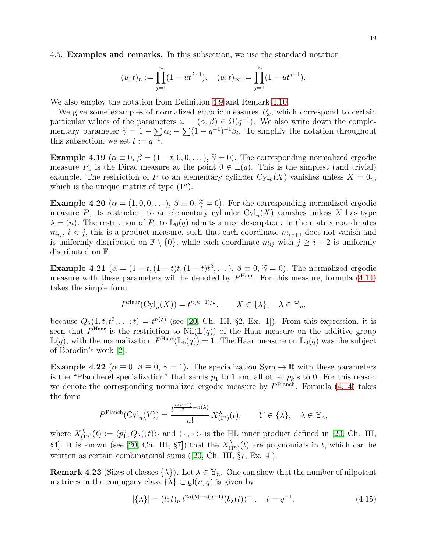<span id="page-18-0"></span>4.5. Examples and remarks. In this subsection, we use the standard notation

$$
(u;t)_n := \prod_{j=1}^n (1 - ut^{j-1}), \quad (u;t)_{\infty} := \prod_{j=1}^{\infty} (1 - ut^{j-1}).
$$

We also employ the notation from Definition [4.9](#page-14-4) and Remark [4.10.](#page-15-5)

We give some examples of normalized ergodic measures  $P_{\omega}$ , which correspond to certain particular values of the parameters  $\omega = (\alpha, \beta) \in \Omega(q^{-1})$ . We also write down the complementary parameter  $\tilde{\gamma} = 1 - \sum_{i=1}^{\infty} \alpha_i - \sum_{i=1}^{\infty} (1 - q^{-1})^{-1} \beta_i$ . To simplify the notation throughout this subsection, we set  $t := q^{-1}$ .

**Example 4.19** ( $\alpha \equiv 0$ ,  $\beta = (1 - t, 0, 0, \dots)$ ,  $\tilde{\gamma} = 0$ ). The corresponding normalized ergodic measure  $P_{\omega}$  is the Dirac measure at the point  $0 \in \mathbb{L}(q)$ . This is the simplest (and trivial) example. The restriction of P to an elementary cylinder  $\text{Cyl}_n(X)$  vanishes unless  $X = 0_n$ , which is the unique matrix of type  $(1^n)$ .

**Example 4.20** ( $\alpha = (1, 0, 0, \dots)$ ,  $\beta \equiv 0, \tilde{\gamma} = 0$ ). For the corresponding normalized ergodic measure P, its restriction to an elementary cylinder  $Cyl_n(X)$  vanishes unless X has type  $\lambda = (n)$ . The restriction of  $P_{\omega}$  to  $\mathbb{L}_0(q)$  admits a nice description: in the matrix coordinates  $m_{ij}$ ,  $i < j$ , this is a product measure, such that each coordinate  $m_{i,i+1}$  does not vanish and is uniformly distributed on  $\mathbb{F} \setminus \{0\}$ , while each coordinate  $m_{ij}$  with  $j \geq i+2$  is uniformly distributed on F.

<span id="page-18-1"></span>Example 4.21  $(\alpha = (1-t), (1-t)t, (1-t)t^2, \ldots), \beta \equiv 0, \tilde{\gamma} = 0)$ . The normalized ergodic<br>measure with these nonpretant will be denoted by Phar. Earthis measure, formula (4.14) measure with these parameters will be denoted by  $P^{\text{Haar}}$ . For this measure, formula [\(4.14\)](#page-17-4) takes the simple form

$$
P^{\text{Haar}}(\text{Cyl}_n(X)) = t^{n(n-1)/2}, \qquad X \in \{\lambda\}, \quad \lambda \in \mathbb{Y}_n,
$$

because  $Q_{\lambda}(1, t, t^2, \ldots; t) = t^{n(\lambda)}$  (see [\[20,](#page-45-14) Ch. III, §2, Ex. 1]). From this expression, it is seen that  $P^{\text{Haar}}$  is the restriction to  $\text{Nil}(\mathbb{L}(q))$  of the Haar measure on the additive group  $\mathbb{L}(q)$ , with the normalization  $P^{\text{Haar}}(\mathbb{L}_0(q)) = 1$ . The Haar measure on  $\mathbb{L}_0(q)$  was the subject of Borodin's work [\[2\]](#page-45-21).

Example 4.22 ( $\alpha \equiv 0$ ,  $\beta \equiv 0$ ,  $\tilde{\gamma} = 1$ ). The specialization Sym  $\rightarrow \mathbb{R}$  with these parameters is the "Plancherel specialization" that sends  $p_1$  to 1 and all other  $p_k$ 's to 0. For this reason we denote the corresponding normalized ergodic measure by  $P<sup>Planch</sup>$ . Formula [\(4.14\)](#page-17-4) takes the form

$$
P^{\text{Planch}}(\text{Cyl}_n(Y)) = \frac{t^{\frac{n(n-1)}{2} - n(\lambda)}}{n!} X_{(1^n)}^{\lambda}(t), \qquad Y \in \{\lambda\}, \quad \lambda \in \mathbb{Y}_n,
$$

where  $X^{\lambda}_{(1^n)}(t) := \langle p_1^n, Q_{\lambda}(t) \rangle_t$  and  $\langle \cdot, \cdot \rangle_t$  is the HL inner product defined in [\[20,](#page-45-14) Ch. III, §4]. It is known (see [\[20,](#page-45-14) Ch. III, §7]) that the  $X^{\lambda}_{(1^n)}(t)$  are polynomials in t, which can be written as certain combinatorial sums([\[20,](#page-45-14) Ch. III, §7, Ex. 4]).

**Remark 4.23** (Sizes of classes  $\{\lambda\}$ ). Let  $\lambda \in \mathbb{Y}_n$ . One can show that the number of nilpotent matrices in the conjugacy class  $\{\lambda\} \subset \mathfrak{gl}(n,q)$  is given by

$$
|\{\lambda\}| = (t; t)_n t^{2n(\lambda) - n(n-1)} (b_\lambda(t))^{-1}, \quad t = q^{-1}.
$$
 (4.15)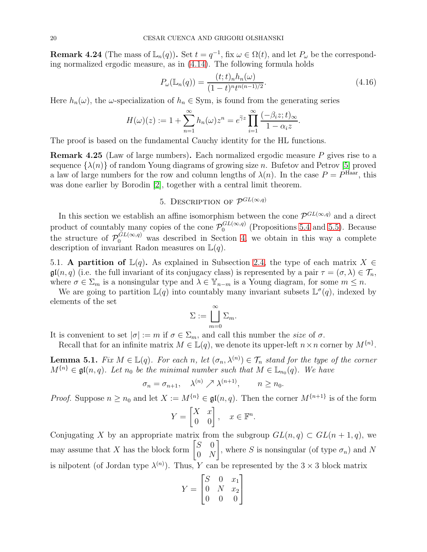**Remark 4.24** (The mass of  $\mathbb{L}_n(q)$ ). Set  $t = q^{-1}$ , fix  $\omega \in \Omega(t)$ , and let  $P_{\omega}$  be the corresponding normalized ergodic measure, as in [\(4.14\)](#page-17-4). The following formula holds

$$
P_{\omega}(\mathbb{L}_n(q)) = \frac{(t;t)_n h_n(\omega)}{(1-t)^n t^{n(n-1)/2}}.
$$
\n(4.16)

Here  $h_n(\omega)$ , the  $\omega$ -specialization of  $h_n \in \text{Sym}$ , is found from the generating series

$$
H(\omega)(z) := 1 + \sum_{n=1}^{\infty} h_n(\omega) z^n = e^{\tilde{\gamma} z} \prod_{i=1}^{\infty} \frac{(-\beta_i z; t)_{\infty}}{1 - \alpha_i z}.
$$

The proof is based on the fundamental Cauchy identity for the HL functions.

**Remark 4.25** (Law of large numbers). Each normalized ergodic measure  $P$  gives rise to a sequence  $\{\lambda(n)\}\$  of random Young diagrams of growing size n. Bufetov and Petrov [\[5\]](#page-45-19) proved a law of large numbers for the row and column lengths of  $\lambda(n)$ . In the case  $P = P^{\text{Haar}}$ , this was done earlier by Borodin [\[2\]](#page-45-21), together with a central limit theorem.

# 5. DESCRIPTION OF  $\mathcal{P}^{GL(\infty,q)}$

<span id="page-19-0"></span>In this section we establish an affine isomorphism between the cone  $\mathcal{P}^{GL(\infty,q)}$  and a direct product of countably many copies of the cone  $\mathcal{P}_0^{GL(\infty,q)}$  (Propositions [5.4](#page-20-1) and [5.5\)](#page-20-2). Because the structure of  $\mathcal{P}_0^{GL(\infty,q)}$  was described in Section [4,](#page-12-0) we obtain in this way a complete description of invariant Radon measures on  $\mathbb{L}(q)$ .

<span id="page-19-1"></span>5.1. A partition of  $\mathbb{L}(q)$ . As explained in Subsection [2.4,](#page-7-1) the type of each matrix  $X \in$  $\mathfrak{gl}(n,q)$  (i.e. the full invariant of its conjugacy class) is represented by a pair  $\tau = (\sigma, \lambda) \in \mathcal{T}_n$ , where  $\sigma \in \Sigma_m$  is a nonsingular type and  $\lambda \in \mathbb{Y}_{n-m}$  is a Young diagram, for some  $m \leq n$ .

We are going to partition  $\mathbb{L}(q)$  into countably many invariant subsets  $\mathbb{L}^{\sigma}(q)$ , indexed by elements of the set

$$
\Sigma := \bigsqcup_{m=0}^{\infty} \Sigma_m.
$$

It is convenient to set  $|\sigma| := m$  if  $\sigma \in \Sigma_m$ , and call this number the size of  $\sigma$ .

Recall that for an infinite matrix  $M \in \mathbb{L}(q)$ , we denote its upper-left  $n \times n$  corner by  $M^{\{n\}}$ .

<span id="page-19-2"></span>**Lemma 5.1.** Fix  $M \in \mathbb{L}(q)$ . For each n, let  $(\sigma_n, \lambda^{(n)}) \in \mathcal{T}_n$  stand for the type of the corner  $M^{\{n\}} \in \mathfrak{gl}(n,q)$ . Let  $n_0$  be the minimal number such that  $M \in \mathbb{L}_{n_0}(q)$ . We have

$$
\sigma_n = \sigma_{n+1}, \quad \lambda^{(n)} \nearrow \lambda^{(n+1)}, \qquad n \ge n_0.
$$

*Proof.* Suppose  $n \ge n_0$  and let  $X := M^{\{n\}} \in \mathfrak{gl}(n, q)$ . Then the corner  $M^{\{n+1\}}$  is of the form

$$
Y = \begin{bmatrix} X & x \\ 0 & 0 \end{bmatrix}, \quad x \in \mathbb{F}^n
$$

.

Conjugating X by an appropriate matrix from the subgroup  $GL(n, q) \subset GL(n + 1, q)$ , we may assume that X has the block form  $\begin{bmatrix} S & 0 \\ 0 & N \end{bmatrix}$  $0 N$ 1 , where S is nonsingular (of type  $\sigma_n$ ) and N is nilpotent (of Jordan type  $\lambda^{(n)}$ ). Thus, Y can be represented by the  $3 \times 3$  block matrix

$$
Y = \begin{bmatrix} S & 0 & x_1 \\ 0 & N & x_2 \\ 0 & 0 & 0 \end{bmatrix}
$$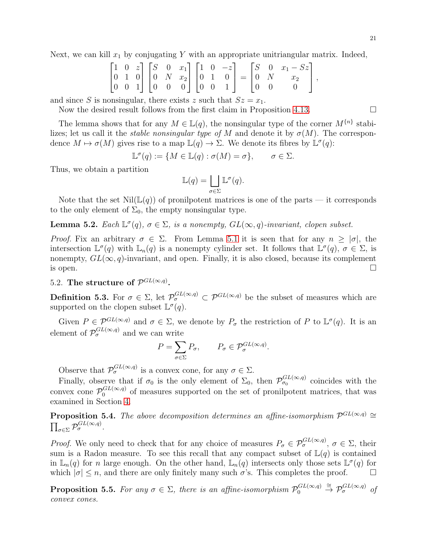Next, we can kill  $x_1$  by conjugating Y with an appropriate unitriangular matrix. Indeed,

$$
\begin{bmatrix} 1 & 0 & z \\ 0 & 1 & 0 \\ 0 & 0 & 1 \end{bmatrix} \begin{bmatrix} S & 0 & x_1 \\ 0 & N & x_2 \\ 0 & 0 & 0 \end{bmatrix} \begin{bmatrix} 1 & 0 & -z \\ 0 & 1 & 0 \\ 0 & 0 & 1 \end{bmatrix} = \begin{bmatrix} S & 0 & x_1 - Sz \\ 0 & N & x_2 \\ 0 & 0 & 0 \end{bmatrix},
$$

and since S is nonsingular, there exists z such that  $Sz = x_1$ .

Now the desired result follows from the first claim in Proposition [4.13.](#page-16-0)  $\Box$ 

The lemma shows that for any  $M \in \mathbb{L}(q)$ , the nonsingular type of the corner  $M^{\{n\}}$  stabilizes; let us call it the *stable nonsingular type of* M and denote it by  $\sigma(M)$ . The correspondence  $M \mapsto \sigma(M)$  gives rise to a map  $\mathbb{L}(q) \to \Sigma$ . We denote its fibres by  $\mathbb{L}^{\sigma}(q)$ :

$$
\mathbb{L}^{\sigma}(q) := \{ M \in \mathbb{L}(q) : \sigma(M) = \sigma \}, \qquad \sigma \in \Sigma.
$$

Thus, we obtain a partition

$$
\mathbb{L}(q) = \bigsqcup_{\sigma \in \Sigma} \mathbb{L}^{\sigma}(q).
$$

Note that the set  $Nil(\mathbb{L}(q))$  of pronilpotent matrices is one of the parts — it corresponds to the only element of  $\Sigma_0$ , the empty nonsingular type.

**Lemma 5.2.** Each  $\mathbb{L}^{\sigma}(q)$ ,  $\sigma \in \Sigma$ , is a nonempty,  $GL(\infty, q)$ -invariant, clopen subset.

Proof. Fix an arbitrary  $\sigma \in \Sigma$ . From Lemma [5.1](#page-19-2) it is seen that for any  $n \geq |\sigma|$ , the intersection  $\mathbb{L}^{\sigma}(q)$  with  $\mathbb{L}_n(q)$  is a nonempty cylinder set. It follows that  $\mathbb{L}^{\sigma}(q)$ ,  $\sigma \in \Sigma$ , is nonempty,  $GL(\infty, q)$ -invariant, and open. Finally, it is also closed, because its complement is open. is open.  $\Box$ 

# <span id="page-20-0"></span>5.2. The structure of  $\mathcal{P}^{GL(\infty,q)}$ .

**Definition 5.3.** For  $\sigma \in \Sigma$ , let  $\mathcal{P}_{\sigma}^{GL(\infty,q)} \subset \mathcal{P}^{GL(\infty,q)}$  be the subset of measures which are supported on the clopen subset  $\mathbb{L}^{\sigma}(q)$ .

Given  $P \in \mathcal{P}^{GL(\infty,q)}$  and  $\sigma \in \Sigma$ , we denote by  $P_{\sigma}$  the restriction of P to  $\mathbb{L}^{\sigma}(q)$ . It is an element of  $\mathcal{P}_{\sigma}^{GL(\infty,q)}$  and we can write

$$
P = \sum_{\sigma \in \Sigma} P_{\sigma}, \qquad P_{\sigma} \in \mathcal{P}_{\sigma}^{GL(\infty, q)}.
$$

Observe that  $\mathcal{P}_{\sigma}^{GL(\infty,q)}$  is a convex cone, for any  $\sigma \in \Sigma$ .

Finally, observe that if  $\sigma_0$  is the only element of  $\Sigma_0$ , then  $\mathcal{P}^{GL(\infty,q)}_{\sigma_0}$  coincides with the convex cone  $\mathcal{P}_0^{GL(\infty,q)}$  of measures supported on the set of pronilpotent matrices, that was examined in Section [4.](#page-12-0)

<span id="page-20-1"></span>**Proposition 5.4.** The above decomposition determines an affine-isomorphism  $\mathcal{P}^{GL(\infty,q)} \cong$  $\prod_{\sigma\in\Sigma}\mathcal{P}^{GL(\infty,q)}_{\sigma}$ .

*Proof.* We only need to check that for any choice of measures  $P_{\sigma} \in \mathcal{P}_{\sigma}^{GL(\infty,q)}$ ,  $\sigma \in \Sigma$ , their sum is a Radon measure. To see this recall that any compact subset of  $\mathbb{L}(q)$  is contained in  $\mathbb{L}_n(q)$  for n large enough. On the other hand,  $\mathbb{L}_n(q)$  intersects only those sets  $\mathbb{L}^{\sigma}(q)$  for which  $|\sigma| \leq n$ , and there are only finitely many such  $\sigma$ 's. This completes the proof.  $\Box$ 

<span id="page-20-2"></span>**Proposition 5.5.** For any  $\sigma \in \Sigma$ , there is an affine-isomorphism  $\mathcal{P}_0^{GL(\infty,q)} \stackrel{\cong}{\to} \mathcal{P}_\sigma^{GL(\infty,q)}$  of convex cones.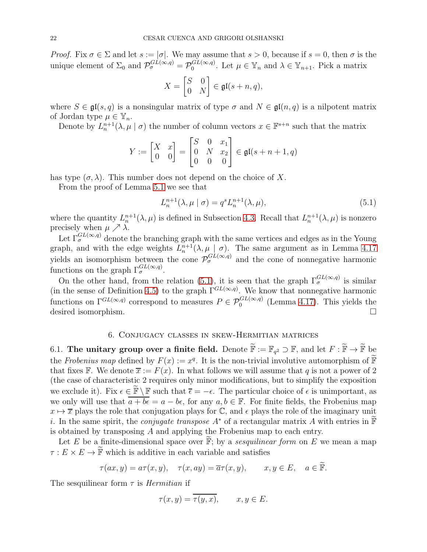Proof. Fix  $\sigma \in \Sigma$  and let  $s := |\sigma|$ . We may assume that  $s > 0$ , because if  $s = 0$ , then  $\sigma$  is the unique element of  $\Sigma_0$  and  $\mathcal{P}_{\sigma}^{GL(\infty,q)} = \mathcal{P}_{0}^{GL(\infty,q)}$ . Let  $\mu \in \mathbb{Y}_n$  and  $\lambda \in \mathbb{Y}_{n+1}$ . Pick a matrix

$$
X = \begin{bmatrix} S & 0 \\ 0 & N \end{bmatrix} \in \mathfrak{gl}(s+n, q),
$$

where  $S \in \mathfrak{gl}(s,q)$  is a nonsingular matrix of type  $\sigma$  and  $N \in \mathfrak{gl}(n,q)$  is a nilpotent matrix of Jordan type  $\mu \in \mathbb{Y}_n$ .

Denote by  $L_n^{n+1}(\lambda, \mu \mid \sigma)$  the number of column vectors  $x \in \mathbb{F}^{s+n}$  such that the matrix

$$
Y := \begin{bmatrix} X & x \\ 0 & 0 \end{bmatrix} = \begin{bmatrix} S & 0 & x_1 \\ 0 & N & x_2 \\ 0 & 0 & 0 \end{bmatrix} \in \mathfrak{gl}(s+n+1, q)
$$

has type  $(\sigma, \lambda)$ . This number does not depend on the choice of X.

From the proof of Lemma [5.1](#page-19-2) we see that

<span id="page-21-2"></span>
$$
L_n^{n+1}(\lambda, \mu \mid \sigma) = q^s L_n^{n+1}(\lambda, \mu), \tag{5.1}
$$

where the quantity  $L_n^{n+1}(\lambda, \mu)$  is defined in Subsection [4.3.](#page-15-0) Recall that  $L_n^{n+1}(\lambda, \mu)$  is nonzero precisely when  $\mu \nearrow \lambda$ .

Let  $\Gamma_{\sigma}^{GL(\infty,q)}$  denote the branching graph with the same vertices and edges as in the Young graph, and with the edge weights  $L_n^{n+1}(\lambda, \mu \mid \sigma)$ . The same argument as in Lemma [4.17](#page-17-3) yields an isomorphism between the cone  $\mathcal{P}_{\sigma}^{GL(\infty,q)}$  and the cone of nonnegative harmonic functions on the graph  $\Gamma_{\sigma}^{GL(\infty,q)}$ .

On the other hand, from the relation [\(5.1\)](#page-21-2), it is seen that the graph  $\Gamma_{\sigma}^{GL(\infty,q)}$  is similar (in the sense of Definition [4.5\)](#page-13-3) to the graph  $\Gamma^{GL(\infty,q)}$ . We know that nonnegative harmonic functions on  $\Gamma^{GL(\infty,q)}$  correspond to measures  $P \in \mathcal{P}_0^{GL(\infty,q)}$  (Lemma [4.17\)](#page-17-3). This yields the desired isomorphism.

## 6. Conjugacy classes in skew-Hermitian matrices

<span id="page-21-1"></span><span id="page-21-0"></span>6.1. The unitary group over a finite field. Denote  $\widetilde{\mathbb{F}} := \mathbb{F}_{q^2} \supset \mathbb{F}$ , and let  $F : \widetilde{\mathbb{F}} \to \widetilde{\mathbb{F}}$  be the Frobenius map defined by  $F(x) := x^q$ . It is the non-trivial involutive automorphism of  $\widetilde{\mathbb{F}}$ that fixes F. We denote  $\overline{x} := F(x)$ . In what follows we will assume that q is not a power of 2 (the case of characteristic 2 requires only minor modifications, but to simplify the exposition we exclude it). Fix  $\epsilon \in \mathbb{F} \setminus \mathbb{F}$  such that  $\overline{\epsilon} = -\epsilon$ . The particular choice of  $\epsilon$  is unimportant, as we only will use that  $\overline{a+b\epsilon} = a-b\epsilon$ , for any  $a, b \in \mathbb{F}$ . For finite fields, the Frobenius map  $x \mapsto \overline{x}$  plays the role that conjugation plays for  $\mathbb{C}$ , and  $\epsilon$  plays the role of the imaginary unit i. In the same spirit, the *conjugate transpose*  $A^*$  of a rectangular matrix A with entries in  $\mathbb F$ is obtained by transposing A and applying the Frobenius map to each entry.

Let E be a finite-dimensional space over  $\widetilde{F}$ ; by a sesquilinear form on E we mean a map  $\tau: E \times E \to \tilde{\mathbb{F}}$  which is additive in each variable and satisfies

$$
\tau(ax, y) = a\tau(x, y), \quad \tau(x, ay) = \overline{a}\tau(x, y), \qquad x, y \in E, \quad a \in \widetilde{\mathbb{F}}.
$$

The sesquilinear form  $\tau$  is *Hermitian* if

$$
\tau(x, y) = \overline{\tau(y, x)}, \qquad x, y \in E.
$$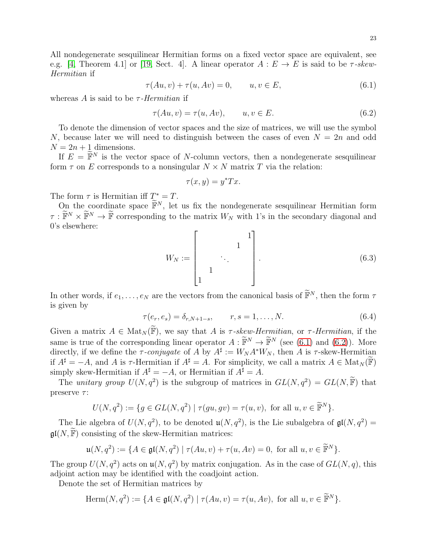<span id="page-22-0"></span>
$$
\tau(Au, v) + \tau(u, Av) = 0, \qquad u, v \in E,
$$
\n
$$
(6.1)
$$

whereas A is said to be  $\tau$ -Hermitian if

<span id="page-22-1"></span>
$$
\tau(Au, v) = \tau(u, Av), \qquad u, v \in E. \tag{6.2}
$$

To denote the dimension of vector spaces and the size of matrices, we will use the symbol N, because later we will need to distinguish between the cases of even  $N = 2n$  and odd  $N = 2n + 1$  dimensions.

If  $E = \widetilde{\mathbb{F}}^N$  is the vector space of N-column vectors, then a nondegenerate sesquilinear form  $\tau$  on E corresponds to a nonsingular  $N \times N$  matrix T via the relation:

$$
\tau(x, y) = y^* Tx.
$$

The form  $\tau$  is Hermitian iff  $T^* = T$ .

On the coordinate space  $\widetilde{\mathbb{F}}^N$ , let us fix the nondegenerate sesquilinear Hermitian form  $\tau : \widetilde{\mathbb{F}}^N \times \widetilde{\mathbb{F}}^N \to \widetilde{\mathbb{F}}$  corresponding to the matrix  $W_N$  with 1's in the secondary diagonal and 0's elsewhere:

<span id="page-22-2"></span>
$$
W_N := \begin{bmatrix} & & & 1 \\ & & \ddots & \\ & & & \ddots \\ 1 & & & & \end{bmatrix} . \tag{6.3}
$$

In other words, if  $e_1, \ldots, e_N$  are the vectors from the canonical basis of  $\widetilde{\mathbb{F}}^N$ , then the form  $\tau$ is given by

$$
\tau(e_r, e_s) = \delta_{r, N+1-s}, \qquad r, s = 1, \dots, N.
$$
\n(6.4)

Given a matrix  $A \in Mat_N(\widetilde{F})$ , we say that A is  $\tau$ -skew-Hermitian, or  $\tau$ -Hermitian, if the same is true of the corresponding linear operator  $A : \widetilde{\mathbb{F}}^N \to \widetilde{\mathbb{F}}^N$  (see [\(6.1\)](#page-22-0) and [\(6.2\)](#page-22-1)). More directly, if we define the  $\tau$ -conjugate of A by  $A^{\sharp} := W_N A^* W_N$ , then A is  $\tau$ -skew-Hermitian if  $A^{\sharp} = -A$ , and A is  $\tau$ -Hermitian if  $A^{\sharp} = A$ . For simplicity, we call a matrix  $A \in Mat_N(\mathbb{F})$ simply skew-Hermitian if  $A^{\sharp} = -A$ , or Hermitian if  $A^{\sharp} = A$ .

The *unitary group*  $U(N, q^2)$  is the subgroup of matrices in  $GL(N, q^2) = GL(N, \tilde{\mathbb{F}})$  that preserve  $\tau$ :

$$
U(N, q^2) := \{ g \in GL(N, q^2) \mid \tau(gu, gv) = \tau(u, v), \text{ for all } u, v \in \widetilde{\mathbb{F}}^N \}.
$$

The Lie algebra of  $U(N, q^2)$ , to be denoted  $\mathfrak{u}(N, q^2)$ , is the Lie subalgebra of  $\mathfrak{gl}(N, q^2)$  =  $\mathfrak{gl}(N,\widetilde{\mathbb{F}})$  consisting of the skew-Hermitian matrices:

$$
\mathfrak{u}(N,q^2) := \{ A \in \mathfrak{gl}(N,q^2) \mid \tau(Au,v) + \tau(u,Av) = 0, \text{ for all } u, v \in \widetilde{\mathbb{F}}^N \}.
$$

The group  $U(N, q^2)$  acts on  $\mathfrak{u}(N, q^2)$  by matrix conjugation. As in the case of  $GL(N, q)$ , this adjoint action may be identified with the coadjoint action.

Denote the set of Hermitian matrices by

Herm
$$
(N, q^2) := \{ A \in \mathfrak{gl}(N, q^2) \mid \tau(Au, v) = \tau(u, Av), \text{ for all } u, v \in \widetilde{\mathbb{F}}^N \}.
$$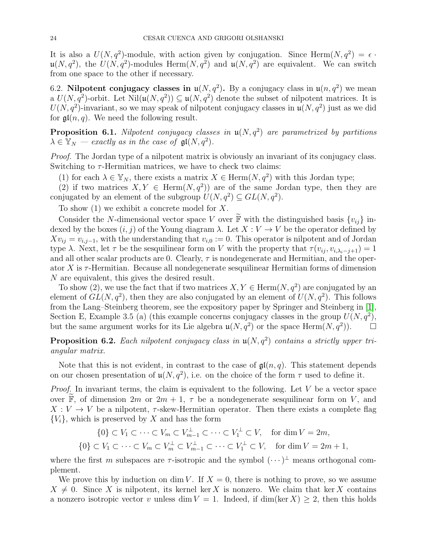It is also a  $U(N, q^2)$ -module, with action given by conjugation. Since Herm $(N, q^2) = \epsilon$ .  $\mathfrak{u}(N,q^2)$ , the  $U(N,q^2)$ -modules Herm $(N,q^2)$  and  $\mathfrak{u}(N,q^2)$  are equivalent. We can switch from one space to the other if necessary.

<span id="page-23-0"></span>6.2. Nilpotent conjugacy classes in  $\mathfrak{u}(N, q^2)$ . By a conjugacy class in  $\mathfrak{u}(n, q^2)$  we mean  $\mathfrak{u}(N, q^2)$ -orbit. Let  $\text{Nil}(\mathfrak{u}(N, q^2)) \subseteq \mathfrak{u}(N, q^2)$  denote the subset of nilpotent matrices. It is  $U(N, q^2)$ -invariant, so we may speak of nilpotent conjugacy classes in  $\mathfrak{u}(N, q^2)$  just as we did for  $\mathfrak{gl}(n,q)$ . We need the following result.

<span id="page-23-2"></span>**Proposition 6.1.** Nilpotent conjugacy classes in  $\mathfrak{u}(N, q^2)$  are parametrized by partitions  $\lambda \in \mathbb{Y}_N$  — exactly as in the case of  $\mathfrak{gl}(N, q^2)$ .

Proof. The Jordan type of a nilpotent matrix is obviously an invariant of its conjugacy class. Switching to  $\tau$ -Hermitian matrices, we have to check two claims:

(1) for each  $\lambda \in \mathbb{Y}_N$ , there exists a matrix  $X \in \text{Herm}(N, q^2)$  with this Jordan type;

(2) if two matrices  $X, Y \in \text{Herm}(N, q^2)$  are of the same Jordan type, then they are conjugated by an element of the subgroup  $U(N, q^2) \subseteq GL(N, q^2)$ .

To show  $(1)$  we exhibit a concrete model for X.

Consider the N-dimensional vector space V over  $\mathbb{F}$  with the distinguished basis  $\{v_{ij}\}\$  indexed by the boxes  $(i, j)$  of the Young diagram  $\lambda$ . Let  $X: V \to V$  be the operator defined by  $Xv_{ij} = v_{i,j-1}$ , with the understanding that  $v_{i,0} := 0$ . This operator is nilpotent and of Jordan type  $\lambda$ . Next, let  $\tau$  be the sesquilinear form on V with the property that  $\tau(v_{ij}, v_{i, \lambda_i-j+1}) = 1$ and all other scalar products are 0. Clearly,  $\tau$  is nondegenerate and Hermitian, and the operator  $X$  is  $\tau$ -Hermitian. Because all nondegenerate sesquilinear Hermitian forms of dimension N are equivalent, this gives the desired result.

To show (2), we use the fact that if two matrices  $X, Y \in \text{Herm}(N, q^2)$  are conjugated by an element of  $GL(N, q^2)$ , then they are also conjugated by an element of  $U(N, q^2)$ . This follows from the Lang–Steinberg theorem, see the expository paper by Springer and Steinberg in [\[1\]](#page-45-24), Section E, Example 3.5 (a) (this example concerns conjugacy classes in the group  $U(N, q^2)$ , but the same argument works for its Lie algebra  $\mathfrak{u}(N, q^2)$  or the space Herm $(N, q^2)$ ).

<span id="page-23-1"></span>**Proposition 6.2.** Each nilpotent conjugacy class in  $\mathfrak{u}(N, q^2)$  contains a strictly upper triangular matrix.

Note that this is not evident, in contrast to the case of  $\mathfrak{gl}(n,q)$ . This statement depends on our chosen presentation of  $\mathfrak{u}(N, q^2)$ , i.e. on the choice of the form  $\tau$  used to define it.

*Proof.* In invariant terms, the claim is equivalent to the following. Let  $V$  be a vector space over  $\widetilde{\mathbb{F}}$ , of dimension  $2m$  or  $2m + 1$ ,  $\tau$  be a nondegenerate sesquilinear form on V, and  $X: V \to V$  be a nilpotent,  $\tau$ -skew-Hermitian operator. Then there exists a complete flag  ${V_i}$ , which is preserved by X and has the form

$$
\{0\} \subset V_1 \subset \cdots \subset V_m \subset V_{m-1}^{\perp} \subset \cdots \subset V_1^{\perp} \subset V, \quad \text{for } \dim V = 2m,
$$
  

$$
\{0\} \subset V_1 \subset \cdots \subset V_m \subset V_m^{\perp} \subset V_{m-1}^{\perp} \subset \cdots \subset V_1^{\perp} \subset V, \quad \text{for } \dim V = 2m + 1,
$$

where the first m subspaces are  $\tau$ -isotropic and the symbol  $(\cdots)^{\perp}$  means orthogonal complement.

We prove this by induction on dim V. If  $X = 0$ , there is nothing to prove, so we assume  $X \neq 0$ . Since X is nilpotent, its kernel ker X is nonzero. We claim that ker X contains a nonzero isotropic vector v unless dim  $V = 1$ . Indeed, if dim(ker X)  $\geq 2$ , then this holds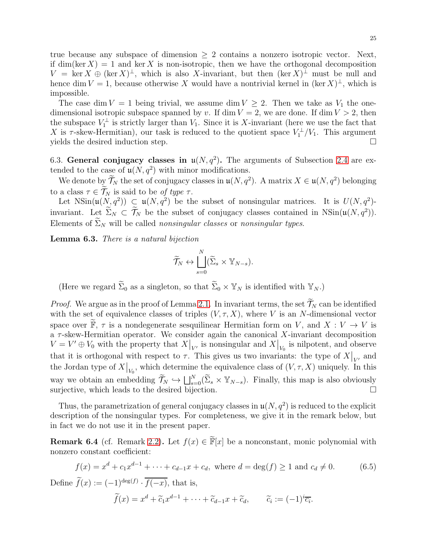true because any subspace of dimension  $\geq 2$  contains a nonzero isotropic vector. Next, if dim(ker X) = 1 and ker X is non-isotropic, then we have the orthogonal decomposition  $V = \ker X \oplus (\ker X)^{\perp}$ , which is also X-invariant, but then  $(\ker X)^{\perp}$  must be null and hence dim  $V = 1$ , because otherwise X would have a nontrivial kernel in  $(\ker X)^{\perp}$ , which is impossible.

The case dim  $V = 1$  being trivial, we assume dim  $V \geq 2$ . Then we take as  $V_1$  the onedimensional isotropic subspace spanned by v. If dim  $V = 2$ , we are done. If dim  $V > 2$ , then the subspace  $V_1^{\perp}$  is strictly larger than  $V_1$ . Since it is X-invariant (here we use the fact that X is  $\tau$ -skew-Hermitian), our task is reduced to the quotient space  $V_1^{\perp}/V_1$ . This argument yields the desired induction step.  $\Box$ 

<span id="page-24-0"></span>6.3. General conjugacy classes in  $\mathfrak{u}(N, q^2)$ . The arguments of Subsection [2.4](#page-7-1) are extended to the case of  $\mathfrak{u}(N, q^2)$  with minor modifications.

We denote by  $\mathcal{T}_N$  the set of conjugacy classes in  $\mathfrak{u}(N, q^2)$ . A matrix  $X \in \mathfrak{u}(N, q^2)$  belonging to a class  $\tau \in \widetilde{\mathcal{T}}_N$  is said to be of type  $\tau$ .

Let  $\text{NSin}(\mathfrak{u}(N, q^2)) \subsetneq \mathfrak{u}(N, q^2)$  be the subset of nonsingular matrices. It is  $U(N, q^2)$ invariant. Let  $\Sigma_N \subset \overline{\mathcal{T}}_N$  be the subset of conjugacy classes contained in NSin $(\mathfrak{u}(N, q^2))$ . Elements of  $\widetilde{\Sigma}_N$  will be called *nonsingular classes* or *nonsingular types*.

Lemma 6.3. There is a natural bijection

$$
\widetilde{\mathcal{T}}_N \leftrightarrow \bigsqcup_{s=0}^N (\widetilde{\Sigma}_s \times \mathbb{Y}_{N-s}).
$$

(Here we regard  $\widetilde{\Sigma}_0$  as a singleton, so that  $\widetilde{\Sigma}_0 \times \mathbb{Y}_N$  is identified with  $\mathbb{Y}_N$ .)

*Proof.* We argue as in the proof of Lemma [2.1.](#page-7-3) In invariant terms, the set  $\widetilde{\mathcal{T}}_N$  can be identified with the set of equivalence classes of triples  $(V, \tau, X)$ , where V is an N-dimensional vector space over  $\mathbb{F}, \tau$  is a nondegenerate sesquilinear Hermitian form on V, and  $X: V \to V$  is a  $\tau$ -skew-Hermitian operator. We consider again the canonical X-invariant decomposition  $V = V' \oplus V_0$  with the property that  $X|_{V}$  is nonsingular and  $X|_{V_0}$  is nilpotent, and observe that it is orthogonal with respect to  $\tau$ . This gives us two invariants: the type of  $X|_{V'}$  and the Jordan type of  $X|_{V_0}$ , which determine the equivalence class of  $(V, \tau, X)$  uniquely. In this way we obtain an embedding  $\widetilde{\mathcal{T}}_N \hookrightarrow \bigsqcup_{s=0}^N (\widetilde{\Sigma}_s \times \mathbb{Y}_{N-s})$ . Finally, this map is also obviously surjective, which leads to the desired bijection.  $\Box$ 

Thus, the parametrization of general conjugacy classes in  $\mathfrak{u}(N, q^2)$  is reduced to the explicit description of the nonsingular types. For completeness, we give it in the remark below, but in fact we do not use it in the present paper.

**Remark 6.4** (cf. Remark [2.2\)](#page-7-4). Let  $f(x) \in \tilde{F}[x]$  be a nonconstant, monic polynomial with nonzero constant coefficient:

<span id="page-24-1"></span>
$$
f(x) = xd + c1xd-1 + \dots + cd-1x + cd, \text{ where } d = \deg(f) \ge 1 \text{ and } cd \ne 0.
$$
 (6.5)

Define  $f(x) := (-1)^{\deg(f)} \cdot \overline{f(-x)}$ , that is,

$$
\widetilde{f}(x) = x^d + \widetilde{c}_1 x^{d-1} + \dots + \widetilde{c}_{d-1} x + \widetilde{c}_d, \qquad \widetilde{c}_i := (-1)^i \overline{c_i}.
$$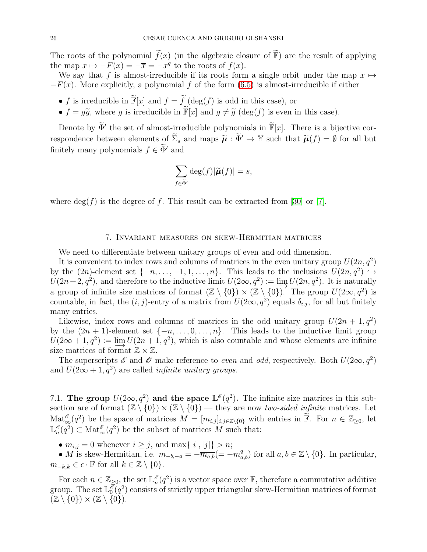The roots of the polynomial  $\tilde{f}(x)$  (in the algebraic closure of  $\tilde{F}$ ) are the result of applying the map  $x \mapsto -F(x) = -\overline{x} = -x^q$  to the roots of  $f(x)$ .

We say that f is almost-irreducible if its roots form a single orbit under the map  $x \mapsto$  $-F(x)$ . More explicitly, a polynomial f of the form [\(6.5\)](#page-24-1) is almost-irreducible if either

- f is irreducible in  $\widetilde{\mathbb{F}}[x]$  and  $f = \widetilde{f}$  (deg(f) is odd in this case), or
- $f = q\tilde{q}$ , where g is irreducible in  $\tilde{\mathbb{F}}[x]$  and  $q \neq \tilde{q}$  (deg(f) is even in this case).

Denote by  $\widetilde{\Phi}'$  the set of almost-irreducible polynomials in  $\widetilde{\mathbb{F}}[x]$ . There is a bijective correspondence between elements of  $\widetilde{\Sigma}_s$  and maps  $\widetilde{\mu}: \widetilde{\Phi}' \to \mathbb{Y}$  such that  $\widetilde{\mu}(f) = \emptyset$  for all but finitely many polynomials  $f \in \widetilde{\Phi}'$  and

$$
\sum_{f \in \widetilde{\Phi}'} \deg(f) |\widetilde{\boldsymbol{\mu}}(f)| = s,
$$

where  $\deg(f)$  is the degree of f. This result can be extracted from [\[30\]](#page-46-2) or [\[7\]](#page-45-11).

## 7. Invariant measures on skew-Hermitian matrices

<span id="page-25-0"></span>We need to differentiate between unitary groups of even and odd dimension.

It is convenient to index rows and columns of matrices in the even unitary group  $U(2n, q^2)$ by the  $(2n)$ -element set  $\{-n, \ldots, -1, 1, \ldots, n\}$ . This leads to the inclusions  $U(2n, q^2) \hookrightarrow$  $U(2n+2, q^2)$ , and therefore to the inductive limit  $U(2\infty, q^2) := \varinjlim U(2n, q^2)$ . It is naturally a group of infinite size matrices of format  $(\mathbb{Z} \setminus \{0\}) \times (\mathbb{Z} \setminus \{0\})$ . The group  $U(2\infty, q^2)$  is countable, in fact, the  $(i, j)$ -entry of a matrix from  $U(2\infty, q^2)$  equals  $\delta_{i,j}$ , for all but finitely many entries.

Likewise, index rows and columns of matrices in the odd unitary group  $U(2n + 1, q^2)$ by the  $(2n + 1)$ -element set  $\{-n, \ldots, 0, \ldots, n\}$ . This leads to the inductive limit group  $U(2\infty+1,q^2) := \varinjlim_{n \to \infty} U(2n+1,q^2)$ , which is also countable and whose elements are infinite size matrices of format  $\mathbb{Z} \times \mathbb{Z}$ . size matrices of format  $\mathbb{Z} \times \mathbb{Z}$ .

The superscripts  $\mathscr E$  and  $\mathscr O$  make reference to *even* and *odd*, respectively. Both  $U(2\infty, q^2)$ and  $U(2\infty+1,q^2)$  are called *infinite unitary groups*.

<span id="page-25-1"></span>7.1. The group  $U(2\infty, q^2)$  and the space  $\mathbb{L}^{\mathscr{E}}(q^2)$ . The infinite size matrices in this subsection are of format  $(\mathbb{Z} \setminus \{0\}) \times (\mathbb{Z} \setminus \{0\})$  — they are now two-sided infinite matrices. Let  $\text{Mat}_{\infty}^{\mathscr{E}}(q^2)$  be the space of matrices  $M = [m_{i,j}]_{i,j\in\mathbb{Z}\setminus\{0\}}$  with entries in  $\widetilde{\mathbb{F}}$ . For  $n \in \mathbb{Z}_{\geq 0}$ , let  $\mathbb{L}^{\mathscr{E}}$  $\binom{\mathscr{E}}{n}(q^2) \subset \text{Mat}_{\infty}^{\mathscr{E}}(q^2)$  be the subset of matrices M such that:

•  $m_{i,j} = 0$  whenever  $i \geq j$ , and  $\max\{|i|, |j|\} > n$ ;

• M is skew-Hermitian, i.e.  $m_{-b,-a} = -\overline{m_{a,b}}(=-m_{a,b}^q)$  for all  $a, b \in \mathbb{Z}\setminus\{0\}$ . In particular,  $m_{-k,k} \in \epsilon \cdot \mathbb{F}$  for all  $k \in \mathbb{Z} \setminus \{0\}.$ 

For each  $n \in \mathbb{Z}_{\geq 0}$ , the set  $\mathbb{L}_n^{\mathscr{E}}$  $\binom{\mathscr{E}}{n}(q^2)$  is a vector space over  $\mathbb{F}$ , therefore a commutative additive group. The set  $\mathbb{L}_0^{\bar{\delta}}$  $\frac{\mathscr{E}}{0}(q^2)$  consists of strictly upper triangular skew-Hermitian matrices of format  $(\mathbb{Z} \setminus \{0\}) \times (\mathbb{Z} \setminus \{0\}).$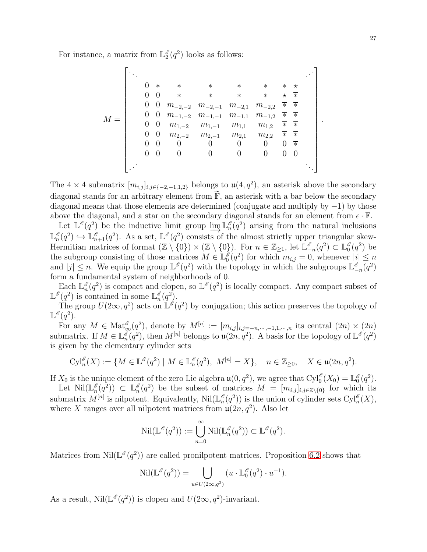For instance, a matrix from  $\mathbb{L}_2^{\mathscr{E}}$  $_2^{\mathscr{E}}(q^2)$  looks as follows:

M = . . . . . . 0 ∗ ∗ ∗ ∗ ∗ ∗ ⋆ 0 0 ∗ ∗ ∗ ∗ ⋆ ∗ 0 0 m−2,−<sup>2</sup> m−2,−<sup>1</sup> m−2,<sup>1</sup> m−2,<sup>2</sup> ∗ ∗ 0 0 m−1,−<sup>2</sup> m−1,−<sup>1</sup> m−1,<sup>1</sup> m−1,<sup>2</sup> ∗ ∗ 0 0 m1,−<sup>2</sup> m1,−<sup>1</sup> m1,<sup>1</sup> m1,<sup>2</sup> ∗ ∗ 0 0 m2,−<sup>2</sup> m2,−<sup>1</sup> m2,<sup>1</sup> m2,<sup>2</sup> ∗ ∗ 0 0 0 0 0 0 0 ∗ 0 0 0 0 0 0 0 0 . . . . . . .

The 4 × 4 submatrix  $[m_{i,j}]_{i,j\in\{-2,-1,1,2\}}$  belongs to  $\mathfrak{u}(4,q^2)$ , an asterisk above the secondary diagonal stands for an arbitrary element from  $\widetilde{\mathbb{F}}$ , an asterisk with a bar below the secondary diagonal means that those elements are determined (conjugate and multiply by −1) by those above the diagonal, and a star on the secondary diagonal stands for an element from  $\epsilon \cdot \mathbb{F}$ .

Let  $\mathbb{L}^{\mathscr{E}}(q^2)$  be the inductive limit group  $\varinjlim \mathbb{L}_n^{\mathscr{E}}$  $\binom{e}{n}(q^2)$  arising from the natural inclusions  $\mathbb{L}^{\mathscr{E}}$  $\ell_n^{\mathscr{E}}(q^2) \hookrightarrow \mathbb{L}_{n+1}^{\mathscr{E}}(q^2)$ . As a set,  $\mathbb{L}^{\mathscr{E}}(q^2)$  consists of the almost strictly upper triangular skew-Hermitian matrices of format  $(\mathbb{Z} \setminus \{0\}) \times (\mathbb{Z} \setminus \{0\})$ . For  $n \in \mathbb{Z}_{\geq 1}$ , let  $\mathbb{L}_{-n}^{\mathscr{E}}(q^2) \subset \mathbb{L}_0^{\mathscr{E}}$ The subgroup consisting of those matrices  $M \in \mathbb{L}_{0}^{g}(q^2)$  for which  $m_{i,j} = 0$ ,  $_0^{\mathscr{E}}(q^2)$  be  $\binom{\varepsilon}{0}(q^2)$  for which  $m_{i,j} = 0$ , whenever  $|i| \leq n$ and  $|j| \leq n$ . We equip the group  $\mathbb{L}^{\mathscr{E}}(q^2)$  with the topology in which the subgroups  $\mathbb{L}^{\mathscr{E}}$  $\frac{\varepsilon}{2n}(q^2)$ form a fundamental system of neighborhoods of 0.

Each  $\mathbb{L}_n^{\mathscr{E}}$  $\binom{\mathscr{E}}{n}(q^2)$  is compact and clopen, so  $\mathbb{L}^{\mathscr{E}}(q^2)$  is locally compact. Any compact subset of  $\mathbb{L}^{\mathscr{E}}(q^2)$  is contained in some  $\mathbb{L}_n^{\mathscr{E}}$  $_{n}^{\mathscr{E}}(q^{2}).$ 

The group  $U(2\infty, q^2)$  acts on  $\mathbb{L}^{\mathscr{E}}(q^2)$  by conjugation; this action preserves the topology of  $\mathbb{L}^{\mathscr{E}}(q^2).$ 

For any  $M \in \text{Mat}_{\infty}^{\mathscr{E}}(q^2)$ , denote by  $M^{[n]} := [m_{i,j}]_{i,j=-n,\dots,-1,1,\dots,n}$  its central  $(2n) \times (2n)$ submatrix. If  $M \in \mathbb{L}_n^{\check{\delta}}$  $\int_{n}^{\tilde{\mathscr{E}}}(q^2)$ , then  $M^{[n]}$  belongs to  $\mathfrak{u}(2n, q^2)$ . A basis for the topology of  $\mathbb{L}^{\mathscr{E}}(q^2)$ is given by the elementary cylinder sets

$$
\text{Cyl}_n^{\mathscr{E}}(X) := \{ M \in \mathbb{L}^{\mathscr{E}}(q^2) \mid M \in \mathbb{L}^{\mathscr{E}}_n(q^2), \ M^{[n]} = X \}, \quad n \in \mathbb{Z}_{\geq 0}, \quad X \in \mathfrak{u}(2n, q^2).
$$

If  $X_0$  is the unique element of the zero Lie algebra  $\mathfrak{u}(0, q^2)$ , we agree that  $\text{Cyl}_0^{\mathscr{E}}(X_0) = \mathbb{L}_0^{\mathscr{E}}$  $_0^{\mathscr{E}}(q^2).$ 

Let  $\mathrm{Nil}(\mathbb{L}_n^{\mathscr{E}})$  $\binom{\stackrel{\scriptscriptstyle e}{\scriptscriptstyle n}}{ \scriptscriptstyle n} (q^2)) \ \subset \ \mathbb{L}_n^{\scriptscriptstyle \ell}$  $\binom{\mathscr{E}}{n}(q^2)$  be the subset of matrices  $M = [m_{i,j}]_{i,j\in\mathbb{Z}\setminus\{0\}}$  for which its submatrix  $M^{[n]}$  is nilpotent. Equivalently,  $\text{Nil}(\mathbb{L}_n^{\mathscr{E}})$  $\binom{\mathscr{E}}{n}(q^2)$  is the union of cylinder sets  $Cyl_n^{\mathscr{E}}(X)$ , where X ranges over all nilpotent matrices from  $\mathfrak{u}(2n, q^2)$ . Also let

$$
\operatorname{Nil}(\mathbb{L}^{\mathscr{E}}(q^2)) := \bigcup_{n=0}^{\infty} \operatorname{Nil}(\mathbb{L}_n^{\mathscr{E}}(q^2)) \subset \mathbb{L}^{\mathscr{E}}(q^2).
$$

Matrices from Nil( $\mathbb{L}^{\mathscr{E}}(q^2)$ ) are called pronilpotent matrices. Proposition [6.2](#page-23-1) shows that

$$
\operatorname{Nil}(\mathbb{L}^{\mathscr{E}}(q^2)) = \bigcup_{u \in U(2\infty, q^2)} (u \cdot \mathbb{L}_0^{\mathscr{E}}(q^2) \cdot u^{-1}).
$$

As a result,  $\text{Nil}(\mathbb{L}^{\mathscr{E}}(q^2))$  is clopen and  $U(2\infty, q^2)$ -invariant.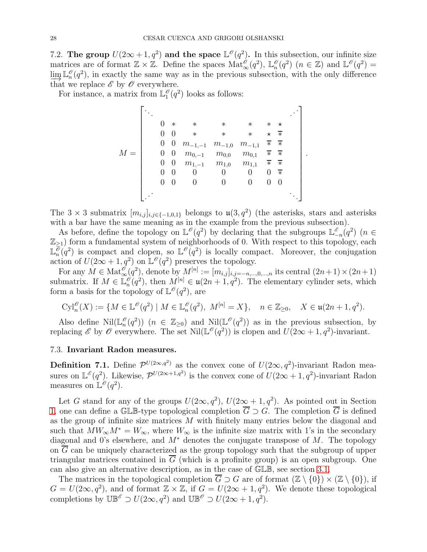<span id="page-27-0"></span>7.2. The group  $U(2\infty+1,q^2)$  and the space  $\mathbb{L}^{\mathcal{O}}(q^2)$ . In this subsection, our infinite size matrices are of format  $\mathbb{Z} \times \mathbb{Z}$ . Define the spaces  $\text{Mat}(\mathscr{O}_\infty(q^2), \mathbb{L}_n^{\mathscr{O}})$  $_n^{\mathscr{O}}(q^2)$   $(n \in \mathbb{Z})$  and  $\mathbb{L}^{\mathscr{O}}(q^2)$  =  $\varinjlim_{n\to\infty}\mathbb{L}_n^{\mathscr{O}}$  $\binom{0}{n}(q^2)$ , in exactly the same way as in the previous subsection, with the only difference that we replace  $\mathscr E$  by  $\mathscr O$  everywhere.

For instance, a matrix from  $\mathbb{L}_1^{\mathscr{O}}$  $_1^{\mathcal{O}}(q^2)$  looks as follows:

$$
M = \left[\begin{array}{ccccc} \ddots & & & & & & \ddots \\ 0 & * & * & * & * & * & * \\ 0 & 0 & * & * & * & * & * \\ 0 & 0 & m_{-1,-1} & m_{-1,0} & m_{-1,1} & * & * \\ 0 & 0 & m_{0,-1} & m_{0,0} & m_{0,1} & * & * \\ 0 & 0 & m_{1,-1} & m_{1,0} & m_{1,1} & * & * \\ 0 & 0 & 0 & 0 & 0 & 0 & * \\ 0 & 0 & 0 & 0 & 0 & 0 & 0 \end{array}\right].
$$

The 3 × 3 submatrix  $[m_{i,j}]_{i,j\in\{-1,0,1\}}$  belongs to  $\mathfrak{u}(3,q^2)$  (the asterisks, stars and asterisks with a bar have the same meaning as in the example from the previous subsection).

As before, define the topology on  $\mathbb{L}^{\mathscr{O}}(q^2)$  by declaring that the subgroups  $\mathbb{L}^{\mathscr{E}}$  $\frac{\varepsilon}{n-1}(q^2)$  (n ∈  $\mathbb{Z}_{\geq 1}$ ) form a fundamental system of neighborhoods of 0. With respect to this topology, each  $\mathbb{L}^{\overline{0}}$  $\overline{\partial}_{n}(q^{2})$  is compact and clopen, so  $\mathbb{L}^{\mathscr{O}}(q^{2})$  is locally compact. Moreover, the conjugation action of  $U(2\infty+1,q^2)$  on  $\mathbb{L}^{\mathscr{O}}(q^2)$  preserves the topology.

For any  $M \in Mat_{\infty}^{\mathscr{O}}(q^2)$ , denote by  $M^{[n]} := [m_{i,j}]_{i,j=-n,...,0,...,n}$  its central  $(2n+1) \times (2n+1)$ submatrix. If  $M \in \mathbb{L}_n^{\mathscr{O}}$  $\mathcal{O}_n(q^2)$ , then  $M^{[n]} \in \mathfrak{u}(2n+1,q^2)$ . The elementary cylinder sets, which form a basis for the topology of  $\mathbb{L}^{\mathscr{O}}(q^2)$ , are

$$
\text{Cyl}_n^{\mathscr{O}}(X) := \{ M \in \mathbb{L}^{\mathscr{O}}(q^2) \mid M \in \mathbb{L}_n^{\mathscr{O}}(q^2), \ M^{[n]} = X \}, \quad n \in \mathbb{Z}_{\geq 0}, \quad X \in \mathfrak{u}(2n+1, q^2).
$$

Also define  $\text{Nil}(\mathbb{L}_n^{\phi})$  $\binom{0}{n}$  ( $n \in \mathbb{Z}_{\geq 0}$ ) and  $\text{Nil}(\mathbb{L}^{\mathcal{O}}(q^2))$  as in the previous subsection, by replacing  $\mathscr E$  by  $\mathscr O$  everywhere. The set  $\text{Nil}(\mathbb L^{\mathscr O}(q^2))$  is clopen and  $\text{U}(2\infty+1,q^2)$ -invariant.

### <span id="page-27-1"></span>7.3. Invariant Radon measures.

**Definition 7.1.** Define  $\mathcal{P}^{U(2\infty,q^2)}$  as the convex cone of  $U(2\infty,q^2)$ -invariant Radon measures on  $\mathbb{L}^{\mathscr{E}}(q^2)$ . Likewise,  $\mathcal{P}^{U(2\infty+1,q^2)}$  is the convex cone of  $U(2\infty+1,q^2)$ -invariant Radon measures on  $\mathbb{L}^{\mathscr{O}}(q^2)$ .

Let G stand for any of the groups  $U(2\infty, q^2)$ ,  $U(2\infty + 1, q^2)$ . As pointed out in Section [1,](#page-2-0) one can define a GLB-type topological completion  $\overline{G} \supset G$ . The completion  $\overline{G}$  is defined as the group of infinite size matrices  $M$  with finitely many entries below the diagonal and such that  $MW_{\infty}M^* = W_{\infty}$ , where  $W_{\infty}$  is the infinite size matrix with 1's in the secondary diagonal and 0's elsewhere, and  $M^*$  denotes the conjugate transpose of M. The topology on  $\overline{G}$  can be uniquely characterized as the group topology such that the subgroup of upper triangular matrices contained in  $\overline{G}$  (which is a profinite group) is an open subgroup. One can also give an alternative description, as in the case of GLB, see section [3.1.](#page-8-1)

The matrices in the topological completion  $\overline{G} \supset G$  are of format  $(\mathbb{Z} \setminus \{0\}) \times (\mathbb{Z} \setminus \{0\})$ , if  $G = U(2\infty, q^2)$ , and of format  $\mathbb{Z} \times \mathbb{Z}$ , if  $G = U(2\infty + 1, q^2)$ . We denote these topological completions by  $\mathbb{UB}^{\mathscr{E}} \supset U(2\infty, q^2)$  and  $\mathbb{UB}^{\mathscr{E}} \supset U(2\infty+1, q^2)$ .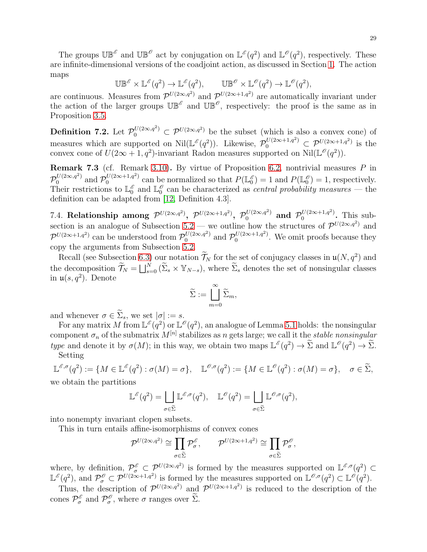The groups  $\mathbb{UB}^{\mathscr{E}}$  and  $\mathbb{UB}^{\mathscr{O}}$  act by conjugation on  $\mathbb{L}^{\mathscr{E}}(q^2)$  and  $\mathbb{L}^{\mathscr{O}}(q^2)$ , respectively. These are infinite-dimensional versions of the coadjoint action, as discussed in Section [1.](#page-2-0) The action maps

$$
\mathbb{UB}^{\mathscr{E}} \times \mathbb{L}^{\mathscr{E}}(q^2) \to \mathbb{L}^{\mathscr{E}}(q^2), \qquad \mathbb{UB}^{\mathscr{O}} \times \mathbb{L}^{\mathscr{O}}(q^2) \to \mathbb{L}^{\mathscr{O}}(q^2),
$$

are continuous. Measures from  $\mathcal{P}^{U(2\infty,q^2)}$  and  $\mathcal{P}^{U(2\infty+1,q^2)}$  are automatically invariant under the action of the larger groups  $\mathbb{UB}^{\mathscr{E}}$  and  $\mathbb{UB}^{\mathscr{E}}$ , respectively: the proof is the same as in Proposition [3.5.](#page-10-2)

**Definition 7.2.** Let  $\mathcal{P}_0^{U(2\infty,q^2)} \subset \mathcal{P}^{U(2\infty,q^2)}$  be the subset (which is also a convex cone) of measures which are supported on  $\text{Nil}(\mathbb{L}^{\mathscr{E}}(q^2))$ . Likewise,  $\mathcal{P}_0^{U(2\infty+1,q^2)} \subset \mathcal{P}^{U(2\infty+1,q^2)}$  is the convex cone of  $U(2\infty + 1, q^2)$ -invariant Radon measures supported on Nil( $\mathbb{L}^{\mathscr{O}}(q^2)$ ).

**Remark 7.3** (cf. Remark [3.10\)](#page-11-2). By virtue of Proposition [6.2,](#page-23-1) nontrivial measures P in  $\overline{\phantom{a}}$  $U^{(2\infty,q^2)}$  and  $\mathcal{P}_0^{U(2\infty+1,q^2)}$  $\int_0^{U(2\infty+1,q^2)}$  can be normalized so that  $P(\mathbb{L}_0^3)$  $\binom{6}{0} = 1$  and  $P(\mathbb{L}_{0}^{\mathscr{O}})$  $\binom{0}{0} = 1$ , respectively. Their restrictions to  $\mathbb{L}_0^{\mathscr{E}}$  $_{0}^{\mathscr{E}}$  and  $\mathbb{L}_{0}^{\mathscr{O}}$  $\int_0^{\infty}$  can be characterized as *central probability measures* — the definition can be adapted from [\[12,](#page-45-0) Definition 4.3].

<span id="page-28-0"></span>7.4. Relationship among  $\mathcal{P}^{U(2\infty,q^2)},$   $\mathcal{P}^{U(2\infty+1,q^2)},$   $\mathcal{P}^{U(2\infty,q^2)}_0$  and  $\mathcal{P}^{U(2\infty+1,q^2)}_0$  $0^{U(2\infty+1,q^-)}$ . This sub-section is an analogue of Subsection [5.2](#page-20-0) — we outline how the structures of  $\mathcal{P}^{U(2\infty,q^2)}$  and  $\mathcal{P}^{U(2\infty+1,q^2)}$  can be understood from  $\mathcal{P}_0^{U(2\infty,q^2)}$  and  $\mathcal{P}_0^{U(2\infty+1,q^2)}$  $0^{U(2\infty+1,q^2)}$ . We omit proofs because they copy the arguments from Subsection [5.2.](#page-20-0)

Recall (see Subsection [6.3\)](#page-24-0) our notation  $\overline{\mathcal{T}}_N$  for the set of conjugacy classes in  $\mathfrak{u}(N, q^2)$  and the decomposition  $\widetilde{\mathcal{T}}_N = \bigsqcup_{s=0}^N (\widetilde{\Sigma}_s \times \mathbb{Y}_{N-s}),$  where  $\widetilde{\Sigma}_s$  denotes the set of nonsingular classes in  $\mathfrak{u}(s,q^2)$ . Denote

$$
\widetilde{\Sigma} := \bigsqcup_{m=0}^{\infty} \widetilde{\Sigma}_m,
$$

and whenever  $\sigma \in \widetilde{\Sigma}_s$ , we set  $|\sigma| := s$ .

For any matrix M from  $\mathbb{L}^{\mathscr{E}}(q^2)$  or  $\mathbb{L}^{\mathscr{O}}(q^2)$ , an analogue of Lemma [5.1](#page-19-2) holds: the nonsingular component  $\sigma_n$  of the submatrix  $M^{[n]}$  stabilizes as n gets large; we call it the *stable nonsingular* type and denote it by  $\sigma(M)$ ; in this way, we obtain two maps  $\mathbb{L}^{\mathscr{E}}(q^2) \to \tilde{\Sigma}$  and  $\mathbb{L}^{\mathscr{E}}(q^2) \to \tilde{\Sigma}$ . Setting

$$
\mathbb{L}^{\mathscr{E},\sigma}(q^2) := \{ M \in \mathbb{L}^{\mathscr{E}}(q^2) : \sigma(M) = \sigma \}, \quad \mathbb{L}^{\mathscr{E},\sigma}(q^2) := \{ M \in \mathbb{L}^{\mathscr{E}}(q^2) : \sigma(M) = \sigma \}, \quad \sigma \in \widetilde{\Sigma},
$$

we obtain the partitions

$$
\mathbb{L}^{\mathscr{E}}(q^2) = \bigsqcup_{\sigma \in \widetilde{\Sigma}} \mathbb{L}^{\mathscr{E}, \sigma}(q^2), \quad \mathbb{L}^{\mathscr{O}}(q^2) = \bigsqcup_{\sigma \in \widetilde{\Sigma}} \mathbb{L}^{\mathscr{O}, \sigma}(q^2),
$$

into nonempty invariant clopen subsets.

This in turn entails affine-isomorphisms of convex cones

$$
\mathcal{P}^{U(2\infty,q^2)}\cong \prod_{\sigma\in\widetilde{\Sigma}}\mathcal{P}^\mathscr{E}_\sigma,\qquad \mathcal{P}^{U(2\infty+1,q^2)}\cong \prod_{\sigma\in\widetilde{\Sigma}}\mathcal{P}^\mathscr{O}_\sigma,
$$

where, by definition,  $\mathcal{P}^{\mathscr{E}}_{\sigma} \subset \mathcal{P}^{U(2\infty,q^2)}$  is formed by the measures supported on  $\mathbb{L}^{\mathscr{E},\sigma}(q^2) \subset$  $\mathbb{L}^{\mathscr{E}}(q^2)$ , and  $\mathcal{P}^{\mathscr{O}}_{\sigma} \subset \mathcal{P}^{U(2\infty+1,q^2)}$  is formed by the measures supported on  $\mathbb{L}^{\mathscr{O},\sigma}(q^2) \subset \mathbb{L}^{\mathscr{O}}(q^2)$ .

Thus, the description of  $\mathcal{P}^{U(2\infty,q^2)}$  and  $\mathcal{P}^{U(2\infty+1,q^2)}$  is reduced to the description of the cones  $\mathcal{P}^{\mathscr{E}}_{\sigma}$  $\sigma^{\mathscr{E}}$  and  $\mathcal{P}^{\mathscr{O}}_{\sigma}$  $\sigma$ , where  $\sigma$  ranges over Σ.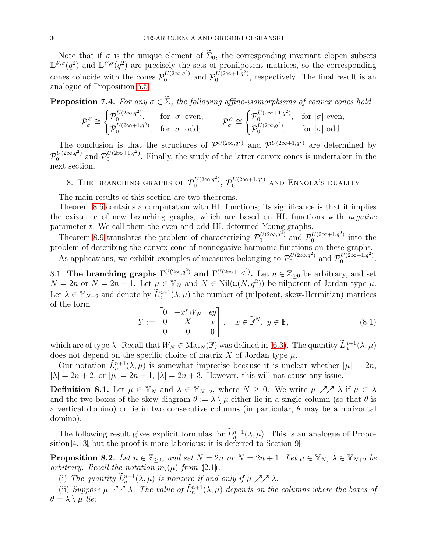Note that if  $\sigma$  is the unique element of  $\widetilde{\Sigma}_0$ , the corresponding invariant clopen subsets  $\mathbb{L}^{\mathscr{E},\sigma}(q^2)$  and  $\mathbb{L}^{\mathscr{O},\sigma}(q^2)$  are precisely the sets of pronilpotent matrices, so the corresponding cones coincide with the cones  $\mathcal{P}_0^{U(2\infty,q^2)}$  and  $\mathcal{P}_0^{U(2\infty+1,q^2)}$  $0^{U(2\infty+1,q)}$ , respectively. The final result is an analogue of Proposition [5.5.](#page-20-2)

**Proposition 7.4.** For any  $\sigma \in \tilde{\Sigma}$ , the following affine-isomorphisms of convex cones hold

$$
\mathcal{P}^{\mathcal{E}}_{\sigma} \cong \begin{cases} \mathcal{P}^{U(2\infty,q^2)}_{0}, & \text{for } |\sigma| \text{ even}, \\ \mathcal{P}^{U(2\infty+1,q^2)}_{0}, & \text{for } |\sigma| \text{ odd}; \end{cases} \qquad \mathcal{P}^{\mathcal{E}}_{\sigma} \cong \begin{cases} \mathcal{P}^{U(2\infty+1,q^2)}_{0}, & \text{for } |\sigma| \text{ even}, \\ \mathcal{P}^{U(2\infty,q^2)}_{0}, & \text{for } |\sigma| \text{ odd}. \end{cases}
$$

The conclusion is that the structures of  $\mathcal{P}^{U(2\infty,q^2)}$  and  $\mathcal{P}^{U(2\infty+1,q^2)}$  are determined by P  $\int_0^{U(2\infty,q^2)}$  and  $\mathcal{P}_0^{U(2\infty+1,q^2)}$  $\frac{1}{0}$  ( $2\infty+1, q<sup>-1</sup>$ ). Finally, the study of the latter convex cones is undertaken in the next section.

<span id="page-29-0"></span>8. THE BRANCHING GRAPHS OF  $\mathcal{P}_0^{U(2\infty,q^2)}$  $\mathcal{O}_0^{U(2\infty,q^2)},\ \mathcal{P}_0^{U(2\infty+1,q^2)}$  and Ennola's duality

The main results of this section are two theorems.

Theorem [8.6](#page-31-1) contains a computation with HL functions; its significance is that it implies the existence of new branching graphs, which are based on HL functions with negative parameter t. We call them the even and odd HL-deformed Young graphs.

Theorem [8.9](#page-32-1) translates the problem of characterizing  $\mathcal{P}_0^{U(2\infty,q^2)}$  and  $\mathcal{P}_0^{U(2\infty+1,q^2)}$  $\int_0^{\mathcal{U}(2\infty+1,q^2)}$  into the problem of describing the convex cone of nonnegative harmonic functions on these graphs.

As applications, we exhibit examples of measures belonging to  $\mathcal{P}_0^{U(2\infty,q^2)}$  $v^{U(2\infty,q^2)}$  and  $\mathcal{P}_0^{U(2\infty+1,q^2)}$  $0^{U(2\infty+1,q)}$ .

<span id="page-29-1"></span>8.1. The branching graphs  $\Gamma^{U(2\infty,q^2)}$  and  $\Gamma^{U(2\infty+1,q^2)}$ . Let  $n \in \mathbb{Z}_{\geq 0}$  be arbitrary, and set  $N = 2n$  or  $N = 2n + 1$ . Let  $\mu \in \mathbb{Y}_N$  and  $X \in Nil(\mathfrak{u}(N, q^2))$  be nilpotent of Jordan type  $\mu$ . Let  $\lambda \in \mathbb{Y}_{N+2}$  and denote by  $\tilde{L}_n^{n+1}(\lambda, \mu)$  the number of (nilpotent, skew-Hermitian) matrices of the form

$$
Y := \begin{bmatrix} 0 & -x^*W_N & \epsilon y \\ 0 & X & x \\ 0 & 0 & 0 \end{bmatrix}, \quad x \in \widetilde{\mathbb{F}}^N, \ y \in \mathbb{F}, \tag{8.1}
$$

which are of type  $\lambda$ . Recall that  $W_N \in Mat_N(\widetilde{\mathbb{F}})$  was defined in [\(6.3\)](#page-22-2). The quantity  $\widetilde{L}_n^{n+1}(\lambda, \mu)$ does not depend on the specific choice of matrix X of Jordan type  $\mu$ .

Our notation  $L_n^{n+1}(\lambda, \mu)$  is somewhat imprecise because it is unclear whether  $|\mu| = 2n$ ,  $|\lambda| = 2n + 2$ , or  $|\mu| = 2n + 1$ ,  $|\lambda| = 2n + 3$ . However, this will not cause any issue.

**Definition 8.1.** Let  $\mu \in \mathbb{Y}_N$  and  $\lambda \in \mathbb{Y}_{N+2}$ , where  $N \geq 0$ . We write  $\mu \nearrow \lambda$  if  $\mu \subset \lambda$ and the two boxes of the skew diagram  $\theta := \lambda \setminus \mu$  either lie in a single column (so that  $\theta$  is a vertical domino) or lie in two consecutive columns (in particular,  $\theta$  may be a horizontal domino).

The following result gives explicit formulas for  $L_n^{n+1}(\lambda, \mu)$ . This is an analogue of Proposition [4.13,](#page-16-0) but the proof is more laborious; it is deferred to Section [9.](#page-36-0)

<span id="page-29-2"></span>**Proposition 8.2.** Let  $n \in \mathbb{Z}_{\geq 0}$ , and set  $N = 2n$  or  $N = 2n + 1$ . Let  $\mu \in \mathbb{Y}_N$ ,  $\lambda \in \mathbb{Y}_{N+2}$  be arbitrary. Recall the notation  $m_i(\mu)$  from [\(2.1\)](#page-7-2).

(i) The quantity  $L_n^{n+1}(\lambda, \mu)$  is nonzero if and only if  $\mu \nearrow \nearrow \lambda$ .

(ii) Suppose  $\mu \nearrow \nearrow \lambda$ . The value of  $\tilde{L}_n^{n+1}(\lambda, \mu)$  depends on the columns where the boxes of  $\theta = \lambda \setminus \mu$  lie: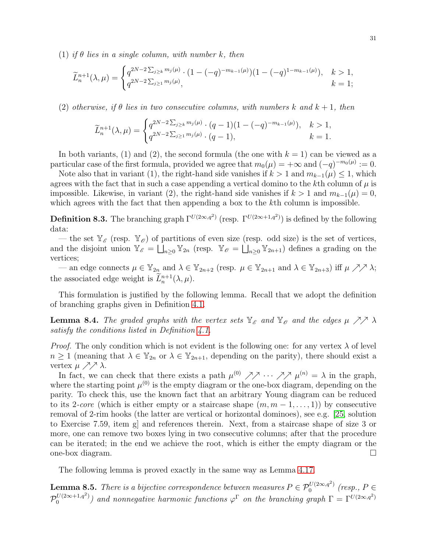(1) if  $\theta$  lies in a single column, with number k, then

$$
\widetilde{L}_n^{n+1}(\lambda,\mu) = \begin{cases} q^{2N-2\sum_{j\geq k} m_j(\mu)} \cdot (1-(-q)^{-m_{k-1}(\mu)}) (1-(-q)^{1-m_{k-1}(\mu)}), & k > 1, \\ q^{2N-2\sum_{j\geq 1} m_j(\mu)}, & k = 1; \end{cases}
$$

(2) otherwise, if  $\theta$  lies in two consecutive columns, with numbers k and  $k + 1$ , then

$$
\widetilde{L}_n^{n+1}(\lambda, \mu) = \begin{cases} q^{2N-2\sum_{j\geq k} m_j(\mu)} \cdot (q-1)(1 - (-q)^{-m_{k-1}(\mu)}), & k > 1, \\ q^{2N-2\sum_{j\geq 1} m_j(\mu)} \cdot (q-1), & k = 1. \end{cases}
$$

In both variants, (1) and (2), the second formula (the one with  $k = 1$ ) can be viewed as a particular case of the first formula, provided we agree that  $m_0(\mu) = +\infty$  and  $(-q)^{-m_0(\mu)} := 0$ .

Note also that in variant (1), the right-hand side vanishes if  $k > 1$  and  $m_{k-1}(\mu) \leq 1$ , which agrees with the fact that in such a case appending a vertical domino to the kth column of  $\mu$  is impossible. Likewise, in variant (2), the right-hand side vanishes if  $k > 1$  and  $m_{k-1}(\mu) = 0$ , which agrees with the fact that then appending a box to the kth column is impossible.

**Definition 8.3.** The branching graph  $\Gamma^{U(2\infty,q^2)}$  (resp.  $\Gamma^{U(2\infty+1,q^2)}$ ) is defined by the following data:

— the set  $\mathbb{Y}_{\mathscr{E}}$  (resp.  $\mathbb{Y}_{\mathscr{O}}$ ) of partitions of even size (resp. odd size) is the set of vertices, and the disjoint union  $\mathbb{Y}_{\mathscr{E}} = \prod_{n\geq 0} \mathbb{Y}_{2n}$  (resp.  $\mathbb{Y}_{\mathscr{E}} = \prod_{n\geq 0} \mathbb{Y}_{2n+1}$ ) defines a grading on the vertices;

— an edge connects  $\mu \in \mathbb{Y}_{2n}$  and  $\lambda \in \mathbb{Y}_{2n+2}$  (resp.  $\mu \in \mathbb{Y}_{2n+1}$  and  $\lambda \in \mathbb{Y}_{2n+3}$ ) iff  $\mu \nearrow \nearrow \lambda$ ; the associated edge weight is  $\tilde{L}_n^{n+1}(\lambda, \mu)$ .

This formulation is justified by the following lemma. Recall that we adopt the definition of branching graphs given in Definition [4.1.](#page-12-2)

<span id="page-30-0"></span>**Lemma 8.4.** The graded graphs with the vertex sets  $\mathbb{Y}_{\mathscr{E}}$  and  $\mathbb{Y}_{\mathscr{O}}$  and the edges  $\mu \nearrow \nearrow \lambda$ satisfy the conditions listed in Definition [4.1.](#page-12-2)

*Proof.* The only condition which is not evident is the following one: for any vertex  $\lambda$  of level  $n \geq 1$  (meaning that  $\lambda \in \mathbb{Y}_{2n}$  or  $\lambda \in \mathbb{Y}_{2n+1}$ , depending on the parity), there should exist a vertex  $\mu \nearrow \nearrow \lambda$ .

In fact, we can check that there exists a path  $\mu^{(0)}$   $\nearrow \sim \sim \sim \sim \mu^{(n)} = \lambda$  in the graph, where the starting point  $\mu^{(0)}$  is the empty diagram or the one-box diagram, depending on the parity. To check this, use the known fact that an arbitrary Young diagram can be reduced to its 2-core (which is either empty or a staircase shape  $(m, m - 1, \ldots, 1)$ ) by consecutive removal of 2-rim hooks (the latter are vertical or horizontal dominoes), see e.g. [\[25,](#page-45-25) solution to Exercise 7.59, item g] and references therein. Next, from a staircase shape of size 3 or more, one can remove two boxes lying in two consecutive columns; after that the procedure can be iterated; in the end we achieve the root, which is either the empty diagram or the one-box diagram.

The following lemma is proved exactly in the same way as Lemma [4.17.](#page-17-3)

<span id="page-30-1"></span>**Lemma 8.5.** There is a bijective correspondence between measures  $P \in \mathcal{P}_0^{U(2\infty,q^2)}$  $\int_0^{U(2\infty,q^2)}$  (resp.,  $P \in$ P  $U(2\infty+1,q^2)$  $\binom{U(2\infty+1,q^2)}{0}$  and nonnegative harmonic functions  $\varphi^{\Gamma}$  on the branching graph  $\Gamma = \Gamma^{U(2\infty,q^2)}$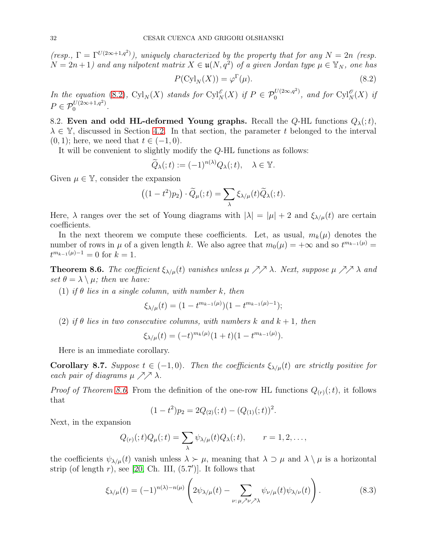$(resp., \Gamma = \Gamma^{U(2\infty+1,q^2)}),$  uniquely characterized by the property that for any  $N = 2n$  (resp.  $N = 2n + 1$ ) and any nilpotent matrix  $X \in \mathfrak{u}(N, q^2)$  of a given Jordan type  $\mu \in \mathbb{Y}_N$ , one has

<span id="page-31-2"></span>
$$
P(\mathrm{Cyl}_N(X)) = \varphi^{\Gamma}(\mu). \tag{8.2}
$$

In the equation [\(8.2\)](#page-31-2),  $\text{Cyl}_N(X)$  stands for  $\text{Cyl}_N^{\mathscr{E}}(X)$  if  $P \in \mathcal{P}_0^{U(2\infty,q^2)}$  $_{0}^{U(2\infty,q^2)}$ , and for  $\mathrm{Cyl}^{\mathscr{O}}_N(X)$  if  $P \in \mathcal{P}_0^{U(2\infty+1,q^2)}$  $0^{U(2\infty+1,q)}$ .

<span id="page-31-0"></span>8.2. Even and odd HL-deformed Young graphs. Recall the Q-HL functions  $Q_{\lambda}(t)$ ,  $\lambda \in \mathbb{Y}$ , discussed in Section [4.2.](#page-13-0) In that section, the parameter t belonged to the interval  $(0, 1)$ ; here, we need that  $t \in (-1, 0)$ .

It will be convenient to slightly modify the Q-HL functions as follows:

$$
\widetilde{Q}_{\lambda}(t) := (-1)^{n(\lambda)} Q_{\lambda}(t), \quad \lambda \in \mathbb{Y}.
$$

Given  $\mu \in \mathbb{Y}$ , consider the expansion

$$
((1-t^2)p_2)\cdot \widetilde{Q}_{\mu}(t) = \sum_{\lambda} \xi_{\lambda/\mu}(t) \widetilde{Q}_{\lambda}(t).
$$

Here,  $\lambda$  ranges over the set of Young diagrams with  $|\lambda| = |\mu| + 2$  and  $\xi_{\lambda/\mu}(t)$  are certain coefficients.

In the next theorem we compute these coefficients. Let, as usual,  $m_k(\mu)$  denotes the number of rows in  $\mu$  of a given length k. We also agree that  $m_0(\mu) = +\infty$  and so  $t^{m_{k-1}(\mu)} =$  $t^{m_{k-1}(\mu)-1}=0$  for  $k=1$ .

<span id="page-31-1"></span>**Theorem 8.6.** The coefficient  $\xi_{\lambda/\mu}(t)$  vanishes unless  $\mu \nearrow \lambda$ . Next, suppose  $\mu \nearrow \lambda$  and set  $\theta = \lambda \setminus \mu$ ; then we have:

(1) if  $\theta$  lies in a single column, with number k, then

$$
\xi_{\lambda/\mu}(t) = (1 - t^{m_{k-1}(\mu)})(1 - t^{m_{k-1}(\mu)-1});
$$

(2) if  $\theta$  lies in two consecutive columns, with numbers k and  $k + 1$ , then

$$
\xi_{\lambda/\mu}(t) = (-t)^{m_k(\mu)} (1+t)(1-t^{m_{k-1}(\mu)}).
$$

Here is an immediate corollary.

<span id="page-31-4"></span>**Corollary 8.7.** Suppose  $t \in (-1, 0)$ . Then the coefficients  $\xi_{\lambda/\mu}(t)$  are strictly positive for each pair of diagrams  $\mu \nearrow \nearrow \lambda$ .

*Proof of Theorem [8.6.](#page-31-1)* From the definition of the one-row HL functions  $Q_{(r)}(t)$ , it follows that

$$
(1-t2)p2 = 2Q(2)(; t) – (Q(1)(; t))2.
$$

Next, in the expansion

$$
Q_{(r)}(t)Q_{\mu}(t) = \sum_{\lambda} \psi_{\lambda/\mu}(t)Q_{\lambda}(t), \qquad r = 1, 2, \ldots,
$$

the coefficients  $\psi_{\lambda/\mu}(t)$  vanish unless  $\lambda > \mu$ , meaning that  $\lambda \supset \mu$  and  $\lambda \setminus \mu$  is a horizontal strip (of length  $r$ ), see [\[20,](#page-45-14) Ch. III,  $(5.7')$ ]. It follows that

<span id="page-31-3"></span>
$$
\xi_{\lambda/\mu}(t) = (-1)^{n(\lambda)-n(\mu)} \left( 2\psi_{\lambda/\mu}(t) - \sum_{\nu:\,\mu \nearrow \nu \nearrow \lambda} \psi_{\nu/\mu}(t) \psi_{\lambda/\nu}(t) \right). \tag{8.3}
$$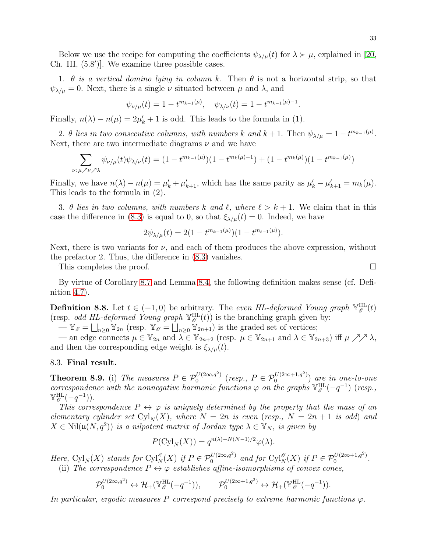Below we use the recipe for computing the coefficients  $\psi_{\lambda/\mu}(t)$  for  $\lambda \succ \mu$ , explained in [\[20,](#page-45-14) Ch. III, (5.8′ )]. We examine three possible cases.

1.  $\theta$  is a vertical domino lying in column k. Then  $\theta$  is not a horizontal strip, so that  $\psi_{\lambda/\mu} = 0$ . Next, there is a single  $\nu$  situated between  $\mu$  and  $\lambda$ , and

$$
\psi_{\nu/\mu}(t) = 1 - t^{m_{k-1}(\mu)}, \quad \psi_{\lambda/\nu}(t) = 1 - t^{m_{k-1}(\mu)-1}.
$$

Finally,  $n(\lambda) - n(\mu) = 2\mu'_{k} + 1$  is odd. This leads to the formula in (1).

2.  $\theta$  lies in two consecutive columns, with numbers k and  $k+1$ . Then  $\psi_{\lambda/\mu} = 1 - t^{m_{k-1}(\mu)}$ . Next, there are two intermediate diagrams  $\nu$  and we have

$$
\sum_{\nu:\,\mu \nearrow \nu \nearrow \lambda} \psi_{\nu/\mu}(t)\psi_{\lambda/\nu}(t) = (1 - t^{m_{k-1}(\mu)})(1 - t^{m_k(\mu)+1}) + (1 - t^{m_k(\mu)})(1 - t^{m_{k-1}(\mu)})
$$

Finally, we have  $n(\lambda) - n(\mu) = \mu'_k + \mu'_{k+1}$ , which has the same parity as  $\mu'_k - \mu'_{k+1} = m_k(\mu)$ . This leads to the formula in (2).

3. θ lies in two columns, with numbers k and  $\ell$ , where  $\ell > k + 1$ . We claim that in this case the difference in [\(8.3\)](#page-31-3) is equal to 0, so that  $\xi_{\lambda/\mu}(t) = 0$ . Indeed, we have

$$
2\psi_{\lambda/\mu}(t) = 2(1 - t^{m_{k-1}(\mu)})(1 - t^{m_{\ell-1}(\mu)}).
$$

Next, there is two variants for  $\nu$ , and each of them produces the above expression, without the prefactor 2. Thus, the difference in [\(8.3\)](#page-31-3) vanishes.

This completes the proof.

By virtue of Corollary [8.7](#page-31-4) and Lemma [8.4,](#page-30-0) the following definition makes sense (cf. Definition [4.7\)](#page-14-5).

**Definition 8.8.** Let  $t \in (-1,0)$  be arbitrary. The even HL-deformed Young graph  $\mathbb{Y}_{\mathscr{E}}^{\text{HL}}(t)$ (resp. *odd HL-deformed Young graph*  $\mathbb{Y}_{\mathscr{O}}^{\text{HL}}(t)$ ) is the branching graph given by:

 $-\mathbb{Y}_{\mathscr{E}} = \bigsqcup_{n\geq 0} \mathbb{Y}_{2n}$  (resp.  $\mathbb{Y}_{\mathscr{E}} = \bigsqcup_{n\geq 0} \mathbb{Y}_{2n+1}$ ) is the graded set of vertices;

— an edge connects  $\mu \in \mathbb{Y}_{2n}$  and  $\lambda \in \mathbb{Y}_{2n+2}$  (resp.  $\mu \in \mathbb{Y}_{2n+1}$  and  $\lambda \in \mathbb{Y}_{2n+3}$ ) iff  $\mu \nearrow \nearrow \lambda$ , and then the corresponding edge weight is  $\xi_{\lambda/\mu}(t)$ .

### <span id="page-32-0"></span>8.3. Final result.

<span id="page-32-1"></span>**Theorem 8.9.** (i) The measures  $P \in \mathcal{P}_0^{U(2\infty,q^2)}$  $b^{U(2\infty,q^2)}$  (resp.,  $P \in \mathcal{P}_0^{U(2\infty+1,q^2)}$  $\binom{0}{0}$   $\alpha$  (2 $\infty$ +1,q) are in one-to-one correspondence with the nonnegative harmonic functions  $\varphi$  on the graphs  $\mathbb{Y}_{\mathscr{E}}^{\text{HL}}(-q^{-1})$  (resp.,  $\mathbb{Y}_{\mathscr{O}}^{\text{HL}}(-q^{-1})$ ).

This correspondence  $P \leftrightarrow \varphi$  is uniquely determined by the property that the mass of an elementary cylinder set  $Cyl_N(X)$ , where  $N = 2n$  is even (resp.,  $N = 2n + 1$  is odd) and  $X \in Nil(\mathfrak{u}(N, q^2))$  is a nilpotent matrix of Jordan type  $\lambda \in \mathbb{Y}_N$ , is given by

$$
P(\mathrm{Cyl}_N(X)) = q^{n(\lambda)-N(N-1)/2} \varphi(\lambda).
$$

Here,  $\text{Cyl}_N(X)$  stands for  $\text{Cyl}_N^{\mathscr{E}}(X)$  if  $P \in \mathcal{P}_0^{U(2\infty,q^2)}$  and for  $\text{Cyl}_N^{\mathscr{E}}(X)$  if  $P \in \mathcal{P}_0^{U(2\infty+1,q^2)}$  $0^{U(2\infty+1,q^*)}$ . (ii) The correspondence  $P \leftrightarrow \varphi$  establishes affine-isomorphisms of convex cones,

$$
\mathcal{P}_0^{U(2\infty,q^2)}\leftrightarrow \mathcal{H}_+(\mathbb{Y}_\mathscr{E}^{\mathrm{HL}}(-q^{-1})),\qquad \mathcal{P}_0^{U(2\infty+1,q^2)}\leftrightarrow \mathcal{H}_+(\mathbb{Y}_\mathscr{O}^{\mathrm{HL}}(-q^{-1})).
$$

In particular, ergodic measures P correspond precisely to extreme harmonic functions  $\varphi$ .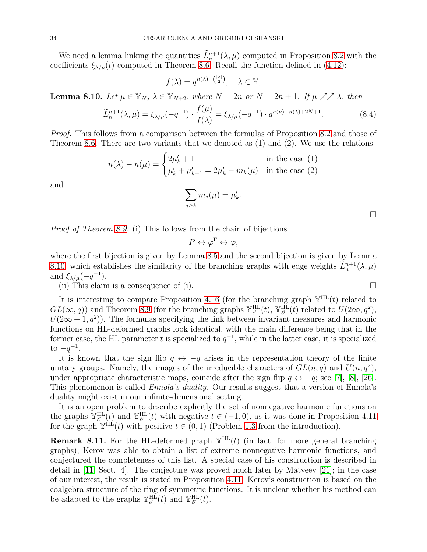We need a lemma linking the quantities  $\tilde{L}_n^{n+1}(\lambda, \mu)$  computed in Proposition [8.2](#page-29-2) with the coefficients  $\xi_{\lambda/\mu}(t)$  computed in Theorem [8.6.](#page-31-1) Recall the function defined in [\(4.12\)](#page-16-4):

$$
f(\lambda) = q^{n(\lambda) - \binom{|\lambda|}{2}}, \quad \lambda \in \mathbb{Y},
$$

<span id="page-33-0"></span>**Lemma 8.10.** Let  $\mu \in \mathbb{Y}_N$ ,  $\lambda \in \mathbb{Y}_{N+2}$ , where  $N = 2n$  or  $N = 2n + 1$ . If  $\mu \nearrow \lambda$ , then

$$
\widetilde{L}_n^{n+1}(\lambda, \mu) = \xi_{\lambda/\mu}(-q^{-1}) \cdot \frac{f(\mu)}{f(\lambda)} = \xi_{\lambda/\mu}(-q^{-1}) \cdot q^{n(\mu)-n(\lambda)+2N+1}.\tag{8.4}
$$

.

Proof. This follows from a comparison between the formulas of Proposition [8.2](#page-29-2) and those of Theorem [8.6.](#page-31-1) There are two variants that we denoted as  $(1)$  and  $(2)$ . We use the relations

$$
n(\lambda) - n(\mu) = \begin{cases} 2\mu'_k + 1 & \text{in the case (1)}\\ \mu'_k + \mu'_{k+1} = 2\mu'_k - m_k(\mu) & \text{in the case (2)} \end{cases}
$$

and

$$
\sum_{j\geq k} m_j(\mu)=\mu'_k
$$

 $\Box$ 

Proof of Theorem [8.9.](#page-32-1) (i) This follows from the chain of bijections

$$
P \leftrightarrow \varphi^{\Gamma} \leftrightarrow \varphi,
$$

where the first bijection is given by Lemma [8.5](#page-30-1) and the second bijection is given by Lemma [8.10,](#page-33-0) which establishes the similarity of the branching graphs with edge weights  $L_n^{n+1}(\lambda, \mu)$ and  $\xi_{\lambda/\mu}(-q^{-1})$ .

(ii) This claim is a consequence of (i).  $\Box$ 

It is interesting to compare Proposition [4.16](#page-16-3) (for the branching graph  $\mathbb{Y}^{HL}(t)$  related to  $GL(\infty, q)$  and Theorem [8.9](#page-32-1) (for the branching graphs  $\mathbb{Y}_{\mathscr{E}}^{\text{HL}}(t)$ ,  $\mathbb{Y}_{\mathscr{O}}^{\text{HL}}(t)$  related to  $U(2\infty, q^2)$ ,  $U(2\infty + 1, q^2)$ ). The formulas specifying the link between invariant measures and harmonic functions on HL-deformed graphs look identical, with the main difference being that in the former case, the HL parameter t is specialized to  $q^{-1}$ , while in the latter case, it is specialized to  $-q^{-1}$ .

It is known that the sign flip  $q \leftrightarrow -q$  arises in the representation theory of the finite unitary groups. Namely, the images of the irreducible characters of  $GL(n, q)$  and  $U(n, q^2)$ , under appropriate characteristic maps, coincide after the sign flip  $q \leftrightarrow -q$ ; see [\[7\]](#page-45-11), [\[8\]](#page-45-12), [\[26\]](#page-45-13). This phenomenon is called Ennola's duality. Our results suggest that a version of Ennola's duality might exist in our infinite-dimensional setting.

It is an open problem to describe explicitly the set of nonnegative harmonic functions on the graphs  $\mathbb{Y}_{\mathscr{E}}^{\text{HL}}(t)$  and  $\mathbb{Y}_{\mathscr{O}}^{\text{HL}}(t)$  with negative  $t \in (-1,0)$ , as it was done in Proposition [4.11](#page-15-2) for the graph  $\mathbb{Y}^{\text{HL}}(t)$  with positive  $t \in (0,1)$  (Problem [1.3](#page-6-4) from the introduction).

**Remark 8.11.** For the HL-deformed graph  $\mathbb{Y}^{\text{HL}}(t)$  (in fact, for more general branching graphs), Kerov was able to obtain a list of extreme nonnegative harmonic functions, and conjectured the completeness of this list. A special case of his construction is described in detail in [\[11,](#page-45-26) Sect. 4]. The conjecture was proved much later by Matveev [\[21\]](#page-45-9); in the case of our interest, the result is stated in Proposition [4.11.](#page-15-2) Kerov's construction is based on the coalgebra structure of the ring of symmetric functions. It is unclear whether his method can be adapted to the graphs  $\mathbb{Y}_{\mathscr{E}}^{\text{HL}}(t)$  and  $\mathbb{Y}_{\mathscr{O}}^{\text{HL}}(t)$ .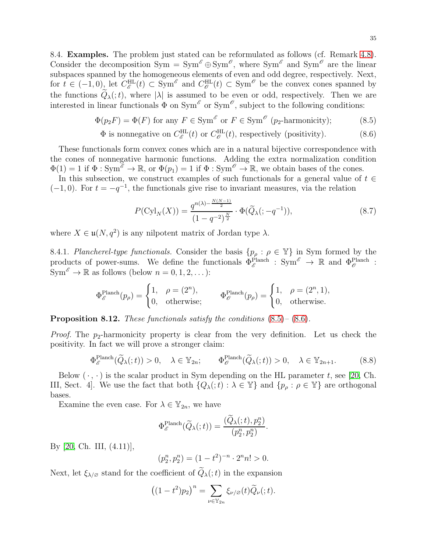<span id="page-34-0"></span>8.4. Examples. The problem just stated can be reformulated as follows (cf. Remark [4.8\)](#page-14-6). Consider the decomposition  $Sym = Sym^{\mathscr{E}} \oplus Sym^{\mathscr{E}}$ , where  $Sym^{\mathscr{E}}$  and  $Sym^{\mathscr{E}}$  are the linear subspaces spanned by the homogeneous elements of even and odd degree, respectively. Next, for  $t \in (-1,0)$ , let  $C_{\mathscr{E}}^{\text{HL}}(t) \subset \text{Sym}^{\mathscr{E}}$  and  $C_{\mathscr{E}}^{\text{HL}}(t) \subset \text{Sym}^{\mathscr{E}}$  be the convex cones spanned by the functions  $\tilde{Q}_{\lambda}(t)$ , where  $|\lambda|$  is assumed to be even or odd, respectively. Then we are interested in linear functionals  $\Phi$  on  $Sym^{\mathscr{E}}$  or  $Sym^{\mathscr{O}}$ , subject to the following conditions:

$$
\Phi(p_2 F) = \Phi(F) \text{ for any } F \in \text{Sym}^{\mathscr{E}} \text{ or } F \in \text{Sym}^{\mathscr{E}} (p_2 \text{-harmonicity}); \tag{8.5}
$$

$$
\Phi \text{ is nonnegative on } C_{\mathscr{E}}^{\text{HL}}(t) \text{ or } C_{\mathscr{O}}^{\text{HL}}(t), \text{ respectively (positivity).} \tag{8.6}
$$

These functionals form convex cones which are in a natural bijective correspondence with the cones of nonnegative harmonic functions. Adding the extra normalization condition  $\Phi(1) = 1$  if  $\Phi : \text{Sym}^{\mathscr{E}} \to \mathbb{R}$ , or  $\Phi(p_1) = 1$  if  $\Phi : \text{Sym}^{\mathscr{O}} \to \mathbb{R}$ , we obtain bases of the cones.

In this subsection, we construct examples of such functionals for a general value of  $t \in$  $(-1, 0)$ . For  $t = -q^{-1}$ , the functionals give rise to invariant measures, via the relation

<span id="page-34-4"></span><span id="page-34-3"></span><span id="page-34-2"></span>
$$
P(\text{Cyl}_N(X)) = \frac{q^{n(\lambda) - \frac{N(N-1)}{2}}}{(1 - q^{-2})^{\frac{N}{2}}} \cdot \Phi(\tilde{Q}_{\lambda}(:, -q^{-1})),
$$
\n(8.7)

where  $X \in \mathfrak{u}(N, q^2)$  is any nilpotent matrix of Jordan type  $\lambda$ .

<span id="page-34-1"></span>8.4.1. Plancherel-type functionals. Consider the basis  $\{p_\rho : \rho \in \mathbb{Y}\}\$ in Sym formed by the products of power-sums. We define the functionals  $\Phi_{\mathscr{E}}^{\text{Planch}}$ :  $\text{Sym}^{\mathscr{E}} \to \mathbb{R}$  and  $\Phi_{\mathscr{E}}^{\text{Planch}}$ :  $\text{Sym}^{\mathscr{E}} \to \mathbb{R}$  as follows (below  $n = 0, 1, 2, \dots$ ):

$$
\Phi_{\mathscr{E}}^{\text{Planch}}(p_{\rho}) = \begin{cases} 1, & \rho = (2^n), \\ 0, & \text{otherwise}; \end{cases} \qquad \Phi_{\mathscr{O}}^{\text{Planch}}(p_{\rho}) = \begin{cases} 1, & \rho = (2^n, 1), \\ 0, & \text{otherwise}. \end{cases}
$$

**Proposition 8.12.** These functionals satisfy the conditions  $(8.5)$ – $(8.6)$ .

*Proof.* The  $p_2$ -harmonicity property is clear from the very definition. Let us check the positivity. In fact we will prove a stronger claim:

$$
\Phi_{\mathscr{E}}^{\text{Planch}}(\widetilde{Q}_{\lambda}(t)) > 0, \quad \lambda \in \mathbb{Y}_{2n}; \qquad \Phi_{\mathscr{O}}^{\text{Planch}}(\widetilde{Q}_{\lambda}(t)) > 0, \quad \lambda \in \mathbb{Y}_{2n+1}.\tag{8.8}
$$

Below  $(\cdot, \cdot)$  is the scalar product in Sym depending on the HL parameter t, see [\[20,](#page-45-14) Ch. III, Sect. 4]. We use the fact that both  $\{Q_{\lambda}(t): \lambda \in \mathbb{Y}\}\$ and  $\{p_{\rho} : \rho \in \mathbb{Y}\}\$ are orthogonal bases.

Examine the even case. For  $\lambda \in \mathbb{Y}_{2n}$ , we have

$$
\Phi^{\text{Planch}}_{\mathscr{E}}(\widetilde{Q}_{\lambda}(:,t))=\frac{(\widetilde{Q}_{\lambda}(:,t),p_{2}^{n})}{(p_{2}^{n},p_{2}^{n})}.
$$

By [\[20,](#page-45-14) Ch. III, (4.11)],

$$
(p_2^n, p_2^n) = (1 - t^2)^{-n} \cdot 2^n n! > 0.
$$

Next, let  $\xi_{\lambda/\varnothing}$  stand for the coefficient of<br>  $\widetilde Q_{\lambda}(;t)$  in the expansion

$$
((1-t^2)p_2)^n = \sum_{\nu \in \mathbb{Y}_{2n}} \xi_{\nu/\varnothing}(t) \widetilde{Q}_{\nu}(\tau);.
$$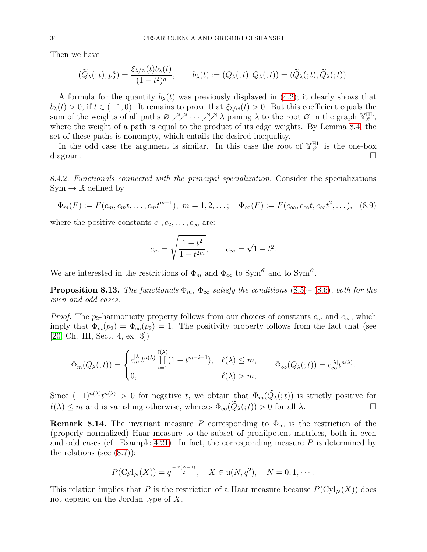Then we have

$$
(\widetilde{Q}_{\lambda}(t), p_2^n) = \frac{\xi_{\lambda/\varnothing}(t)b_{\lambda}(t)}{(1-t^2)^n}, \qquad b_{\lambda}(t) := (Q_{\lambda}(t), Q_{\lambda}(t)) = (\widetilde{Q}_{\lambda}(t), \widetilde{Q}_{\lambda}(t)).
$$

A formula for the quantity  $b_{\lambda}(t)$  was previously displayed in [\(4.2\)](#page-13-5); it clearly shows that  $b_{\lambda}(t) > 0$ , if  $t \in (-1,0)$ . It remains to prove that  $\xi_{\lambda/\varnothing}(t) > 0$ . But this coefficient equals the sum of the weights of all paths  $\varnothing \nearrow \nearrow \cdots \nearrow \nearrow \lambda$  joining  $\lambda$  to the root  $\varnothing$  in the graph  $\mathbb{Y}_{\mathscr{E}}^{\text{HL}}$ , where the weight of a path is equal to the product of its edge weights. By Lemma [8.4,](#page-30-0) the set of these paths is nonempty, which entails the desired inequality.

In the odd case the argument is similar. In this case the root of  $\mathbb{Y}_{\mathscr{O}}^{\text{HL}}$  is the one-box diagram.

8.4.2. Functionals connected with the principal specialization. Consider the specializations  $\text{Sym} \to \mathbb{R}$  defined by

<span id="page-35-0"></span>
$$
\Phi_m(F) := F(c_m, c_m t, \dots, c_m t^{m-1}), \ m = 1, 2, \dots; \quad \Phi_\infty(F) := F(c_\infty, c_\infty t, c_\infty t^2, \dots), \tag{8.9}
$$

where the positive constants  $c_1, c_2, \ldots, c_{\infty}$  are:

$$
c_m = \sqrt{\frac{1 - t^2}{1 - t^{2m}}},
$$
  $c_{\infty} = \sqrt{1 - t^2}.$ 

We are interested in the restrictions of  $\Phi_m$  and  $\Phi_{\infty}$  to  $\text{Sym}^{\mathscr{E}}$  and to  $\text{Sym}^{\mathscr{O}}$ .

**Proposition 8.13.** The functionals  $\Phi_m$ ,  $\Phi_\infty$  satisfy the conditions [\(8.5\)](#page-34-2)–[\(8.6\)](#page-34-3), both for the even and odd cases.

*Proof.* The  $p_2$ -harmonicity property follows from our choices of constants  $c_m$  and  $c_{\infty}$ , which imply that  $\Phi_m(p_2) = \Phi_\infty(p_2) = 1$ . The positivity property follows from the fact that (see [\[20,](#page-45-14) Ch. III, Sect. 4, ex. 3])

$$
\Phi_m(Q_\lambda(\tau)) = \begin{cases} c_m^{|\lambda|} t^{n(\lambda)} \prod_{i=1}^{\ell(\lambda)} (1 - t^{m-i+1}), & \ell(\lambda) \le m, \\ 0, & \ell(\lambda) > m; \end{cases} \qquad \Phi_\infty(Q_\lambda(\tau)) = c_\infty^{|\lambda|} t^{n(\lambda)}.
$$

Since  $(-1)^{n(\lambda)}t^{n(\lambda)} > 0$  for negative t, we obtain that  $\Phi_m(Q_\lambda(\tau))$  is strictly positive for  $\ell(\lambda) \leq m$  and is vanishing otherwise, whereas  $\Phi_{\infty}(\widetilde{Q}_{\lambda}(\cdot;t)) > 0$  for all  $\lambda$ .

**Remark 8.14.** The invariant measure P corresponding to  $\Phi_{\infty}$  is the restriction of the (properly normalized) Haar measure to the subset of pronilpotent matrices, both in even and odd cases (cf. Example [4.21\)](#page-18-1). In fact, the corresponding measure  $P$  is determined by the relations (see  $(8.7)$ ):

$$
P(\mathrm{Cyl}_N(X)) = q^{\frac{-N(N-1)}{2}}, \quad X \in \mathfrak{u}(N, q^2), \quad N = 0, 1, \cdots.
$$

This relation implies that P is the restriction of a Haar measure because  $P(\mathrm{Cyl}_N(X))$  does not depend on the Jordan type of X.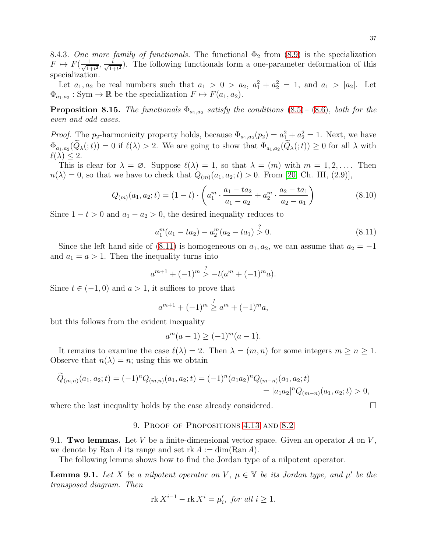8.4.3. One more family of functionals. The functional  $\Phi_2$  from [\(8.9\)](#page-35-0) is the specialization  $F \mapsto F(\frac{1}{\sqrt{1+1}})$  $\frac{1}{1+t^2}, \frac{t}{\sqrt{1-t^2}}$  $\frac{t}{1+t^2}$ ). The following functionals form a one-parameter deformation of this specialization.

Let  $a_1, a_2$  be real numbers such that  $a_1 > 0 > a_2, a_1<sup>2</sup> + a_2<sup>2</sup> = 1$ , and  $a_1 > |a_2|$ . Let  $\Phi_{a_1,a_2}: \text{Sym} \to \mathbb{R}$  be the specialization  $F \mapsto F(a_1, a_2)$ .

**Proposition 8.15.** The functionals  $\Phi_{a_1,a_2}$  satisfy the conditions [\(8.5\)](#page-34-2)– [\(8.6\)](#page-34-3), both for the even and odd cases.

*Proof.* The p<sub>2</sub>-harmonicity property holds, because  $\Phi_{a_1,a_2}(p_2) = a_1^2 + a_2^2 = 1$ . Next, we have  $\Phi_{a_1,a_2}(Q_\lambda(t)) = 0$  if  $\ell(\lambda) > 2$ . We are going to show that  $\Phi_{a_1,a_2}(Q_\lambda(t)) \geq 0$  for all  $\lambda$  with  $\ell(\lambda) \leq 2$ .

This is clear for  $\lambda = \emptyset$ . Suppose  $\ell(\lambda) = 1$ , so that  $\lambda = (m)$  with  $m = 1, 2, \ldots$ . Then  $n(\lambda) = 0$ , so that we have to check that  $Q_{(m)}(a_1, a_2; t) > 0$ . From [\[20,](#page-45-14) Ch. III, (2.9)],

$$
Q_{(m)}(a_1, a_2; t) = (1 - t) \cdot \left( a_1^m \cdot \frac{a_1 - ta_2}{a_1 - a_2} + a_2^m \cdot \frac{a_2 - ta_1}{a_2 - a_1} \right)
$$
(8.10)

Since  $1 - t > 0$  and  $a_1 - a_2 > 0$ , the desired inequality reduces to

<span id="page-36-2"></span>
$$
a_1^m(a_1 - ta_2) - a_2^m(a_2 - ta_1) \stackrel{?}{>} 0.
$$
 (8.11)

Since the left hand side of [\(8.11\)](#page-36-2) is homogeneous on  $a_1, a_2$ , we can assume that  $a_2 = -1$ and  $a_1 = a > 1$ . Then the inequality turns into

$$
a^{m+1} + (-1)^m \stackrel{?}{>} -t(a^m + (-1)^m a).
$$

Since  $t \in (-1,0)$  and  $a > 1$ , it suffices to prove that

$$
a^{m+1} + (-1)^m \stackrel{?}{\geq} a^m + (-1)^m a,
$$

but this follows from the evident inequality

$$
a^m(a-1) \ge (-1)^m(a-1).
$$

It remains to examine the case  $\ell(\lambda) = 2$ . Then  $\lambda = (m, n)$  for some integers  $m \geq n \geq 1$ . Observe that  $n(\lambda) = n$ ; using this we obtain

$$
\widetilde{Q}_{(m,n)}(a_1, a_2; t) = (-1)^n Q_{(m,n)}(a_1, a_2; t) = (-1)^n (a_1 a_2)^n Q_{(m-n)}(a_1, a_2; t) \n= |a_1 a_2|^n Q_{(m-n)}(a_1, a_2; t) > 0,
$$

<span id="page-36-0"></span>where the last inequality holds by the case already considered.  $\Box$ 

## 9. PROOF OF PROPOSITIONS [4.13](#page-16-0) AND [8.2](#page-29-2)

<span id="page-36-1"></span>9.1. Two lemmas. Let V be a finite-dimensional vector space. Given an operator  $A$  on  $V$ , we denote by Ran A its range and set  $rk A := dim(Ran A)$ .

The following lemma shows how to find the Jordan type of a nilpotent operator.

<span id="page-36-3"></span>**Lemma 9.1.** Let X be a nilpotent operator on V,  $\mu \in \mathbb{Y}$  be its Jordan type, and  $\mu'$  be the transposed diagram. Then

$$
\operatorname{rk} X^{i-1} - \operatorname{rk} X^i = \mu'_i, \text{ for all } i \ge 1.
$$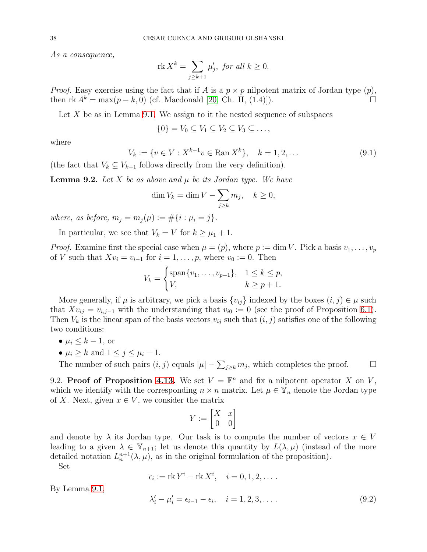As a consequence,

$$
\operatorname{rk} X^k = \sum_{j \ge k+1} \mu'_j, \text{ for all } k \ge 0.
$$

*Proof.* Easy exercise using the fact that if A is a  $p \times p$  nilpotent matrix of Jordan type  $(p)$ , then rk  $A^k = \max(p - k, 0)$  (cf. Macdonald [20, Ch. II. (1.4)]). then rk  $A^k = \max(p - k, 0)$  (cf. Macdonald [\[20,](#page-45-14) Ch. II, (1.4)]).

Let  $X$  be as in Lemma [9.1.](#page-36-3) We assign to it the nested sequence of subspaces

 $\{0\} = V_0 \subset V_1 \subset V_2 \subset V_3 \subset \ldots$ 

where

<span id="page-37-3"></span>
$$
V_k := \{ v \in V : X^{k-1}v \in \text{Ran}\, X^k \}, \quad k = 1, 2, \dots \tag{9.1}
$$

(the fact that  $V_k \subseteq V_{k+1}$  follows directly from the very definition).

<span id="page-37-2"></span>**Lemma 9.2.** Let X be as above and  $\mu$  be its Jordan type. We have

$$
\dim V_k = \dim V - \sum_{j \ge k} m_j, \quad k \ge 0,
$$

where, as before,  $m_j = m_j(\mu) := #\{i : \mu_i = j\}.$ 

In particular, we see that  $V_k = V$  for  $k \geq \mu_1 + 1$ .

*Proof.* Examine first the special case when  $\mu = (p)$ , where  $p := \dim V$ . Pick a basis  $v_1, \ldots, v_p$ of V such that  $Xv_i = v_{i-1}$  for  $i = 1, \ldots, p$ , where  $v_0 := 0$ . Then

$$
V_k = \begin{cases} \text{span}\{v_1, \dots, v_{p-1}\}, & 1 \le k \le p, \\ V, & k \ge p+1. \end{cases}
$$

More generally, if  $\mu$  is arbitrary, we pick a basis  $\{v_{ij}\}\$  indexed by the boxes  $(i, j) \in \mu$  such that  $Xv_{ij} = v_{i,j-1}$  with the understanding that  $v_{i0} := 0$  (see the proof of Proposition [6.1\)](#page-23-2). Then  $V_k$  is the linear span of the basis vectors  $v_{ij}$  such that  $(i, j)$  satisfies one of the following two conditions:

- $\mu_i \leq k-1$ , or
- $\mu_i \geq k$  and  $1 \leq j \leq \mu_i 1$ .

The number of such pairs  $(i, j)$  equals  $|\mu| - \sum_{j \geq k} m_j$ , which completes the proof.  $\Box$ 

<span id="page-37-0"></span>9.2. Proof of Proposition [4.13.](#page-16-0) We set  $V = \mathbb{F}^n$  and fix a nilpotent operator X on V, which we identify with the corresponding  $n \times n$  matrix. Let  $\mu \in \mathbb{Y}_n$  denote the Jordan type of X. Next, given  $x \in V$ , we consider the matrix

$$
Y:=\begin{bmatrix} X & x \\ 0 & 0 \end{bmatrix}
$$

and denote by  $\lambda$  its Jordan type. Our task is to compute the number of vectors  $x \in V$ leading to a given  $\lambda \in \mathbb{Y}_{n+1}$ ; let us denote this quantity by  $L(\lambda, \mu)$  (instead of the more detailed notation  $L_n^{n+1}(\lambda, \mu)$ , as in the original formulation of the proposition).

Set

$$
\epsilon_i := \operatorname{rk} Y^i - \operatorname{rk} X^i, \quad i = 0, 1, 2, \dots
$$

By Lemma [9.1,](#page-36-3)

<span id="page-37-1"></span>
$$
\lambda'_{i} - \mu'_{i} = \epsilon_{i-1} - \epsilon_{i}, \quad i = 1, 2, 3, \dots
$$
\n(9.2)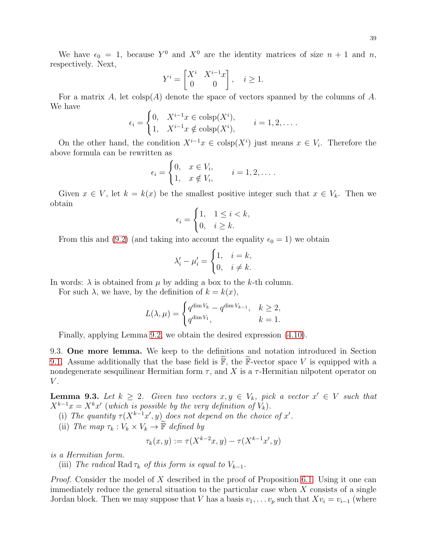We have  $\epsilon_0 = 1$ , because  $Y^0$  and  $X^0$  are the identity matrices of size  $n + 1$  and n, respectively. Next,

$$
Y^i = \begin{bmatrix} X^i & X^{i-1}x \\ 0 & 0 \end{bmatrix}, \quad i \ge 1.
$$

For a matrix A, let  $\text{colsp}(A)$  denote the space of vectors spanned by the columns of A. We have

$$
\epsilon_i = \begin{cases} 0, & X^{i-1}x \in \text{colsp}(X^i), \\ 1, & X^{i-1}x \notin \text{colsp}(X^i), \end{cases} \quad i = 1, 2, \dots.
$$

On the other hand, the condition  $X^{i-1}x \in \text{colsp}(X^i)$  just means  $x \in V_i$ . Therefore the above formula can be rewritten as

$$
\epsilon_i = \begin{cases} 0, & x \in V_i, \\ 1, & x \notin V_i, \end{cases} \quad i = 1, 2, \dots.
$$

Given  $x \in V$ , let  $k = k(x)$  be the smallest positive integer such that  $x \in V_k$ . Then we obtain

$$
\epsilon_i = \begin{cases} 1, & 1 \le i < k, \\ 0, & i \ge k. \end{cases}
$$

From this and [\(9.2\)](#page-37-1) (and taking into account the equality  $\epsilon_0 = 1$ ) we obtain

$$
\lambda'_i - \mu'_i = \begin{cases} 1, & i = k, \\ 0, & i \neq k. \end{cases}
$$

In words:  $\lambda$  is obtained from  $\mu$  by adding a box to the k-th column.

For such  $\lambda$ , we have, by the definition of  $k = k(x)$ ,

$$
L(\lambda, \mu) = \begin{cases} q^{\dim V_k} - q^{\dim V_{k-1}}, & k \ge 2, \\ q^{\dim V_1}, & k = 1. \end{cases}
$$

Finally, applying Lemma [9.2,](#page-37-2) we obtain the desired expression [\(4.10\)](#page-16-1).

<span id="page-38-0"></span>9.3. One more lemma. We keep to the definitions and notation introduced in Section [9.1.](#page-36-1) Assume additionally that the base field is  $\mathbb{F}$ , the F-vector space V is equipped with a nondegenerate sesquilinear Hermitian form  $\tau$ , and X is a  $\tau$ -Hermitian nilpotent operator on  $V$ .

<span id="page-38-1"></span>**Lemma 9.3.** Let  $k \geq 2$ . Given two vectors  $x, y \in V_k$ , pick a vector  $x' \in V$  such that  $X^{k-1}x = X^kx'$  (which is possible by the very definition of  $V_k$ ).

(i) The quantity  $\tau(X^{k-1}x', y)$  does not depend on the choice of x'.

(ii) The map  $\tau_k : V_k \times V_k \to \widetilde{\mathbb{F}}$  defined by

$$
\tau_k(x, y) := \tau(X^{k-2}x, y) - \tau(X^{k-1}x', y)
$$

is a Hermitian form.

(iii) The radical Rad  $\tau_k$  of this form is equal to  $V_{k-1}$ .

*Proof.* Consider the model of X described in the proof of Proposition [6.1.](#page-23-2) Using it one can immediately reduce the general situation to the particular case when X consists of a single Jordan block. Then we may suppose that V has a basis  $v_1, \ldots v_p$  such that  $Xv_i = v_{i-1}$  (where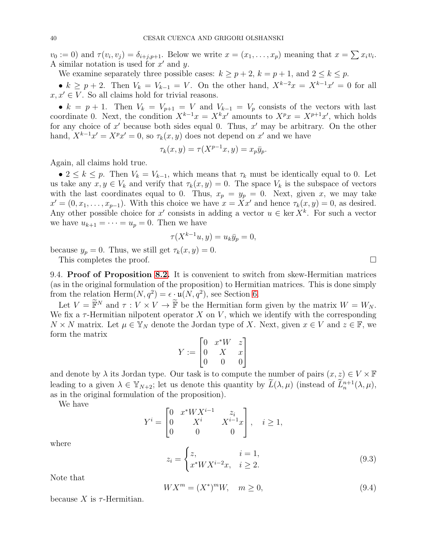$v_0 := 0$  and  $\tau(v_i, v_j) = \delta_{i+j, p+1}$ . Below we write  $x = (x_1, \ldots, x_p)$  meaning that  $x = \sum x_i v_i$ . A similar notation is used for  $x'$  and  $y$ .

We examine separately three possible cases:  $k \geq p+2$ ,  $k = p+1$ , and  $2 \leq k \leq p$ .

•  $k \geq p+2$ . Then  $V_k = V_{k-1} = V$ . On the other hand,  $X^{k-2}x = X^{k-1}x' = 0$  for all  $x, x' \in V$ . So all claims hold for trivial reasons.

•  $k = p + 1$ . Then  $V_k = V_{p+1} = V$  and  $V_{k-1} = V_p$  consists of the vectors with last coordinate 0. Next, the condition  $X^{k-1}x = X^kx'$  amounts to  $X^px = X^{p+1}x'$ , which holds for any choice of x' because both sides equal 0. Thus, x' may be arbitrary. On the other hand,  $X^{k-1}x' = X^p x' = 0$ , so  $\tau_k(x, y)$  does not depend on  $x'$  and we have

$$
\tau_k(x, y) = \tau(X^{p-1}x, y) = x_p \bar{y}_p.
$$

Again, all claims hold true.

•  $2 \leq k \leq p$ . Then  $V_k = V_{k-1}$ , which means that  $\tau_k$  must be identically equal to 0. Let us take any  $x, y \in V_k$  and verify that  $\tau_k(x, y) = 0$ . The space  $V_k$  is the subspace of vectors with the last coordinates equal to 0. Thus,  $x_p = y_p = 0$ . Next, given x, we may take  $x' = (0, x_1, \ldots, x_{p-1})$ . With this choice we have  $x = Xx'$  and hence  $\tau_k(x, y) = 0$ , as desired. Any other possible choice for x' consists in adding a vector  $u \in \text{ker } X^k$ . For such a vector we have  $u_{k+1} = \cdots = u_p = 0$ . Then we have

$$
\tau(X^{k-1}u, y) = u_k \bar{y}_p = 0,
$$

because  $y_p = 0$ . Thus, we still get  $\tau_k(x, y) = 0$ .

<span id="page-39-0"></span>This completes the proof.

9.4. Proof of Proposition [8.2.](#page-29-2) It is convenient to switch from skew-Hermitian matrices (as in the original formulation of the proposition) to Hermitian matrices. This is done simply from the relation Herm $(N, q^2) = \epsilon \cdot \mathfrak{u}(N, q^2)$ , see Section [6.](#page-21-0)

Let  $V = \widetilde{\mathbb{F}}^N$  and  $\tau : V \times V \to \widetilde{\mathbb{F}}$  be the Hermitian form given by the matrix  $W = W_N$ . We fix a  $\tau$ -Hermitian nilpotent operator X on V, which we identify with the corresponding  $N \times N$  matrix. Let  $\mu \in \mathbb{Y}_N$  denote the Jordan type of X. Next, given  $x \in V$  and  $z \in \mathbb{F}$ , we form the matrix

$$
Y := \begin{bmatrix} 0 & x^*W & z \\ 0 & X & x \\ 0 & 0 & 0 \end{bmatrix}
$$

and denote by  $\lambda$  its Jordan type. Our task is to compute the number of pairs  $(x, z) \in V \times \mathbb{F}$ leading to a given  $\lambda \in \mathbb{Y}_{N+2}$ ; let us denote this quantity by  $\widetilde{L}(\lambda, \mu)$  (instead of  $\widetilde{L}_n^{n+1}(\lambda, \mu)$ , as in the original formulation of the proposition).

We have

$$
Y^{i} = \begin{bmatrix} 0 & x^{*}WX^{i-1} & z_{i} \\ 0 & X^{i} & X^{i-1}x \\ 0 & 0 & 0 \end{bmatrix}, \quad i \ge 1,
$$

where

<span id="page-39-2"></span>
$$
z_i = \begin{cases} z, & i = 1, \\ x^*WX^{i-2}x, & i \ge 2. \end{cases}
$$
\n
$$
(9.3)
$$

Note that

<span id="page-39-1"></span>
$$
WX^m = (X^*)^m W, \quad m \ge 0,
$$
\n(9.4)

because X is  $\tau$ -Hermitian.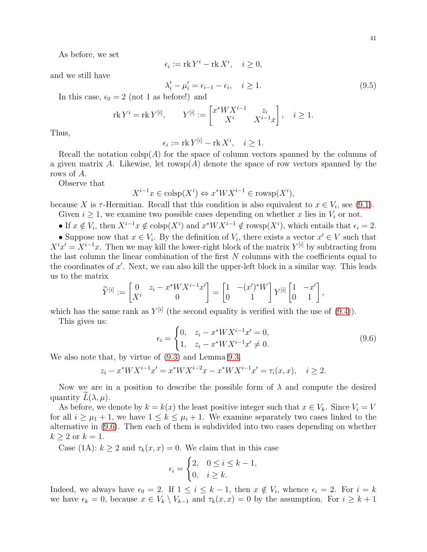$$
\epsilon_i := \operatorname{rk} Y^i - \operatorname{rk} X^i, \quad i \ge 0,
$$

and we still have

<span id="page-40-1"></span>
$$
\lambda_i' - \mu_i' = \epsilon_{i-1} - \epsilon_i, \quad i \ge 1.
$$
\n(9.5)

In this case,  $\epsilon_0 = 2$  (not 1 as before!) and

$$
rk Y^{i} = rk Y^{[i]},
$$
  $Y^{[i]} := \begin{bmatrix} x^{*}WX^{i-1} & z_{i} \\ X^{i} & X^{i-1}x \end{bmatrix}, i \ge 1.$ 

Thus,

$$
\epsilon_i := \operatorname{rk} Y^{[i]} - \operatorname{rk} X^i, \quad i \ge 1.
$$

Recall the notation  $\text{colsp}(A)$  for the space of column vectors spanned by the columns of a given matrix A. Likewise, let rowsp(A) denote the space of row vectors spanned by the rows of A.

Observe that

$$
X^{i-1}x \in \text{colsp}(X^i) \Leftrightarrow x^*WX^{i-1} \in \text{rowsp}(X^i),
$$

because X is  $\tau$ -Hermitian. Recall that this condition is also equivalent to  $x \in V_i$ , see [\(9.1\)](#page-37-3).

Given  $i \geq 1$ , we examine two possible cases depending on whether x lies in  $V_i$  or not.

• If  $x \notin V_i$ , then  $X^{i-1}x \notin \text{colsp}(X^i)$  and  $x^*WX^{i-1} \notin \text{rowsp}(X^i)$ , which entails that  $\epsilon_i = 2$ .

• Suppose now that  $x \in V_i$ . By the definition of  $V_i$ , there exists a vector  $x' \in V$  such that  $X^{i}x' = X^{i-1}x$ . Then we may kill the lower-right block of the matrix  $Y^{[i]}$  by subtracting from the last column the linear combination of the first  $N$  columns with the coefficients equal to the coordinates of  $x'$ . Next, we can also kill the upper-left block in a similar way. This leads us to the matrix

$$
\widetilde{Y}^{[i]} := \begin{bmatrix} 0 & z_i - x^* W X^{i-1} x' \\ X^i & 0 \end{bmatrix} = \begin{bmatrix} 1 & -(x')^* W \\ 0 & 1 \end{bmatrix} Y^{[i]} \begin{bmatrix} 1 & -x' \\ 0 & 1 \end{bmatrix},
$$

which has the same rank as  $Y^{[i]}$  (the second equality is verified with the use of  $(9.4)$ ).

This gives us:

<span id="page-40-0"></span>
$$
\epsilon_i = \begin{cases} 0, & z_i - x^* W X^{i-1} x' = 0, \\ 1, & z_i - x^* W X^{i-1} x' \neq 0. \end{cases} \tag{9.6}
$$

We also note that, by virtue of [\(9.3\)](#page-39-2) and Lemma [9.3,](#page-38-1)

$$
z_i - x^* W X^{i-1} x' = x^* W X^{i-2} x - x^* W X^{i-1} x' = \tau_i(x, x), \quad i \ge 2.
$$

Now we are in a position to describe the possible form of  $\lambda$  and compute the desired quantity  $L(\lambda, \mu)$ .

As before, we denote by  $k = k(x)$  the least positive integer such that  $x \in V_k$ . Since  $V_i = V$ for all  $i \geq \mu_1 + 1$ , we have  $1 \leq k \leq \mu_i + 1$ . We examine separately two cases linked to the alternative in [\(9.6\)](#page-40-0). Then each of them is subdivided into two cases depending on whether  $k \geq 2$  or  $k = 1$ .

Case (1A):  $k \ge 2$  and  $\tau_k(x, x) = 0$ . We claim that in this case

$$
\epsilon_i = \begin{cases} 2, & 0 \leq i \leq k-1, \\ 0, & i \geq k. \end{cases}
$$

Indeed, we always have  $\epsilon_0 = 2$ . If  $1 \leq i \leq k-1$ , then  $x \notin V_i$ , whence  $\epsilon_i = 2$ . For  $i = k$ we have  $\epsilon_k = 0$ , because  $x \in V_k \setminus V_{k-1}$  and  $\tau_k(x, x) = 0$  by the assumption. For  $i \geq k+1$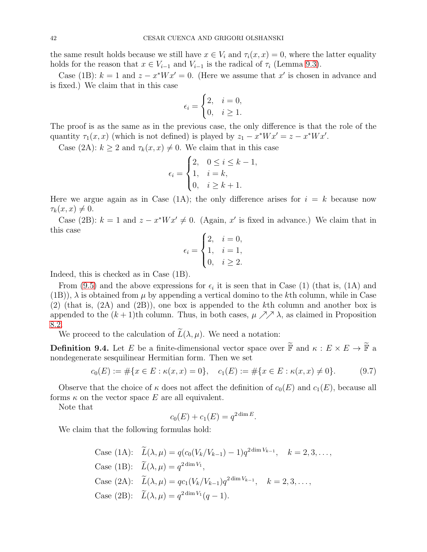the same result holds because we still have  $x \in V_i$  and  $\tau_i(x, x) = 0$ , where the latter equality holds for the reason that  $x \in V_{i-1}$  and  $V_{i-1}$  is the radical of  $\tau_i$  (Lemma [9.3\)](#page-38-1).

Case (1B):  $k = 1$  and  $z - x^* W x' = 0$ . (Here we assume that x' is chosen in advance and is fixed.) We claim that in this case

$$
\epsilon_i = \begin{cases} 2, & i = 0, \\ 0, & i \ge 1. \end{cases}
$$

The proof is as the same as in the previous case, the only difference is that the role of the quantity  $\tau_1(x, x)$  (which is not defined) is played by  $z_1 - x^* W x' = z - x^* W x'$ .

Case (2A):  $k \ge 2$  and  $\tau_k(x, x) \ne 0$ . We claim that in this case

$$
\epsilon_i = \begin{cases} 2, & 0 \le i \le k - 1, \\ 1, & i = k, \\ 0, & i \ge k + 1. \end{cases}
$$

Here we argue again as in Case (1A); the only difference arises for  $i = k$  because now  $\tau_k(x, x) \neq 0.$ 

Case (2B):  $k = 1$  and  $z - x^*Wx' \neq 0$ . (Again, x' is fixed in advance.) We claim that in this case

$$
\epsilon_i = \begin{cases} 2, & i = 0, \\ 1, & i = 1, \\ 0, & i \ge 2. \end{cases}
$$

Indeed, this is checked as in Case (1B).

From [\(9.5\)](#page-40-1) and the above expressions for  $\epsilon_i$  it is seen that in Case (1) (that is, (1A) and (1B)),  $\lambda$  is obtained from  $\mu$  by appending a vertical domino to the kth column, while in Case (2) (that is, (2A) and (2B)), one box is appended to the kth column and another box is appended to the  $(k+1)$ th column. Thus, in both cases,  $\mu \nearrow \lambda$ , as claimed in Proposition [8.2.](#page-29-2)

We proceed to the calculation of  $\widetilde{L}(\lambda, \mu)$ . We need a notation:

**Definition 9.4.** Let E be a finite-dimensional vector space over  $\widetilde{\mathbb{F}}$  and  $\kappa : E \times E \to \widetilde{\mathbb{F}}$  a nondegenerate sesquilinear Hermitian form. Then we set

<span id="page-41-0"></span>
$$
c_0(E) := \#\{x \in E : \kappa(x, x) = 0\}, \quad c_1(E) := \#\{x \in E : \kappa(x, x) \neq 0\}.
$$
 (9.7)

Observe that the choice of  $\kappa$  does not affect the definition of  $c_0(E)$  and  $c_1(E)$ , because all forms  $\kappa$  on the vector space E are all equivalent.

Note that

$$
c_0(E) + c_1(E) = q^{2 \dim E}.
$$

We claim that the following formulas hold:

Case (1A): 
$$
\widetilde{L}(\lambda, \mu) = q(c_0(V_k/V_{k-1}) - 1)q^{2\dim V_{k-1}}, \quad k = 2, 3, ...,
$$
  
\nCase (1B):  $\widetilde{L}(\lambda, \mu) = q^{2\dim V_1}$ ,  
\nCase (2A):  $\widetilde{L}(\lambda, \mu) = qc_1(V_k/V_{k-1})q^{2\dim V_{k-1}}, \quad k = 2, 3, ...,$   
\nCase (2B):  $\widetilde{L}(\lambda, \mu) = q^{2\dim V_1}(q - 1)$ .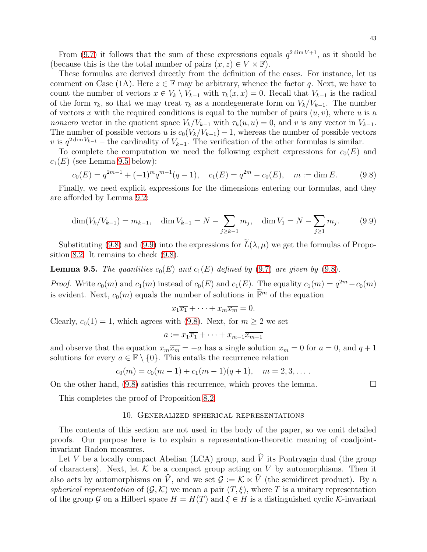From [\(9.7\)](#page-41-0) it follows that the sum of these expressions equals  $q^{2 \dim V +1}$ , as it should be (because this is the the total number of pairs  $(x, z) \in V \times \mathbb{F}$ ).

These formulas are derived directly from the definition of the cases. For instance, let us comment on Case (1A). Here  $z \in \mathbb{F}$  may be arbitrary, whence the factor q. Next, we have to count the number of vectors  $x \in V_k \setminus V_{k-1}$  with  $\tau_k(x, x) = 0$ . Recall that  $V_{k-1}$  is the radical of the form  $\tau_k$ , so that we may treat  $\tau_k$  as a nondegenerate form on  $V_k/V_{k-1}$ . The number of vectors x with the required conditions is equal to the number of pairs  $(u, v)$ , where u is a nonzero vector in the quotient space  $V_k/V_{k-1}$  with  $\tau_k(u, u) = 0$ , and v is any vector in  $V_{k-1}$ . The number of possible vectors u is  $c_0(V_k/V_{k-1}) - 1$ , whereas the number of possible vectors v is  $q^{2 \dim V_{k-1}}$  – the cardinality of  $V_{k-1}$ . The verification of the other formulas is similar.

To complete the computation we need the following explicit expressions for  $c_0(E)$  and  $c_1(E)$  (see Lemma [9.5](#page-42-1) below):

<span id="page-42-2"></span>
$$
c_0(E) = q^{2m-1} + (-1)^m q^{m-1} (q-1), \quad c_1(E) = q^{2m} - c_0(E), \quad m := \dim E. \tag{9.8}
$$

Finally, we need explicit expressions for the dimensions entering our formulas, and they are afforded by Lemma [9.2:](#page-37-2)

<span id="page-42-3"></span>
$$
\dim(V_k/V_{k-1}) = m_{k-1}, \quad \dim V_{k-1} = N - \sum_{j \ge k-1} m_j, \quad \dim V_1 = N - \sum_{j \ge 1} m_j. \tag{9.9}
$$

Substituting [\(9.8\)](#page-42-2) and [\(9.9\)](#page-42-3) into the expressions for  $\widetilde{L}(\lambda, \mu)$  we get the formulas of Proposition [8.2.](#page-29-2) It remains to check [\(9.8\)](#page-42-2).

<span id="page-42-1"></span>**Lemma 9.5.** The quantities  $c_0(E)$  and  $c_1(E)$  defined by [\(9.7\)](#page-41-0) are given by [\(9.8\)](#page-42-2).

*Proof.* Write  $c_0(m)$  and  $c_1(m)$  instead of  $c_0(E)$  and  $c_1(E)$ . The equality  $c_1(m) = q^{2m} - c_0(m)$ is evident. Next,  $c_0(m)$  equals the number of solutions in  $\widetilde{\mathbb{F}}^m$  of the equation

$$
x_1\overline{x_1} + \cdots + x_m\overline{x_m} = 0.
$$

Clearly,  $c_0(1) = 1$ , which agrees with [\(9.8\)](#page-42-2). Next, for  $m \geq 2$  we set

$$
a := x_1 \overline{x_1} + \cdots + x_{m-1} \overline{x_{m-1}}
$$

and observe that the equation  $x_m\overline{x_m} = -a$  has a single solution  $x_m = 0$  for  $a = 0$ , and  $q + 1$ solutions for every  $a \in \mathbb{F} \setminus \{0\}$ . This entails the recurrence relation

$$
c_0(m) = c_0(m-1) + c_1(m-1)(q+1), \quad m = 2, 3, \dots
$$

On the other hand,  $(9.8)$  satisfies this recurrence, which proves the lemma.

<span id="page-42-0"></span>This completes the proof of Proposition [8.2.](#page-29-2)

### 10. Generalized spherical representations

The contents of this section are not used in the body of the paper, so we omit detailed proofs. Our purpose here is to explain a representation-theoretic meaning of coadjointinvariant Radon measures.

Let V be a locally compact Abelian (LCA) group, and  $\hat{V}$  its Pontryagin dual (the group of characters). Next, let  $K$  be a compact group acting on V by automorphisms. Then it also acts by automorphisms on  $\hat{V}$ , and we set  $\mathcal{G} := \mathcal{K} \ltimes \hat{V}$  (the semidirect product). By a spherical representation of  $(\mathcal{G}, \mathcal{K})$  we mean a pair  $(T, \xi)$ , where T is a unitary representation of the group G on a Hilbert space  $H = H(T)$  and  $\xi \in H$  is a distinguished cyclic K-invariant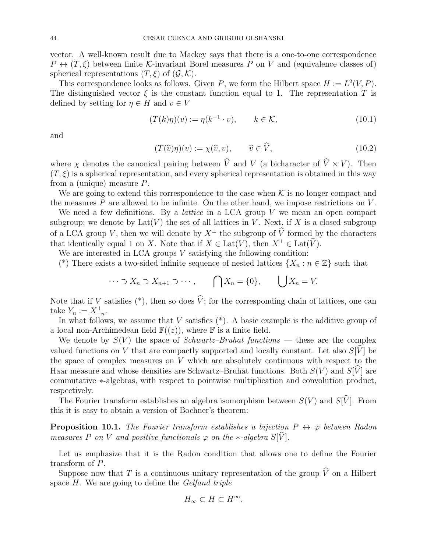vector. A well-known result due to Mackey says that there is a one-to-one correspondence  $P \leftrightarrow (T, \xi)$  between finite K-invariant Borel measures P on V and (equivalence classes of) spherical representations  $(T, \xi)$  of  $(\mathcal{G}, \mathcal{K})$ .

This correspondence looks as follows. Given P, we form the Hilbert space  $H := L^2(V, P)$ . The distinguished vector  $\xi$  is the constant function equal to 1. The representation T is defined by setting for  $\eta \in H$  and  $v \in V$ 

<span id="page-43-2"></span>
$$
(T(k)\eta)(v) := \eta(k^{-1} \cdot v), \qquad k \in \mathcal{K}, \tag{10.1}
$$

and

<span id="page-43-0"></span>
$$
(T(\widehat{v})\eta)(v) := \chi(\widehat{v}, v), \qquad \widehat{v} \in \widehat{V}, \tag{10.2}
$$

where  $\chi$  denotes the canonical pairing between  $\hat{V}$  and V (a bicharacter of  $\hat{V} \times V$ ). Then  $(T, \xi)$  is a spherical representation, and every spherical representation is obtained in this way from a (unique) measure P.

We are going to extend this correspondence to the case when  $K$  is no longer compact and the measures  $P$  are allowed to be infinite. On the other hand, we impose restrictions on  $V$ .

We need a few definitions. By a *lattice* in a LCA group  $V$  we mean an open compact subgroup; we denote by  $Lat(V)$  the set of all lattices in V. Next, if X is a closed subgroup of a LCA group V, then we will denote by  $X^{\perp}$  the subgroup of  $\hat{V}$  formed by the characters that identically equal 1 on X. Note that if  $X \in \text{Lat}(V)$ , then  $X^{\perp} \in \text{Lat}(\widehat{V})$ .

We are interested in LCA groups  $V$  satisfying the following condition:

(\*) There exists a two-sided infinite sequence of nested lattices  $\{X_n : n \in \mathbb{Z}\}\$  such that

$$
\cdots \supset X_n \supset X_{n+1} \supset \cdots, \qquad \bigcap X_n = \{0\}, \qquad \bigcup X_n = V.
$$

Note that if V satisfies (\*), then so does  $\hat{V}$ ; for the corresponding chain of lattices, one can take  $Y_n := X_{-n}^{\perp}.$ 

In what follows, we assume that  $V$  satisfies  $(*)$ . A basic example is the additive group of a local non-Archimedean field  $\mathbb{F}((z))$ , where  $\mathbb F$  is a finite field.

We denote by  $S(V)$  the space of *Schwartz–Bruhat functions* — these are the complex valued functions on V that are compactly supported and locally constant. Let also  $S[\tilde{V}]$  be the space of complex measures on  $V$  which are absolutely continuous with respect to the Haar measure and whose densities are Schwartz–Bruhat functions. Both  $S(V)$  and  $S[\hat{V}]$  are commutative ∗-algebras, with respect to pointwise multiplication and convolution product, respectively.

The Fourier transform establishes an algebra isomorphism between  $S(V)$  and  $S[\widehat{V}]$ . From this it is easy to obtain a version of Bochner's theorem:

<span id="page-43-1"></span>**Proposition 10.1.** The Fourier transform establishes a bijection  $P \leftrightarrow \varphi$  between Radon measures P on V and positive functionals  $\varphi$  on the \*-algebra S[V].

Let us emphasize that it is the Radon condition that allows one to define the Fourier transform of P.

Suppose now that T is a continuous unitary representation of the group  $\widehat{V}$  on a Hilbert space  $H$ . We are going to define the *Gelfand triple* 

$$
H_{\infty} \subset H \subset H^{\infty}.
$$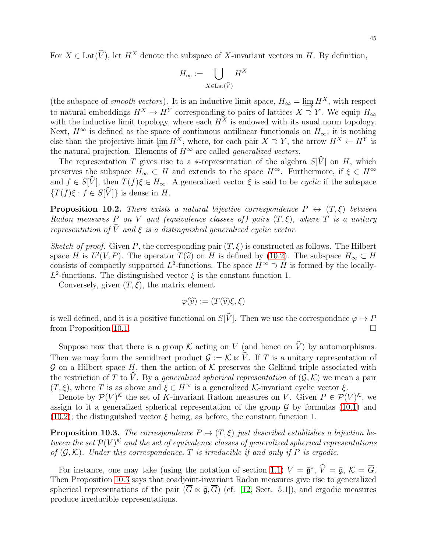For  $X \in \text{Lat}(\widehat{V})$ , let  $H^X$  denote the subspace of X-invariant vectors in H. By definition,

$$
H_\infty := \bigcup_{X \in \text{Lat}(\widehat{V})} H^X
$$

(the subspace of *smooth vectors*). It is an inductive limit space,  $H_{\infty} = \underline{\lim} H^X$ , with respect to natural embeddings  $H^X \to H^Y$  corresponding to pairs of lattices  $X \supset Y$ . We equip  $H_{\infty}$ with the inductive limit topology, where each  $H^X$  is endowed with its usual norm topology. Next,  $H^{\infty}$  is defined as the space of continuous antilinear functionals on  $H_{\infty}$ ; it is nothing else than the projective limit  $\varprojlim H^X$ , where, for each pair  $X \supset Y$ , the arrow  $H^X \leftarrow H^Y$  is the natural projection. Elements of  $H^\infty$  are called *generalized vectors* the natural projection. Elements of  $H^{\infty}$  are called *generalized vectors*.

The representation T gives rise to a \*-representation of the algebra  $S[\hat{V}]$  on H, which preserves the subspace  $H_{\infty} \subset H$  and extends to the space  $H^{\infty}$ . Furthermore, if  $\xi \in H^{\infty}$ and  $f \in S[\hat{V}]$ , then  $T(f)\xi \in H_{\infty}$ . A generalized vector  $\xi$  is said to be cyclic if the subspace  $\{T(f)\xi : f \in S[\widehat{V}]\}\$ is dense in H.

**Proposition 10.2.** There exists a natural bijective correspondence  $P \leftrightarrow (T,\xi)$  between Radon measures P on V and (equivalence classes of) pairs  $(T, \xi)$ , where T is a unitary representation of  $\widehat{V}$  and  $\xi$  is a distinguished generalized cyclic vector.

Sketch of proof. Given P, the corresponding pair  $(T, \xi)$  is constructed as follows. The Hilbert space H is  $L^2(V, P)$ . The operator  $T(\hat{v})$  on H is defined by [\(10.2\)](#page-43-0). The subspace  $H_{\infty} \subset H$ consists of compactly supported  $L^2$ -functions. The space  $H^{\infty} \supset H$  is formed by the locally- $L^2$ -functions. The distinguished vector  $\xi$  is the constant function 1.

Conversely, given  $(T, \xi)$ , the matrix element

$$
\varphi(\widehat{v}) := (T(\widehat{v})\xi, \xi)
$$

is well defined, and it is a positive functional on  $S[\hat{V}]$ . Then we use the correspondnce  $\varphi \mapsto P$  from Proposition 10.1. from Proposition [10.1.](#page-43-1)

Suppose now that there is a group K acting on V (and hence on  $\widehat{V}$ ) by automorphisms. Then we may form the semidirect product  $\mathcal{G} := \mathcal{K} \ltimes \widehat{V}$ . If T is a unitary representation of  $\mathcal G$  on a Hilbert space H, then the action of  $\mathcal K$  preserves the Gelfand triple associated with the restriction of T to  $\hat{V}$ . By a generalized spherical representation of  $(\mathcal{G}, \mathcal{K})$  we mean a pair  $(T, \xi)$ , where T is as above and  $\xi \in H^{\infty}$  is a generalized K-invariant cyclic vector  $\xi$ .

Denote by  $\mathcal{P}(V)^{\mathcal{K}}$  the set of K-invariant Radom measures on V. Given  $P \in \mathcal{P}(V)^{\mathcal{K}}$ , we assign to it a generalized spherical representation of the group  $\mathcal G$  by formulas [\(10.1\)](#page-43-2) and  $(10.2)$ ; the distinguished vector  $\xi$  being, as before, the constant function 1.

<span id="page-44-0"></span>**Proposition 10.3.** The correspondence  $P \mapsto (T, \xi)$  just described establishes a bijection between the set  $\mathcal{P}(V)^k$  and the set of equivalence classes of generalized spherical representations of  $(\mathcal{G}, \mathcal{K})$ . Under this correspondence, T is irreducible if and only if P is ergodic.

For instance, one may take (using the notation of section [1.1\)](#page-2-1)  $V = \bar{\mathfrak{g}}^*, V = \bar{\mathfrak{g}}, K = G.$ Then Proposition [10.3](#page-44-0) says that coadjoint-invariant Radon measures give rise to generalized spherical representations of the pair  $(\overline{G} \ltimes \overline{g}, \overline{G})$  (cf. [\[12,](#page-45-0) Sect. 5.1]), and ergodic measures produce irreducible representations.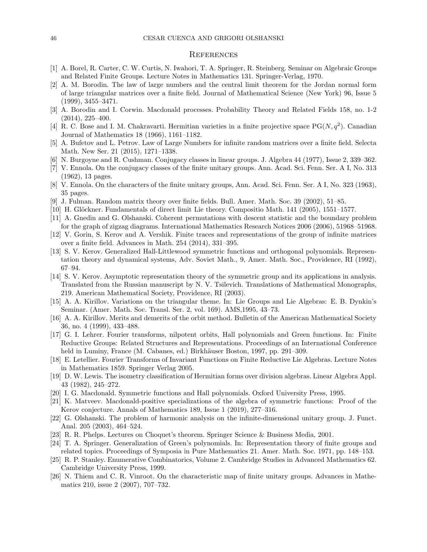#### <span id="page-45-1"></span>**REFERENCES**

- <span id="page-45-24"></span>[1] A. Borel, R. Carter, C. W. Curtis, N. Iwahori, T. A. Springer, R. Steinberg. Seminar on Algebraic Groups and Related Finite Groups. Lecture Notes in Mathematics 131. Springer-Verlag, 1970.
- <span id="page-45-21"></span>[2] A. M. Borodin. The law of large numbers and the central limit theorem for the Jordan normal form of large triangular matrices over a finite field. Journal of Mathematical Science (New York) 96, Issue 5 (1999), 3455–3471.
- <span id="page-45-10"></span>[3] A. Borodin and I. Corwin. Macdonald processes. Probability Theory and Related Fields 158, no. 1-2 (2014), 225–400.
- <span id="page-45-22"></span>[4] R. C. Bose and I. M. Chakravarti. Hermitian varieties in a finite projective space PG(N,  $q^2$ ). Canadian Journal of Mathematics 18 (1966), 1161–1182.
- <span id="page-45-19"></span>[5] A. Bufetov and L. Petrov. Law of Large Numbers for infinite random matrices over a finite field. Selecta Math. New Ser. 21 (2015), 1271–1338.
- <span id="page-45-11"></span><span id="page-45-4"></span>[6] N. Burgoyne and R. Cushman. Conjugacy classes in linear groups. J. Algebra 44 (1977), Issue 2, 339–362.
- [7] V. Ennola. On the conjugacy classes of the finite unitary groups. Ann. Acad. Sci. Fenn. Ser. A I, No. 313 (1962), 13 pages.
- <span id="page-45-12"></span><span id="page-45-2"></span>[8] V. Ennola. On the characters of the finite unitary groups, Ann. Acad. Sci. Fenn. Ser. A I, No. 323 (1963), 35 pages.
- <span id="page-45-15"></span>[9] J. Fulman. Random matrix theory over finite fields. Bull. Amer. Math. Soc. 39 (2002), 51–85.
- <span id="page-45-26"></span>[10] H. Glöckner. Fundamentals of direct limit Lie theory. Compositio Math. 141 (2005), 1551–1577.
- [11] A. Gnedin and G. Olshanski. Coherent permutations with descent statistic and the boundary problem for the graph of zigzag diagrams. International Mathematics Research Notices 2006 (2006), 51968–51968.
- <span id="page-45-0"></span>[12] V. Gorin, S. Kerov and A. Vershik. Finite traces and representations of the group of infinite matrices over a finite field. Advances in Math. 254 (2014), 331–395.
- <span id="page-45-8"></span>[13] S. V. Kerov. Generalized Hall-Littlewood symmetric functions and orthogonal polynomials. Representation theory and dynamical systems, Adv. Soviet Math., 9, Amer. Math. Soc., Providence, RI (1992), 67–94.
- <span id="page-45-18"></span>[14] S. V. Kerov. Asymptotic representation theory of the symmetric group and its applications in analysis. Translated from the Russian manuscript by N. V. Tsilevich. Translations of Mathematical Monographs, 219. American Mathematical Society, Providence, RI (2003).
- <span id="page-45-20"></span>[15] A. A. Kirillov. Variations on the triangular theme. In: Lie Groups and Lie Algebras: E. B. Dynkin's Seminar. (Amer. Math. Soc. Transl. Ser. 2, vol. 169). AMS,1995, 43–73.
- <span id="page-45-3"></span>[16] A. A. Kirillov. Merits and demerits of the orbit method. Bulletin of the American Mathematical Society 36, no. 4 (1999), 433–488.
- <span id="page-45-6"></span>[17] G. I. Lehrer. Fourier transforms, nilpotent orbits, Hall polynomials and Green functions. In: Finite Reductive Groups: Related Structures and Representations. Proceedings of an International Conference held in Luminy, France (M. Cabanes, ed.) Birkhäuser Boston, 1997, pp. 291–309.
- <span id="page-45-7"></span>[18] E. Letellier. Fourier Transforms of Invariant Functions on Finite Reductive Lie Algebras. Lecture Notes in Mathematics 1859. Springer Verlag 2005.
- <span id="page-45-23"></span>[19] D. W. Lewis. The isometry classification of Hermitian forms over division algebras. Linear Algebra Appl. 43 (1982), 245–272.
- <span id="page-45-14"></span><span id="page-45-9"></span>[20] I. G. Macdonald. Symmetric functions and Hall polynomials. Oxford University Press, 1995.
- [21] K. Matveev. Macdonald-positive specializations of the algebra of symmetric functions: Proof of the Kerov conjecture. Annals of Mathematics 189, Issue 1 (2019), 277–316.
- <span id="page-45-17"></span>[22] G. Olshanski. The problem of harmonic analysis on the infinite-dimensional unitary group. J. Funct. Anal. 205 (2003), 464–524.
- <span id="page-45-16"></span><span id="page-45-5"></span>[23] R. R. Phelps. Lectures on Choquet's theorem. Springer Science & Business Media, 2001.
- [24] T. A. Springer. Generalization of Green's polynomials. In: Representation theory of finite groups and related topics. Proceedings of Symposia in Pure Mathematics 21. Amer. Math. Soc. 1971, pp. 148–153.
- <span id="page-45-25"></span>[25] R. P. Stanley. Enumerative Combinatorics, Volume 2. Cambridge Studies in Advanced Mathematics 62. Cambridge University Press, 1999.
- <span id="page-45-13"></span>[26] N. Thiem and C. R. Vinroot. On the characteristic map of finite unitary groups. Advances in Mathematics 210, issue 2 (2007), 707–732.